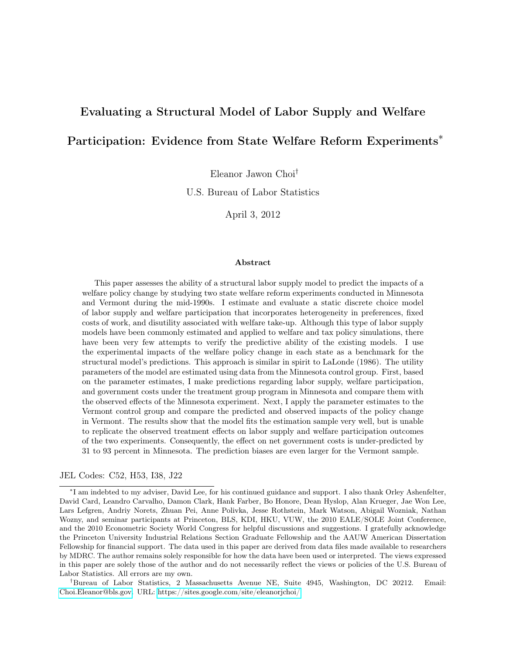# Evaluating a Structural Model of Labor Supply and Welfare

### Participation: Evidence from State Welfare Reform Experiments<sup>\*</sup>

Eleanor Jawon Choi†

U.S. Bureau of Labor Statistics

April 3, 2012

#### Abstract

This paper assesses the ability of a structural labor supply model to predict the impacts of a welfare policy change by studying two state welfare reform experiments conducted in Minnesota and Vermont during the mid-1990s. I estimate and evaluate a static discrete choice model of labor supply and welfare participation that incorporates heterogeneity in preferences, fixed costs of work, and disutility associated with welfare take-up. Although this type of labor supply models have been commonly estimated and applied to welfare and tax policy simulations, there have been very few attempts to verify the predictive ability of the existing models. I use the experimental impacts of the welfare policy change in each state as a benchmark for the structural model's predictions. This approach is similar in spirit to LaLonde (1986). The utility parameters of the model are estimated using data from the Minnesota control group. First, based on the parameter estimates, I make predictions regarding labor supply, welfare participation, and government costs under the treatment group program in Minnesota and compare them with the observed effects of the Minnesota experiment. Next, I apply the parameter estimates to the Vermont control group and compare the predicted and observed impacts of the policy change in Vermont. The results show that the model fits the estimation sample very well, but is unable to replicate the observed treatment effects on labor supply and welfare participation outcomes of the two experiments. Consequently, the effect on net government costs is under-predicted by 31 to 93 percent in Minnesota. The prediction biases are even larger for the Vermont sample.

#### JEL Codes: C52, H53, I38, J22

†Bureau of Labor Statistics, 2 Massachusetts Avenue NE, Suite 4945, Washington, DC 20212. Email: [Choi.Eleanor@bls.gov.](mailto:Choi.Eleanor@bls.gov) URL: [https://sites.google.com/site/eleanorjchoi/.](https://sites.google.com/site/eleanorjchoi/)

<sup>∗</sup> I am indebted to my adviser, David Lee, for his continued guidance and support. I also thank Orley Ashenfelter, David Card, Leandro Carvalho, Damon Clark, Hank Farber, Bo Honore, Dean Hyslop, Alan Krueger, Jae Won Lee, Lars Lefgren, Andriy Norets, Zhuan Pei, Anne Polivka, Jesse Rothstein, Mark Watson, Abigail Wozniak, Nathan Wozny, and seminar participants at Princeton, BLS, KDI, HKU, VUW, the 2010 EALE/SOLE Joint Conference, and the 2010 Econometric Society World Congress for helpful discussions and suggestions. I gratefully acknowledge the Princeton University Industrial Relations Section Graduate Fellowship and the AAUW American Dissertation Fellowship for financial support. The data used in this paper are derived from data files made available to researchers by MDRC. The author remains solely responsible for how the data have been used or interpreted. The views expressed in this paper are solely those of the author and do not necessarily reflect the views or policies of the U.S. Bureau of Labor Statistics. All errors are my own.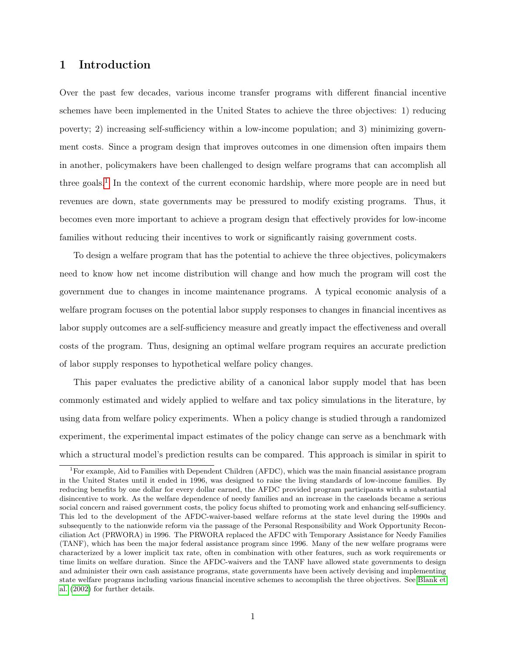### 1 Introduction

Over the past few decades, various income transfer programs with different financial incentive schemes have been implemented in the United States to achieve the three objectives: 1) reducing poverty; 2) increasing self-sufficiency within a low-income population; and 3) minimizing government costs. Since a program design that improves outcomes in one dimension often impairs them in another, policymakers have been challenged to design welfare programs that can accomplish all three goals.<sup>[1](#page-1-0)</sup> In the context of the current economic hardship, where more people are in need but revenues are down, state governments may be pressured to modify existing programs. Thus, it becomes even more important to achieve a program design that effectively provides for low-income families without reducing their incentives to work or significantly raising government costs.

To design a welfare program that has the potential to achieve the three objectives, policymakers need to know how net income distribution will change and how much the program will cost the government due to changes in income maintenance programs. A typical economic analysis of a welfare program focuses on the potential labor supply responses to changes in financial incentives as labor supply outcomes are a self-sufficiency measure and greatly impact the effectiveness and overall costs of the program. Thus, designing an optimal welfare program requires an accurate prediction of labor supply responses to hypothetical welfare policy changes.

This paper evaluates the predictive ability of a canonical labor supply model that has been commonly estimated and widely applied to welfare and tax policy simulations in the literature, by using data from welfare policy experiments. When a policy change is studied through a randomized experiment, the experimental impact estimates of the policy change can serve as a benchmark with which a structural model's prediction results can be compared. This approach is similar in spirit to

<span id="page-1-0"></span><sup>&</sup>lt;sup>1</sup>For example, Aid to Families with Dependent Children (AFDC), which was the main financial assistance program in the United States until it ended in 1996, was designed to raise the living standards of low-income families. By reducing benefits by one dollar for every dollar earned, the AFDC provided program participants with a substantial disincentive to work. As the welfare dependence of needy families and an increase in the caseloads became a serious social concern and raised government costs, the policy focus shifted to promoting work and enhancing self-sufficiency. This led to the development of the AFDC-waiver-based welfare reforms at the state level during the 1990s and subsequently to the nationwide reform via the passage of the Personal Responsibility and Work Opportunity Reconciliation Act (PRWORA) in 1996. The PRWORA replaced the AFDC with Temporary Assistance for Needy Families (TANF), which has been the major federal assistance program since 1996. Many of the new welfare programs were characterized by a lower implicit tax rate, often in combination with other features, such as work requirements or time limits on welfare duration. Since the AFDC-waivers and the TANF have allowed state governments to design and administer their own cash assistance programs, state governments have been actively devising and implementing state welfare programs including various financial incentive schemes to accomplish the three objectives. See [Blank et](#page-28-0) [al.](#page-28-0) [\(2002\)](#page-28-0) for further details.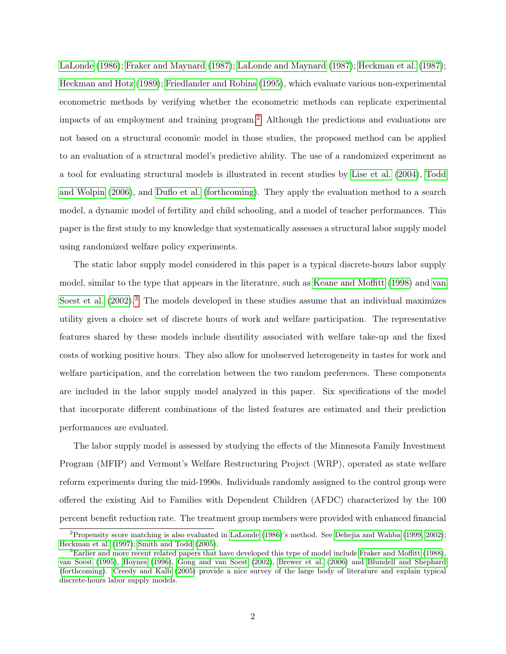[LaLonde](#page-30-0) [\(1986\)](#page-30-0); [Fraker and Maynard](#page-28-1) [\(1987\)](#page-28-1); [LaLonde and Maynard](#page-30-1) [\(1987\)](#page-30-1); [Heckman et al.](#page-29-0) [\(1987\)](#page-29-0); [Heckman and Hotz](#page-29-1) [\(1989\)](#page-29-1); [Friedlander and Robins](#page-29-2) [\(1995\)](#page-29-2), which evaluate various non-experimental econometric methods by verifying whether the econometric methods can replicate experimental impacts of an employment and training program.[2](#page-2-0) Although the predictions and evaluations are not based on a structural economic model in those studies, the proposed method can be applied to an evaluation of a structural model's predictive ability. The use of a randomized experiment as a tool for evaluating structural models is illustrated in recent studies by [Lise et al.](#page-30-2) [\(2004\)](#page-30-2), [Todd](#page-30-3) [and Wolpin](#page-30-3) [\(2006\)](#page-30-3), and [Duflo et al.](#page-28-2) [\(forthcoming\)](#page-28-2). They apply the evaluation method to a search model, a dynamic model of fertility and child schooling, and a model of teacher performances. This paper is the first study to my knowledge that systematically assesses a structural labor supply model using randomized welfare policy experiments.

The static labor supply model considered in this paper is a typical discrete-hours labor supply model, similar to the type that appears in the literature, such as [Keane and Moffitt](#page-30-4) [\(1998\)](#page-30-4) and [van](#page-31-0) [Soest et al.](#page-31-0)  $(2002)$ .<sup>[3](#page-2-1)</sup> The models developed in these studies assume that an individual maximizes utility given a choice set of discrete hours of work and welfare participation. The representative features shared by these models include disutility associated with welfare take-up and the fixed costs of working positive hours. They also allow for unobserved heterogeneity in tastes for work and welfare participation, and the correlation between the two random preferences. These components are included in the labor supply model analyzed in this paper. Six specifications of the model that incorporate different combinations of the listed features are estimated and their prediction performances are evaluated.

The labor supply model is assessed by studying the effects of the Minnesota Family Investment Program (MFIP) and Vermont's Welfare Restructuring Project (WRP), operated as state welfare reform experiments during the mid-1990s. Individuals randomly assigned to the control group were offered the existing Aid to Families with Dependent Children (AFDC) characterized by the 100 percent benefit reduction rate. The treatment group members were provided with enhanced financial

<span id="page-2-0"></span><sup>&</sup>lt;sup>2</sup>Propensity score matching is also evaluated in [LaLonde](#page-30-0) [\(1986\)](#page-30-0)'s method. See [Dehejia and Wahba](#page-28-3) [\(1999,](#page-28-3) [2002\)](#page-28-4); [Heckman et al.](#page-29-3) [\(1997\)](#page-29-3); [Smith and Todd](#page-30-5) [\(2005\)](#page-30-5).

<span id="page-2-1"></span> ${}^{3}$ Earlier and more recent related papers that have developed this type of model include [Fraker and Moffitt](#page-29-4) [\(1988\)](#page-29-4), [van Soest](#page-31-1) [\(1995\)](#page-31-1), [Hoynes](#page-29-5) [\(1996\)](#page-29-5), [Gong and van Soest](#page-29-6) [\(2002\)](#page-29-6), [Brewer et al.](#page-28-5) [\(2006\)](#page-28-5) and [Blundell and Shephard](#page-28-6) [\(forthcoming\)](#page-28-6). [Creedy and Kalb](#page-28-7) [\(2005\)](#page-28-7) provide a nice survey of the large body of literature and explain typical discrete-hours labor supply models.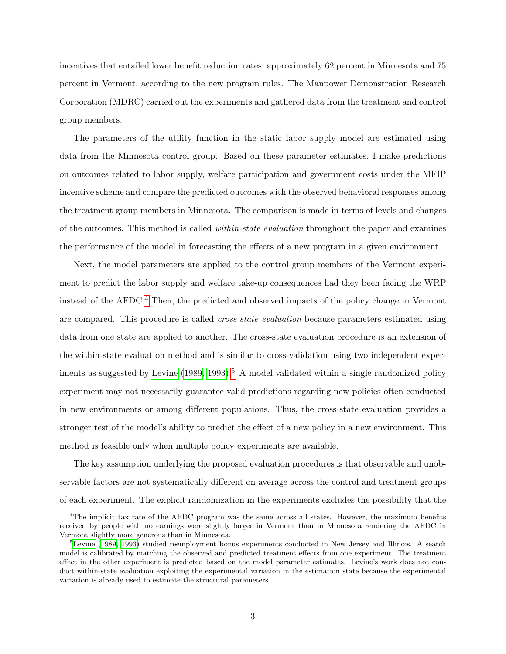incentives that entailed lower benefit reduction rates, approximately 62 percent in Minnesota and 75 percent in Vermont, according to the new program rules. The Manpower Demonstration Research Corporation (MDRC) carried out the experiments and gathered data from the treatment and control group members.

The parameters of the utility function in the static labor supply model are estimated using data from the Minnesota control group. Based on these parameter estimates, I make predictions on outcomes related to labor supply, welfare participation and government costs under the MFIP incentive scheme and compare the predicted outcomes with the observed behavioral responses among the treatment group members in Minnesota. The comparison is made in terms of levels and changes of the outcomes. This method is called within-state evaluation throughout the paper and examines the performance of the model in forecasting the effects of a new program in a given environment.

Next, the model parameters are applied to the control group members of the Vermont experiment to predict the labor supply and welfare take-up consequences had they been facing the WRP instead of the AFDC.[4](#page-3-0) Then, the predicted and observed impacts of the policy change in Vermont are compared. This procedure is called cross-state evaluation because parameters estimated using data from one state are applied to another. The cross-state evaluation procedure is an extension of the within-state evaluation method and is similar to cross-validation using two independent exper-iments as suggested by [Levine](#page-30-6)  $(1989, 1993)$  $(1989, 1993)$ .<sup>[5](#page-3-1)</sup> A model validated within a single randomized policy experiment may not necessarily guarantee valid predictions regarding new policies often conducted in new environments or among different populations. Thus, the cross-state evaluation provides a stronger test of the model's ability to predict the effect of a new policy in a new environment. This method is feasible only when multiple policy experiments are available.

The key assumption underlying the proposed evaluation procedures is that observable and unobservable factors are not systematically different on average across the control and treatment groups of each experiment. The explicit randomization in the experiments excludes the possibility that the

<span id="page-3-0"></span><sup>&</sup>lt;sup>4</sup>The implicit tax rate of the AFDC program was the same across all states. However, the maximum benefits received by people with no earnings were slightly larger in Vermont than in Minnesota rendering the AFDC in Vermont slightly more generous than in Minnesota.

<span id="page-3-1"></span><sup>&</sup>lt;sup>5</sup>[Levine](#page-30-6) [\(1989,](#page-30-6) [1993\)](#page-30-7) studied reemployment bonus experiments conducted in New Jersey and Illinois. A search model is calibrated by matching the observed and predicted treatment effects from one experiment. The treatment effect in the other experiment is predicted based on the model parameter estimates. Levine's work does not conduct within-state evaluation exploiting the experimental variation in the estimation state because the experimental variation is already used to estimate the structural parameters.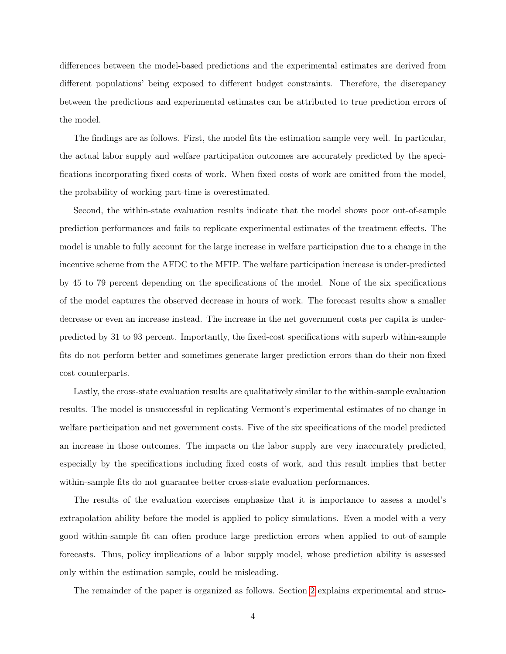differences between the model-based predictions and the experimental estimates are derived from different populations' being exposed to different budget constraints. Therefore, the discrepancy between the predictions and experimental estimates can be attributed to true prediction errors of the model.

The findings are as follows. First, the model fits the estimation sample very well. In particular, the actual labor supply and welfare participation outcomes are accurately predicted by the specifications incorporating fixed costs of work. When fixed costs of work are omitted from the model, the probability of working part-time is overestimated.

Second, the within-state evaluation results indicate that the model shows poor out-of-sample prediction performances and fails to replicate experimental estimates of the treatment effects. The model is unable to fully account for the large increase in welfare participation due to a change in the incentive scheme from the AFDC to the MFIP. The welfare participation increase is under-predicted by 45 to 79 percent depending on the specifications of the model. None of the six specifications of the model captures the observed decrease in hours of work. The forecast results show a smaller decrease or even an increase instead. The increase in the net government costs per capita is underpredicted by 31 to 93 percent. Importantly, the fixed-cost specifications with superb within-sample fits do not perform better and sometimes generate larger prediction errors than do their non-fixed cost counterparts.

Lastly, the cross-state evaluation results are qualitatively similar to the within-sample evaluation results. The model is unsuccessful in replicating Vermont's experimental estimates of no change in welfare participation and net government costs. Five of the six specifications of the model predicted an increase in those outcomes. The impacts on the labor supply are very inaccurately predicted, especially by the specifications including fixed costs of work, and this result implies that better within-sample fits do not guarantee better cross-state evaluation performances.

The results of the evaluation exercises emphasize that it is importance to assess a model's extrapolation ability before the model is applied to policy simulations. Even a model with a very good within-sample fit can often produce large prediction errors when applied to out-of-sample forecasts. Thus, policy implications of a labor supply model, whose prediction ability is assessed only within the estimation sample, could be misleading.

The remainder of the paper is organized as follows. Section [2](#page-5-0) explains experimental and struc-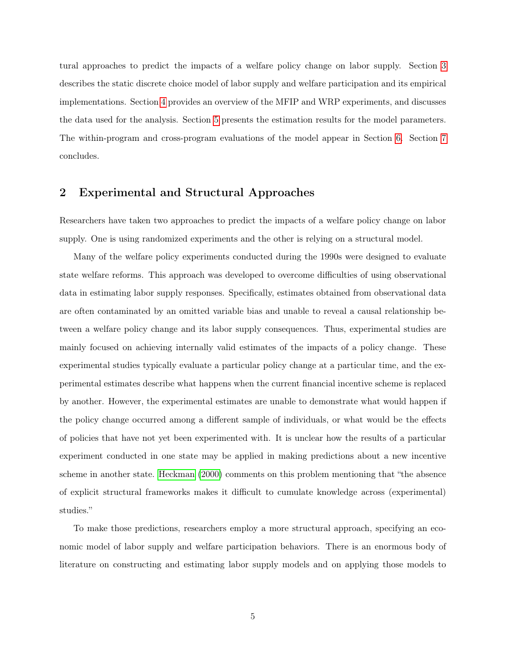tural approaches to predict the impacts of a welfare policy change on labor supply. Section [3](#page-6-0) describes the static discrete choice model of labor supply and welfare participation and its empirical implementations. Section [4](#page-11-0) provides an overview of the MFIP and WRP experiments, and discusses the data used for the analysis. Section [5](#page-16-0) presents the estimation results for the model parameters. The within-program and cross-program evaluations of the model appear in Section [6.](#page-18-0) Section [7](#page-26-0) concludes.

## <span id="page-5-0"></span>2 Experimental and Structural Approaches

Researchers have taken two approaches to predict the impacts of a welfare policy change on labor supply. One is using randomized experiments and the other is relying on a structural model.

Many of the welfare policy experiments conducted during the 1990s were designed to evaluate state welfare reforms. This approach was developed to overcome difficulties of using observational data in estimating labor supply responses. Specifically, estimates obtained from observational data are often contaminated by an omitted variable bias and unable to reveal a causal relationship between a welfare policy change and its labor supply consequences. Thus, experimental studies are mainly focused on achieving internally valid estimates of the impacts of a policy change. These experimental studies typically evaluate a particular policy change at a particular time, and the experimental estimates describe what happens when the current financial incentive scheme is replaced by another. However, the experimental estimates are unable to demonstrate what would happen if the policy change occurred among a different sample of individuals, or what would be the effects of policies that have not yet been experimented with. It is unclear how the results of a particular experiment conducted in one state may be applied in making predictions about a new incentive scheme in another state. [Heckman](#page-29-7) [\(2000\)](#page-29-7) comments on this problem mentioning that "the absence of explicit structural frameworks makes it difficult to cumulate knowledge across (experimental) studies."

To make those predictions, researchers employ a more structural approach, specifying an economic model of labor supply and welfare participation behaviors. There is an enormous body of literature on constructing and estimating labor supply models and on applying those models to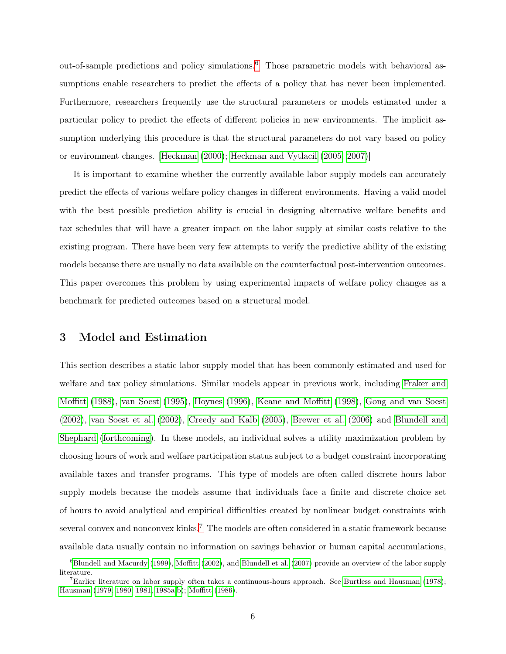out-of-sample predictions and policy simulations.<sup>[6](#page-6-1)</sup> Those parametric models with behavioral assumptions enable researchers to predict the effects of a policy that has never been implemented. Furthermore, researchers frequently use the structural parameters or models estimated under a particular policy to predict the effects of different policies in new environments. The implicit assumption underlying this procedure is that the structural parameters do not vary based on policy or environment changes. [\[Heckman](#page-29-7) [\(2000\)](#page-29-7); [Heckman and Vytlacil](#page-29-8) [\(2005,](#page-29-8) [2007\)](#page-29-9)]

It is important to examine whether the currently available labor supply models can accurately predict the effects of various welfare policy changes in different environments. Having a valid model with the best possible prediction ability is crucial in designing alternative welfare benefits and tax schedules that will have a greater impact on the labor supply at similar costs relative to the existing program. There have been very few attempts to verify the predictive ability of the existing models because there are usually no data available on the counterfactual post-intervention outcomes. This paper overcomes this problem by using experimental impacts of welfare policy changes as a benchmark for predicted outcomes based on a structural model.

### <span id="page-6-0"></span>3 Model and Estimation

This section describes a static labor supply model that has been commonly estimated and used for welfare and tax policy simulations. Similar models appear in previous work, including [Fraker and](#page-29-4) [Moffitt](#page-29-4) [\(1988\)](#page-29-4), [van Soest](#page-31-1) [\(1995\)](#page-31-1), [Hoynes](#page-29-5) [\(1996\)](#page-29-5), [Keane and Moffitt](#page-30-4) [\(1998\)](#page-30-4), [Gong and van Soest](#page-29-6) [\(2002\)](#page-29-6), [van Soest et al.](#page-31-0) [\(2002\)](#page-31-0), [Creedy and Kalb](#page-28-7) [\(2005\)](#page-28-7), [Brewer et al.](#page-28-5) [\(2006\)](#page-28-5) and [Blundell and](#page-28-6) [Shephard](#page-28-6) [\(forthcoming\)](#page-28-6). In these models, an individual solves a utility maximization problem by choosing hours of work and welfare participation status subject to a budget constraint incorporating available taxes and transfer programs. This type of models are often called discrete hours labor supply models because the models assume that individuals face a finite and discrete choice set of hours to avoid analytical and empirical difficulties created by nonlinear budget constraints with several convex and nonconvex kinks.<sup>[7](#page-6-2)</sup> The models are often considered in a static framework because available data usually contain no information on savings behavior or human capital accumulations,

<span id="page-6-1"></span> ${}^{6}$ [Blundell and Macurdy](#page-28-8) [\(1999\)](#page-28-8), [Moffitt](#page-30-8) [\(2002\)](#page-30-8), and [Blundell et al.](#page-28-9) [\(2007\)](#page-28-9) provide an overview of the labor supply literature.

<span id="page-6-2"></span><sup>7</sup>Earlier literature on labor supply often takes a continuous-hours approach. See [Burtless and Hausman](#page-28-10) [\(1978\)](#page-28-10); [Hausman](#page-29-10) [\(1979,](#page-29-10) [1980,](#page-29-11) [1981,](#page-29-12) [1985a,](#page-29-13)[b\)](#page-29-14); [Moffitt](#page-30-9) [\(1986\)](#page-30-9).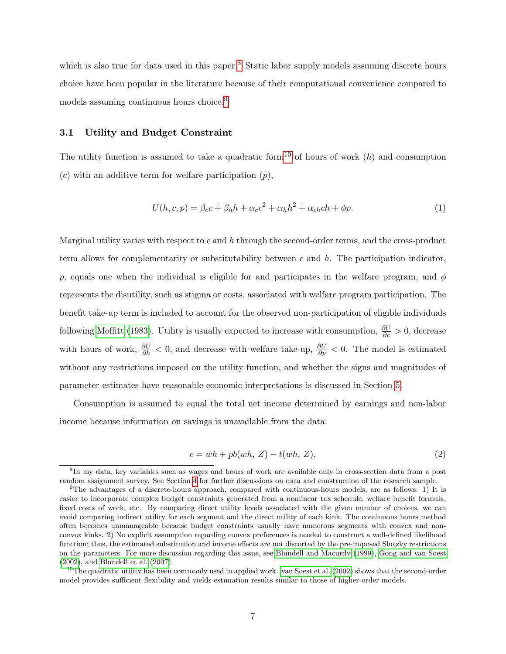which is also true for data used in this paper.<sup>[8](#page-7-0)</sup> Static labor supply models assuming discrete hours choice have been popular in the literature because of their computational convenience compared to models assuming continuous hours choice.<sup>[9](#page-7-1)</sup>

#### 3.1 Utility and Budget Constraint

The utility function is assumed to take a quadratic form<sup>[10](#page-7-2)</sup> of hours of work  $(h)$  and consumption  $(c)$  with an additive term for welfare participation  $(p)$ ,

<span id="page-7-3"></span>
$$
U(h,c,p) = \beta_c c + \beta_h h + \alpha_c c^2 + \alpha_h h^2 + \alpha_{ch} ch + \phi p. \tag{1}
$$

Marginal utility varies with respect to  $c$  and  $h$  through the second-order terms, and the cross-product term allows for complementarity or substitutability between c and  $h$ . The participation indicator, p, equals one when the individual is eligible for and participates in the welfare program, and  $\phi$ represents the disutility, such as stigma or costs, associated with welfare program participation. The benefit take-up term is included to account for the observed non-participation of eligible individuals following [Moffitt](#page-30-10) [\(1983\)](#page-30-10). Utility is usually expected to increase with consumption,  $\frac{\partial U}{\partial c} > 0$ , decrease with hours of work,  $\frac{\partial U}{\partial h} < 0$ , and decrease with welfare take-up,  $\frac{\partial U}{\partial p} < 0$ . The model is estimated without any restrictions imposed on the utility function, and whether the signs and magnitudes of parameter estimates have reasonable economic interpretations is discussed in Section [5.](#page-16-0)

Consumption is assumed to equal the total net income determined by earnings and non-labor income because information on savings is unavailable from the data:

<span id="page-7-4"></span>
$$
c = wh + pb(wh, Z) - t(wh, Z),
$$
\n<sup>(2)</sup>

<span id="page-7-0"></span><sup>8</sup> In my data, key variables such as wages and hours of work are available only in cross-section data from a post random assignment survey. See Section [4](#page-11-0) for further discussions on data and construction of the research sample.

<span id="page-7-1"></span><sup>9</sup>The advantages of a discrete-hours approach, compared with continuous-hours models, are as follows: 1) It is easier to incorporate complex budget constraints generated from a nonlinear tax schedule, welfare benefit formula, fixed costs of work, etc. By comparing direct utility levels associated with the given number of choices, we can avoid comparing indirect utility for each segment and the direct utility of each kink. The continuous hours method often becomes unmanageable because budget constraints usually have numerous segments with convex and nonconvex kinks. 2) No explicit assumption regarding convex preferences is needed to construct a well-defined likelihood function; thus, the estimated substitution and income effects are not distorted by the pre-imposed Slutzky restrictions on the parameters. For more discussion regarding this issue, see [Blundell and Macurdy](#page-28-8) [\(1999\)](#page-28-8), [Gong and van Soest](#page-29-6) [\(2002\)](#page-29-6), and [Blundell et al.](#page-28-9) [\(2007\)](#page-28-9).

<span id="page-7-2"></span><sup>&</sup>lt;sup>10</sup>The quadratic utility has been commonly used in applied work. [van Soest et al.](#page-31-0) [\(2002\)](#page-31-0) shows that the second-order model provides sufficient flexibility and yields estimation results similar to those of higher-order models.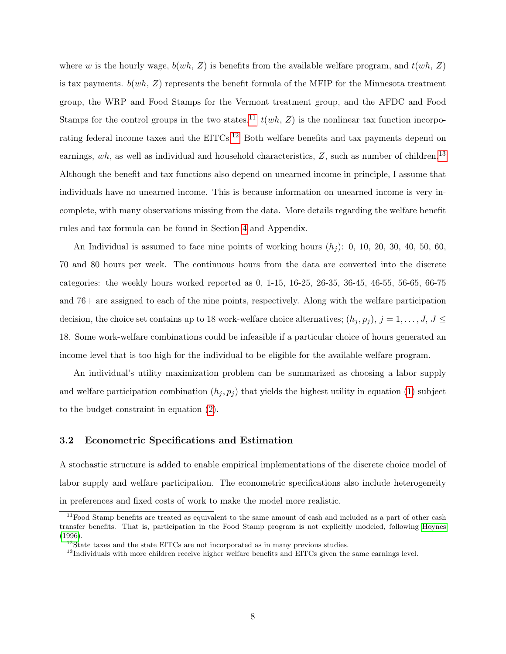where w is the hourly wage,  $b(wh, Z)$  is benefits from the available welfare program, and  $t(wh, Z)$ is tax payments.  $b(wh, Z)$  represents the benefit formula of the MFIP for the Minnesota treatment group, the WRP and Food Stamps for the Vermont treatment group, and the AFDC and Food Stamps for the control groups in the two states.<sup>[11](#page-8-0)</sup>  $t(wh, Z)$  is the nonlinear tax function incorpo-rating federal income taxes and the EITCs.<sup>[12](#page-8-1)</sup> Both welfare benefits and tax payments depend on earnings, wh, as well as individual and household characteristics,  $Z$ , such as number of children.<sup>[13](#page-8-2)</sup> Although the benefit and tax functions also depend on unearned income in principle, I assume that individuals have no unearned income. This is because information on unearned income is very incomplete, with many observations missing from the data. More details regarding the welfare benefit rules and tax formula can be found in Section [4](#page-11-0) and Appendix.

An Individual is assumed to face nine points of working hours  $(h_i)$ : 0, 10, 20, 30, 40, 50, 60, 70 and 80 hours per week. The continuous hours from the data are converted into the discrete categories: the weekly hours worked reported as 0, 1-15, 16-25, 26-35, 36-45, 46-55, 56-65, 66-75 and 76+ are assigned to each of the nine points, respectively. Along with the welfare participation decision, the choice set contains up to 18 work-welfare choice alternatives;  $(h_j, p_j)$ ,  $j = 1, \ldots, J$ ,  $J \leq$ 18. Some work-welfare combinations could be infeasible if a particular choice of hours generated an income level that is too high for the individual to be eligible for the available welfare program.

An individual's utility maximization problem can be summarized as choosing a labor supply and welfare participation combination  $(h_j, p_j)$  that yields the highest utility in equation [\(1\)](#page-7-3) subject to the budget constraint in equation [\(2\)](#page-7-4).

#### 3.2 Econometric Specifications and Estimation

A stochastic structure is added to enable empirical implementations of the discrete choice model of labor supply and welfare participation. The econometric specifications also include heterogeneity in preferences and fixed costs of work to make the model more realistic.

<span id="page-8-0"></span> $11$ Food Stamp benefits are treated as equivalent to the same amount of cash and included as a part of other cash transfer benefits. That is, participation in the Food Stamp program is not explicitly modeled, following [Hoynes](#page-29-5) [\(1996\)](#page-29-5).

<span id="page-8-1"></span><sup>&</sup>lt;sup>12</sup>State taxes and the state EITCs are not incorporated as in many previous studies.

<span id="page-8-2"></span> $13$ Individuals with more children receive higher welfare benefits and EITCs given the same earnings level.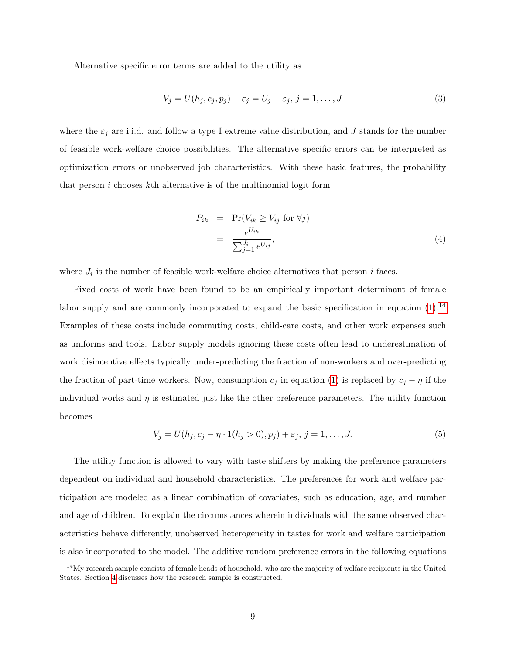Alternative specific error terms are added to the utility as

$$
V_j = U(h_j, c_j, p_j) + \varepsilon_j = U_j + \varepsilon_j, j = 1, \dots, J
$$
\n(3)

where the  $\varepsilon_j$  are i.i.d. and follow a type I extreme value distribution, and J stands for the number of feasible work-welfare choice possibilities. The alternative specific errors can be interpreted as optimization errors or unobserved job characteristics. With these basic features, the probability that person  $i$  chooses  $k$ th alternative is of the multinomial logit form

<span id="page-9-1"></span>
$$
P_{ik} = \Pr(V_{ik} \ge V_{ij} \text{ for } \forall j)
$$
  
= 
$$
\frac{e^{U_{ik}}}{\sum_{j=1}^{J_i} e^{U_{ij}}},
$$
 (4)

where  $J_i$  is the number of feasible work-welfare choice alternatives that person i faces.

Fixed costs of work have been found to be an empirically important determinant of female labor supply and are commonly incorporated to expand the basic specification in equation  $(1).<sup>14</sup>$  $(1).<sup>14</sup>$  $(1).<sup>14</sup>$  $(1).<sup>14</sup>$ Examples of these costs include commuting costs, child-care costs, and other work expenses such as uniforms and tools. Labor supply models ignoring these costs often lead to underestimation of work disincentive effects typically under-predicting the fraction of non-workers and over-predicting the fraction of part-time workers. Now, consumption  $c_j$  in equation [\(1\)](#page-7-3) is replaced by  $c_j - \eta$  if the individual works and  $\eta$  is estimated just like the other preference parameters. The utility function becomes

$$
V_j = U(h_j, c_j - \eta \cdot 1(h_j > 0), p_j) + \varepsilon_j, \ j = 1, \dots, J. \tag{5}
$$

The utility function is allowed to vary with taste shifters by making the preference parameters dependent on individual and household characteristics. The preferences for work and welfare participation are modeled as a linear combination of covariates, such as education, age, and number and age of children. To explain the circumstances wherein individuals with the same observed characteristics behave differently, unobserved heterogeneity in tastes for work and welfare participation is also incorporated to the model. The additive random preference errors in the following equations

<span id="page-9-0"></span> $14$ My research sample consists of female heads of household, who are the majority of welfare recipients in the United States. Section [4](#page-11-0) discusses how the research sample is constructed.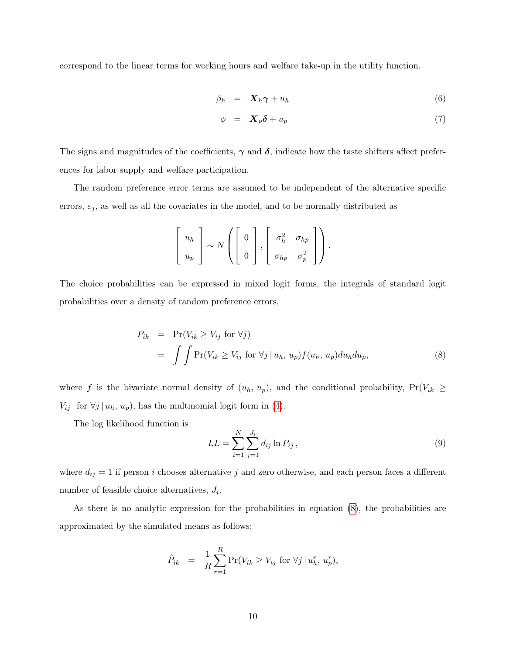correspond to the linear terms for working hours and welfare take-up in the utility function.

<span id="page-10-2"></span>
$$
\beta_h = \mathbf{X}_h \boldsymbol{\gamma} + u_h \tag{6}
$$

$$
\phi = X_p \delta + u_p \tag{7}
$$

The signs and magnitudes of the coefficients,  $\gamma$  and  $\delta$ , indicate how the taste shifters affect preferences for labor supply and welfare participation.

The random preference error terms are assumed to be independent of the alternative specific errors,  $\varepsilon_j$ , as well as all the covariates in the model, and to be normally distributed as

$$
\left[\begin{array}{c} u_h \\ u_p \end{array}\right] \sim N\left(\left[\begin{array}{c} 0 \\ 0 \end{array}\right], \left[\begin{array}{cc} \sigma_h^2 & \sigma_{hp} \\ \sigma_{hp} & \sigma_p^2 \end{array}\right]\right).
$$

The choice probabilities can be expressed in mixed logit forms, the integrals of standard logit probabilities over a density of random preference errors,

<span id="page-10-0"></span>
$$
P_{ik} = \Pr(V_{ik} \ge V_{ij} \text{ for } \forall j)
$$
  
= 
$$
\int \int \Pr(V_{ik} \ge V_{ij} \text{ for } \forall j \mid u_h, u_p) f(u_h, u_p) du_h du_p,
$$
 (8)

where f is the bivariate normal density of  $(u_h, u_p)$ , and the conditional probability,  $Pr(V_{ik} \geq$  $V_{ij}$  for  $\forall j \mid u_h, u_p$ , has the multinomial logit form in [\(4\)](#page-9-1).

The log likelihood function is

<span id="page-10-1"></span>
$$
LL = \sum_{i=1}^{N} \sum_{j=1}^{J_i} d_{ij} \ln P_{ij},
$$
\n(9)

where  $d_{ij} = 1$  if person i chooses alternative j and zero otherwise, and each person faces a different number of feasible choice alternatives,  $J_i$ .

As there is no analytic expression for the probabilities in equation  $(8)$ , the probabilities are approximated by the simulated means as follows:

$$
\hat{P}_{ik} = \frac{1}{R} \sum_{r=1}^{R} \Pr(V_{ik} \ge V_{ij} \text{ for } \forall j \mid u_h^r, u_p^r),
$$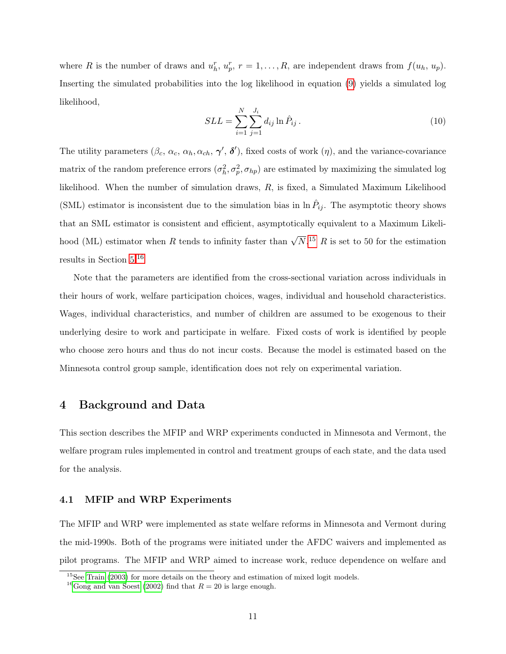where R is the number of draws and  $u_h^r$ ,  $u_p^r$ ,  $r = 1, \ldots, R$ , are independent draws from  $f(u_h, u_p)$ . Inserting the simulated probabilities into the log likelihood in equation [\(9\)](#page-10-1) yields a simulated log likelihood,

$$
SLL = \sum_{i=1}^{N} \sum_{j=1}^{J_i} d_{ij} \ln \hat{P}_{ij} .
$$
\n(10)

The utility parameters  $(\beta_c, \alpha_c, \alpha_h, \alpha_{ch}, \gamma', \delta')$ , fixed costs of work  $(\eta)$ , and the variance-covariance matrix of the random preference errors  $(\sigma_h^2, \sigma_p^2, \sigma_{hp})$  are estimated by maximizing the simulated log likelihood. When the number of simulation draws, R, is fixed, a Simulated Maximum Likelihood (SML) estimator is inconsistent due to the simulation bias in  $\ln \hat{P}_{ij}$ . The asymptotic theory shows that an SML estimator is consistent and efficient, asymptotically equivalent to a Maximum Likelihood (ML) estimator when R tends to infinity faster than  $\sqrt{N}$ .<sup>[15](#page-11-1)</sup> R is set to 50 for the estimation results in Section [5.](#page-16-0)[16](#page-11-2)

Note that the parameters are identified from the cross-sectional variation across individuals in their hours of work, welfare participation choices, wages, individual and household characteristics. Wages, individual characteristics, and number of children are assumed to be exogenous to their underlying desire to work and participate in welfare. Fixed costs of work is identified by people who choose zero hours and thus do not incur costs. Because the model is estimated based on the Minnesota control group sample, identification does not rely on experimental variation.

### <span id="page-11-0"></span>4 Background and Data

This section describes the MFIP and WRP experiments conducted in Minnesota and Vermont, the welfare program rules implemented in control and treatment groups of each state, and the data used for the analysis.

### 4.1 MFIP and WRP Experiments

The MFIP and WRP were implemented as state welfare reforms in Minnesota and Vermont during the mid-1990s. Both of the programs were initiated under the AFDC waivers and implemented as pilot programs. The MFIP and WRP aimed to increase work, reduce dependence on welfare and

<span id="page-11-1"></span><sup>&</sup>lt;sup>15</sup>See [Train](#page-30-11) [\(2003\)](#page-30-11) for more details on the theory and estimation of mixed logit models.

<span id="page-11-2"></span><sup>&</sup>lt;sup>16</sup>[Gong and van Soest](#page-29-6) [\(2002\)](#page-29-6) find that  $R = 20$  is large enough.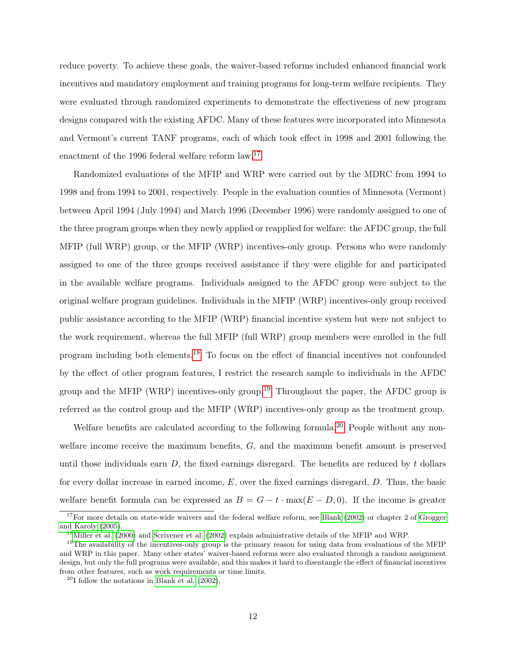reduce poverty. To achieve these goals, the waiver-based reforms included enhanced financial work incentives and mandatory employment and training programs for long-term welfare recipients. They were evaluated through randomized experiments to demonstrate the effectiveness of new program designs compared with the existing AFDC. Many of these features were incorporated into Minnesota and Vermont's current TANF programs, each of which took effect in 1998 and 2001 following the enactment of the 1996 federal welfare reform law.<sup>[17](#page-12-0)</sup>

Randomized evaluations of the MFIP and WRP were carried out by the MDRC from 1994 to 1998 and from 1994 to 2001, respectively. People in the evaluation counties of Minnesota (Vermont) between April 1994 (July 1994) and March 1996 (December 1996) were randomly assigned to one of the three program groups when they newly applied or reapplied for welfare: the AFDC group, the full MFIP (full WRP) group, or the MFIP (WRP) incentives-only group. Persons who were randomly assigned to one of the three groups received assistance if they were eligible for and participated in the available welfare programs. Individuals assigned to the AFDC group were subject to the original welfare program guidelines. Individuals in the MFIP (WRP) incentives-only group received public assistance according to the MFIP (WRP) financial incentive system but were not subject to the work requirement, whereas the full MFIP (full WRP) group members were enrolled in the full program including both elements.[18](#page-12-1) To focus on the effect of financial incentives not confounded by the effect of other program features, I restrict the research sample to individuals in the AFDC group and the MFIP (WRP) incentives-only group.[19](#page-12-2) Throughout the paper, the AFDC group is referred as the control group and the MFIP (WRP) incentives-only group as the treatment group.

Welfare benefits are calculated according to the following formula.<sup>[20](#page-12-3)</sup> People without any nonwelfare income receive the maximum benefits, G, and the maximum benefit amount is preserved until those individuals earn  $D$ , the fixed earnings disregard. The benefits are reduced by t dollars for every dollar increase in earned income,  $E$ , over the fixed earnings disregard,  $D$ . Thus, the basic welfare benefit formula can be expressed as  $B = G - t \cdot \max(E - D, 0)$ . If the income is greater

<span id="page-12-0"></span> $17$  For more details on state-wide waivers and the federal welfare reform, see [Blank](#page-28-11) [\(2002\)](#page-28-11) or chapter 2 of [Grogger](#page-29-15) [and Karoly](#page-29-15) [\(2005\)](#page-29-15).

<span id="page-12-2"></span><span id="page-12-1"></span><sup>&</sup>lt;sup>18</sup>[Miller et al.](#page-30-12) [\(2000\)](#page-30-12) and [Scrivener et al.](#page-30-13) [\(2002\)](#page-30-13) explain administrative details of the MFIP and WRP.

<sup>&</sup>lt;sup>19</sup>The availability of the incentives-only group is the primary reason for using data from evaluations of the MFIP and WRP in this paper. Many other states' waiver-based reforms were also evaluated through a random assignment design, but only the full programs were available, and this makes it hard to disentangle the effect of financial incentives from other features, such as work requirements or time limits.

<span id="page-12-3"></span> $^{20}$ I follow the notations in [Blank et al.](#page-28-0) [\(2002\)](#page-28-0).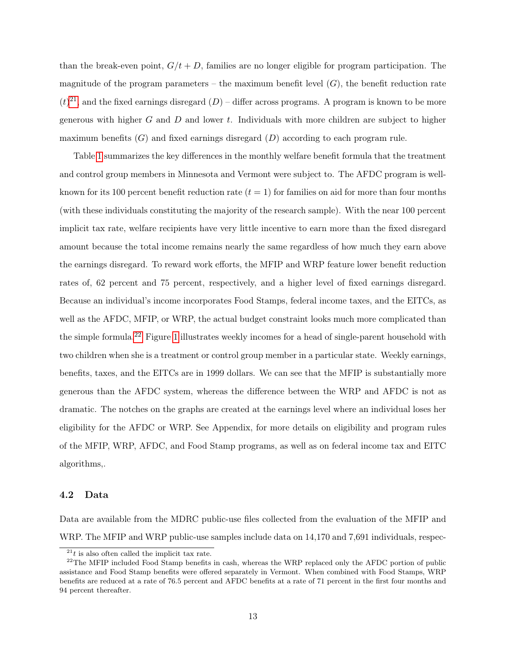than the break-even point,  $G/t + D$ , families are no longer eligible for program participation. The magnitude of the program parameters – the maximum benefit level  $(G)$ , the benefit reduction rate  $(t)^{21}$  $(t)^{21}$  $(t)^{21}$ , and the fixed earnings disregard  $(D)$  – differ across programs. A program is known to be more generous with higher G and D and lower t. Individuals with more children are subject to higher maximum benefits  $(G)$  and fixed earnings disregard  $(D)$  according to each program rule.

Table [1](#page-37-0) summarizes the key differences in the monthly welfare benefit formula that the treatment and control group members in Minnesota and Vermont were subject to. The AFDC program is wellknown for its 100 percent benefit reduction rate  $(t = 1)$  for families on aid for more than four months (with these individuals constituting the majority of the research sample). With the near 100 percent implicit tax rate, welfare recipients have very little incentive to earn more than the fixed disregard amount because the total income remains nearly the same regardless of how much they earn above the earnings disregard. To reward work efforts, the MFIP and WRP feature lower benefit reduction rates of, 62 percent and 75 percent, respectively, and a higher level of fixed earnings disregard. Because an individual's income incorporates Food Stamps, federal income taxes, and the EITCs, as well as the AFDC, MFIP, or WRP, the actual budget constraint looks much more complicated than the simple formula.[22](#page-13-1) Figure [1](#page-35-0) illustrates weekly incomes for a head of single-parent household with two children when she is a treatment or control group member in a particular state. Weekly earnings, benefits, taxes, and the EITCs are in 1999 dollars. We can see that the MFIP is substantially more generous than the AFDC system, whereas the difference between the WRP and AFDC is not as dramatic. The notches on the graphs are created at the earnings level where an individual loses her eligibility for the AFDC or WRP. See Appendix, for more details on eligibility and program rules of the MFIP, WRP, AFDC, and Food Stamp programs, as well as on federal income tax and EITC algorithms,.

#### 4.2 Data

Data are available from the MDRC public-use files collected from the evaluation of the MFIP and WRP. The MFIP and WRP public-use samples include data on 14,170 and 7,691 individuals, respec-

<span id="page-13-1"></span><span id="page-13-0"></span> $^{21}t$  is also often called the implicit tax rate.

 $22$ The MFIP included Food Stamp benefits in cash, whereas the WRP replaced only the AFDC portion of public assistance and Food Stamp benefits were offered separately in Vermont. When combined with Food Stamps, WRP benefits are reduced at a rate of 76.5 percent and AFDC benefits at a rate of 71 percent in the first four months and 94 percent thereafter.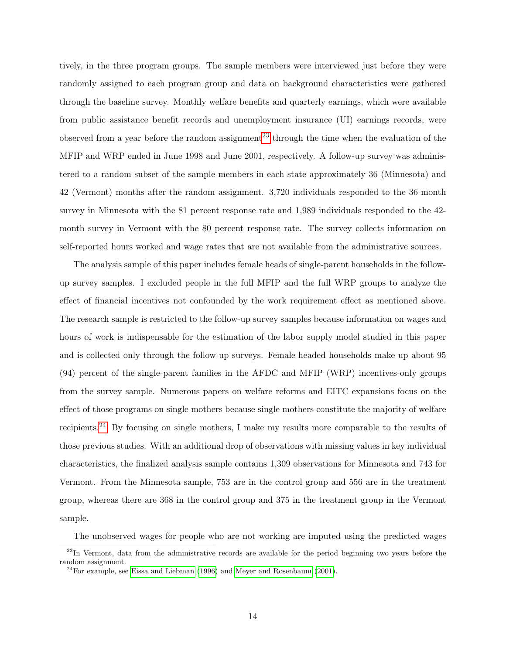tively, in the three program groups. The sample members were interviewed just before they were randomly assigned to each program group and data on background characteristics were gathered through the baseline survey. Monthly welfare benefits and quarterly earnings, which were available from public assistance benefit records and unemployment insurance (UI) earnings records, were observed from a year before the random assignment<sup>[23](#page-14-0)</sup> through the time when the evaluation of the MFIP and WRP ended in June 1998 and June 2001, respectively. A follow-up survey was administered to a random subset of the sample members in each state approximately 36 (Minnesota) and 42 (Vermont) months after the random assignment. 3,720 individuals responded to the 36-month survey in Minnesota with the 81 percent response rate and 1,989 individuals responded to the 42 month survey in Vermont with the 80 percent response rate. The survey collects information on self-reported hours worked and wage rates that are not available from the administrative sources.

The analysis sample of this paper includes female heads of single-parent households in the followup survey samples. I excluded people in the full MFIP and the full WRP groups to analyze the effect of financial incentives not confounded by the work requirement effect as mentioned above. The research sample is restricted to the follow-up survey samples because information on wages and hours of work is indispensable for the estimation of the labor supply model studied in this paper and is collected only through the follow-up surveys. Female-headed households make up about 95 (94) percent of the single-parent families in the AFDC and MFIP (WRP) incentives-only groups from the survey sample. Numerous papers on welfare reforms and EITC expansions focus on the effect of those programs on single mothers because single mothers constitute the majority of welfare recipients.[24](#page-14-1) By focusing on single mothers, I make my results more comparable to the results of those previous studies. With an additional drop of observations with missing values in key individual characteristics, the finalized analysis sample contains 1,309 observations for Minnesota and 743 for Vermont. From the Minnesota sample, 753 are in the control group and 556 are in the treatment group, whereas there are 368 in the control group and 375 in the treatment group in the Vermont sample.

The unobserved wages for people who are not working are imputed using the predicted wages

<span id="page-14-0"></span><sup>&</sup>lt;sup>23</sup>In Vermont, data from the administrative records are available for the period beginning two years before the random assignment.

<span id="page-14-1"></span> $^{24}$ For example, see [Eissa and Liebman](#page-28-12) [\(1996\)](#page-28-12) and [Meyer and Rosenbaum](#page-30-14) [\(2001\)](#page-30-14).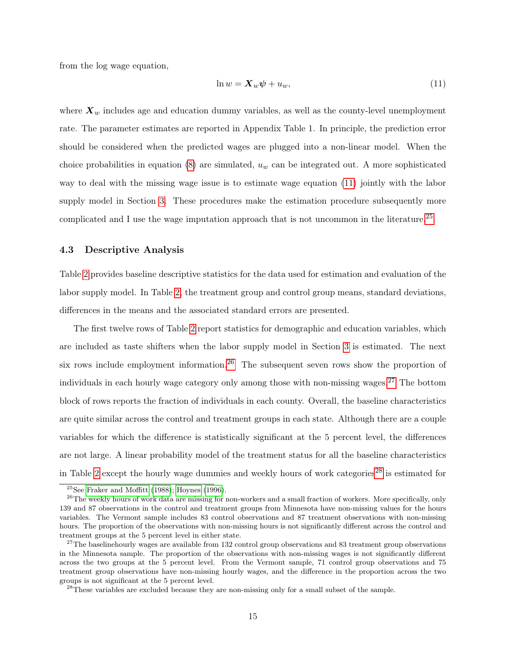from the log wage equation,

<span id="page-15-0"></span>
$$
\ln w = \mathbf{X}_w \boldsymbol{\psi} + u_w,\tag{11}
$$

where  $X_w$  includes age and education dummy variables, as well as the county-level unemployment rate. The parameter estimates are reported in Appendix Table 1. In principle, the prediction error should be considered when the predicted wages are plugged into a non-linear model. When the choice probabilities in equation  $(8)$  are simulated,  $u_w$  can be integrated out. A more sophisticated way to deal with the missing wage issue is to estimate wage equation [\(11\)](#page-15-0) jointly with the labor supply model in Section [3.](#page-6-0) These procedures make the estimation procedure subsequently more complicated and I use the wage imputation approach that is not uncommon in the literature.<sup>[25](#page-15-1)</sup>

### 4.3 Descriptive Analysis

Table [2](#page-38-0) provides baseline descriptive statistics for the data used for estimation and evaluation of the labor supply model. In Table [2,](#page-38-0) the treatment group and control group means, standard deviations, differences in the means and the associated standard errors are presented.

The first twelve rows of Table [2](#page-38-0) report statistics for demographic and education variables, which are included as taste shifters when the labor supply model in Section [3](#page-6-0) is estimated. The next six rows include employment information.<sup>[26](#page-15-2)</sup> The subsequent seven rows show the proportion of individuals in each hourly wage category only among those with non-missing wages.<sup>[27](#page-15-3)</sup> The bottom block of rows reports the fraction of individuals in each county. Overall, the baseline characteristics are quite similar across the control and treatment groups in each state. Although there are a couple variables for which the difference is statistically significant at the 5 percent level, the differences are not large. A linear probability model of the treatment status for all the baseline characteristics in Table [2](#page-38-0) except the hourly wage dummies and weekly hours of work categories<sup>[28](#page-15-4)</sup> is estimated for

<span id="page-15-2"></span><span id="page-15-1"></span> $25$ See [Fraker and Moffitt](#page-29-4) [\(1988\)](#page-29-4); [Hoynes](#page-29-5) [\(1996\)](#page-29-5).

<sup>&</sup>lt;sup>26</sup>The weekly hours of work data are missing for non-workers and a small fraction of workers. More specifically, only 139 and 87 observations in the control and treatment groups from Minnesota have non-missing values for the hours variables. The Vermont sample includes 83 control observations and 87 treatment observations with non-missing hours. The proportion of the observations with non-missing hours is not significantly different across the control and treatment groups at the 5 percent level in either state.

<span id="page-15-3"></span> $27$ The baselinehourly wages are available from 132 control group observations and 83 treatment group observations in the Minnesota sample. The proportion of the observations with non-missing wages is not significantly different across the two groups at the 5 percent level. From the Vermont sample, 71 control group observations and 75 treatment group observations have non-missing hourly wages, and the difference in the proportion across the two groups is not significant at the 5 percent level.

<span id="page-15-4"></span><sup>&</sup>lt;sup>28</sup>These variables are excluded because they are non-missing only for a small subset of the sample.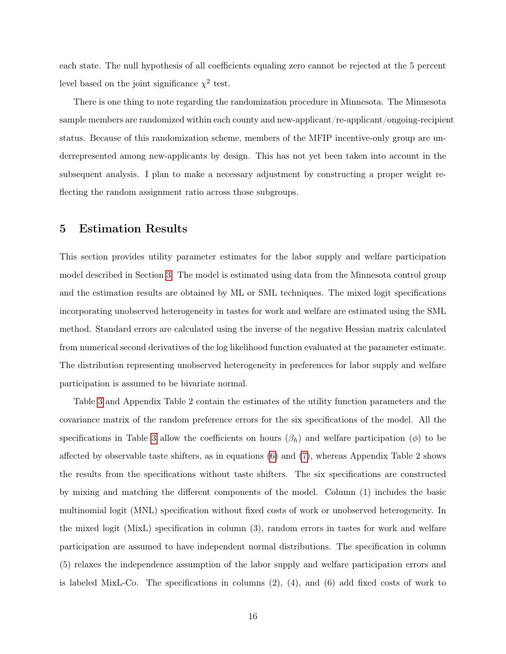each state. The null hypothesis of all coefficients equaling zero cannot be rejected at the 5 percent level based on the joint significance  $\chi^2$  test.

There is one thing to note regarding the randomization procedure in Minnesota. The Minnesota sample members are randomized within each county and new-applicant/re-applicant/ongoing-recipient status. Because of this randomization scheme, members of the MFIP incentive-only group are underrepresented among new-applicants by design. This has not yet been taken into account in the subsequent analysis. I plan to make a necessary adjustment by constructing a proper weight reflecting the random assignment ratio across those subgroups.

### <span id="page-16-0"></span>5 Estimation Results

This section provides utility parameter estimates for the labor supply and welfare participation model described in Section [3.](#page-6-0) The model is estimated using data from the Minnesota control group and the estimation results are obtained by ML or SML techniques. The mixed logit specifications incorporating unobserved heterogeneity in tastes for work and welfare are estimated using the SML method. Standard errors are calculated using the inverse of the negative Hessian matrix calculated from numerical second derivatives of the log likelihood function evaluated at the parameter estimate. The distribution representing unobserved heterogeneity in preferences for labor supply and welfare participation is assumed to be bivariate normal.

Table [3](#page-39-0) and Appendix Table 2 contain the estimates of the utility function parameters and the covariance matrix of the random preference errors for the six specifications of the model. All the specifications in Table [3](#page-39-0) allow the coefficients on hours  $(\beta_h)$  and welfare participation  $(\phi)$  to be affected by observable taste shifters, as in equations [\(6\)](#page-10-2) and [\(7\)](#page-10-2), whereas Appendix Table 2 shows the results from the specifications without taste shifters. The six specifications are constructed by mixing and matching the different components of the model. Column (1) includes the basic multinomial logit (MNL) specification without fixed costs of work or unobserved heterogeneity. In the mixed logit (MixL) specification in column (3), random errors in tastes for work and welfare participation are assumed to have independent normal distributions. The specification in column (5) relaxes the independence assumption of the labor supply and welfare participation errors and is labeled MixL-Co. The specifications in columns  $(2)$ ,  $(4)$ , and  $(6)$  add fixed costs of work to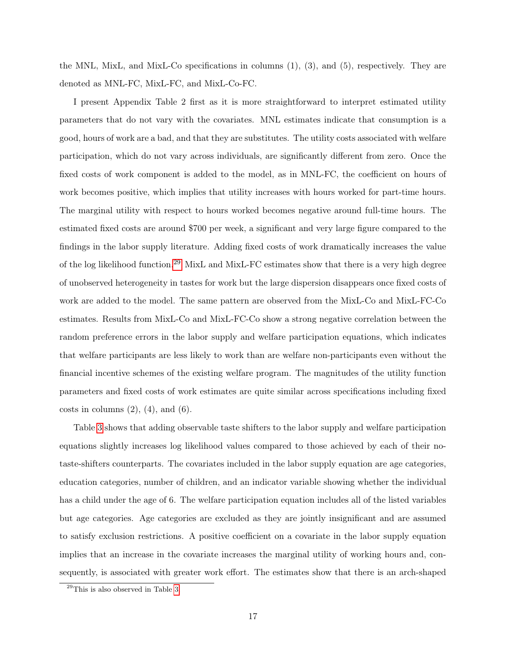the MNL, MixL, and MixL-Co specifications in columns (1), (3), and (5), respectively. They are denoted as MNL-FC, MixL-FC, and MixL-Co-FC.

I present Appendix Table 2 first as it is more straightforward to interpret estimated utility parameters that do not vary with the covariates. MNL estimates indicate that consumption is a good, hours of work are a bad, and that they are substitutes. The utility costs associated with welfare participation, which do not vary across individuals, are significantly different from zero. Once the fixed costs of work component is added to the model, as in MNL-FC, the coefficient on hours of work becomes positive, which implies that utility increases with hours worked for part-time hours. The marginal utility with respect to hours worked becomes negative around full-time hours. The estimated fixed costs are around \$700 per week, a significant and very large figure compared to the findings in the labor supply literature. Adding fixed costs of work dramatically increases the value of the log likelihood function.[29](#page-17-0) MixL and MixL-FC estimates show that there is a very high degree of unobserved heterogeneity in tastes for work but the large dispersion disappears once fixed costs of work are added to the model. The same pattern are observed from the MixL-Co and MixL-FC-Co estimates. Results from MixL-Co and MixL-FC-Co show a strong negative correlation between the random preference errors in the labor supply and welfare participation equations, which indicates that welfare participants are less likely to work than are welfare non-participants even without the financial incentive schemes of the existing welfare program. The magnitudes of the utility function parameters and fixed costs of work estimates are quite similar across specifications including fixed costs in columns  $(2)$ ,  $(4)$ , and  $(6)$ .

Table [3](#page-39-0) shows that adding observable taste shifters to the labor supply and welfare participation equations slightly increases log likelihood values compared to those achieved by each of their notaste-shifters counterparts. The covariates included in the labor supply equation are age categories, education categories, number of children, and an indicator variable showing whether the individual has a child under the age of 6. The welfare participation equation includes all of the listed variables but age categories. Age categories are excluded as they are jointly insignificant and are assumed to satisfy exclusion restrictions. A positive coefficient on a covariate in the labor supply equation implies that an increase in the covariate increases the marginal utility of working hours and, consequently, is associated with greater work effort. The estimates show that there is an arch-shaped

<span id="page-17-0"></span><sup>29</sup>This is also observed in Table [3.](#page-39-0)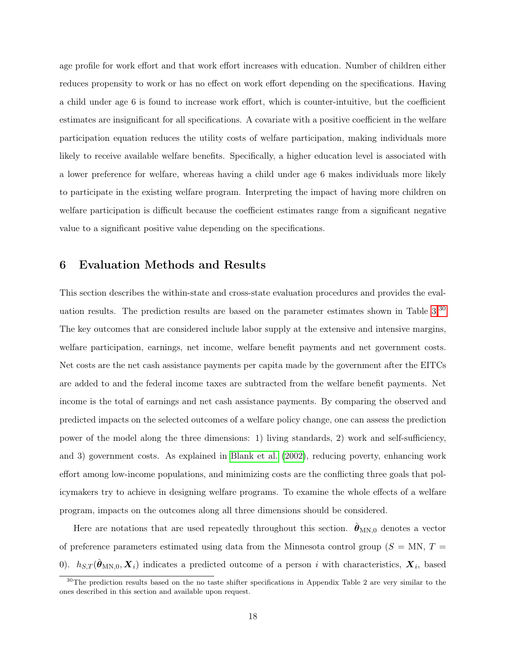age profile for work effort and that work effort increases with education. Number of children either reduces propensity to work or has no effect on work effort depending on the specifications. Having a child under age 6 is found to increase work effort, which is counter-intuitive, but the coefficient estimates are insignificant for all specifications. A covariate with a positive coefficient in the welfare participation equation reduces the utility costs of welfare participation, making individuals more likely to receive available welfare benefits. Specifically, a higher education level is associated with a lower preference for welfare, whereas having a child under age 6 makes individuals more likely to participate in the existing welfare program. Interpreting the impact of having more children on welfare participation is difficult because the coefficient estimates range from a significant negative value to a significant positive value depending on the specifications.

### <span id="page-18-0"></span>6 Evaluation Methods and Results

This section describes the within-state and cross-state evaluation procedures and provides the evaluation results. The prediction results are based on the parameter estimates shown in Table [3.](#page-39-0)[30](#page-18-1) The key outcomes that are considered include labor supply at the extensive and intensive margins, welfare participation, earnings, net income, welfare benefit payments and net government costs. Net costs are the net cash assistance payments per capita made by the government after the EITCs are added to and the federal income taxes are subtracted from the welfare benefit payments. Net income is the total of earnings and net cash assistance payments. By comparing the observed and predicted impacts on the selected outcomes of a welfare policy change, one can assess the prediction power of the model along the three dimensions: 1) living standards, 2) work and self-sufficiency, and 3) government costs. As explained in [Blank et al.](#page-28-0) [\(2002\)](#page-28-0), reducing poverty, enhancing work effort among low-income populations, and minimizing costs are the conflicting three goals that policymakers try to achieve in designing welfare programs. To examine the whole effects of a welfare program, impacts on the outcomes along all three dimensions should be considered.

Here are notations that are used repeatedly throughout this section.  $\theta_{MN,0}$  denotes a vector of preference parameters estimated using data from the Minnesota control group ( $S = MN$ ,  $T =$ 0).  $h_{S,T}(\hat{\theta}_{MN,0}, \mathbf{X}_i)$  indicates a predicted outcome of a person i with characteristics,  $\mathbf{X}_i$ , based

<span id="page-18-1"></span> $30$ The prediction results based on the no taste shifter specifications in Appendix Table 2 are very similar to the ones described in this section and available upon request.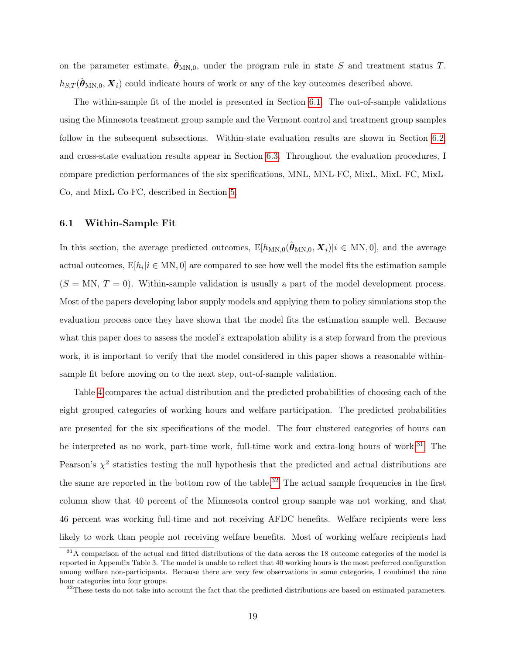on the parameter estimate,  $\hat{\theta}_{MN,0}$ , under the program rule in state S and treatment status T.  $h_{S,T}(\hat{\theta}_{MN,0}, \mathbf{X}_i)$  could indicate hours of work or any of the key outcomes described above.

The within-sample fit of the model is presented in Section [6.1.](#page-19-0) The out-of-sample validations using the Minnesota treatment group sample and the Vermont control and treatment group samples follow in the subsequent subsections. Within-state evaluation results are shown in Section [6.2,](#page-21-0) and cross-state evaluation results appear in Section [6.3.](#page-24-0) Throughout the evaluation procedures, I compare prediction performances of the six specifications, MNL, MNL-FC, MixL, MixL-FC, MixL-Co, and MixL-Co-FC, described in Section [5.](#page-16-0)

#### <span id="page-19-0"></span>6.1 Within-Sample Fit

In this section, the average predicted outcomes,  $E[h_{MN,0}(\hat{\theta}_{MN,0}, X_i)|i \in MN, 0]$ , and the average actual outcomes,  $E[h_i | i \in MN, 0]$  are compared to see how well the model fits the estimation sample  $(S = MN, T = 0)$ . Within-sample validation is usually a part of the model development process. Most of the papers developing labor supply models and applying them to policy simulations stop the evaluation process once they have shown that the model fits the estimation sample well. Because what this paper does to assess the model's extrapolation ability is a step forward from the previous work, it is important to verify that the model considered in this paper shows a reasonable withinsample fit before moving on to the next step, out-of-sample validation.

Table [4](#page-41-0) compares the actual distribution and the predicted probabilities of choosing each of the eight grouped categories of working hours and welfare participation. The predicted probabilities are presented for the six specifications of the model. The four clustered categories of hours can be interpreted as no work, part-time work, full-time work and extra-long hours of work.<sup>[31](#page-19-1)</sup> The Pearson's  $\chi^2$  statistics testing the null hypothesis that the predicted and actual distributions are the same are reported in the bottom row of the table.<sup>[32](#page-19-2)</sup> The actual sample frequencies in the first column show that 40 percent of the Minnesota control group sample was not working, and that 46 percent was working full-time and not receiving AFDC benefits. Welfare recipients were less likely to work than people not receiving welfare benefits. Most of working welfare recipients had

<span id="page-19-1"></span> $31A$  comparison of the actual and fitted distributions of the data across the 18 outcome categories of the model is reported in Appendix Table 3. The model is unable to reflect that 40 working hours is the most preferred configuration among welfare non-participants. Because there are very few observations in some categories, I combined the nine hour categories into four groups.

<span id="page-19-2"></span> $32$ These tests do not take into account the fact that the predicted distributions are based on estimated parameters.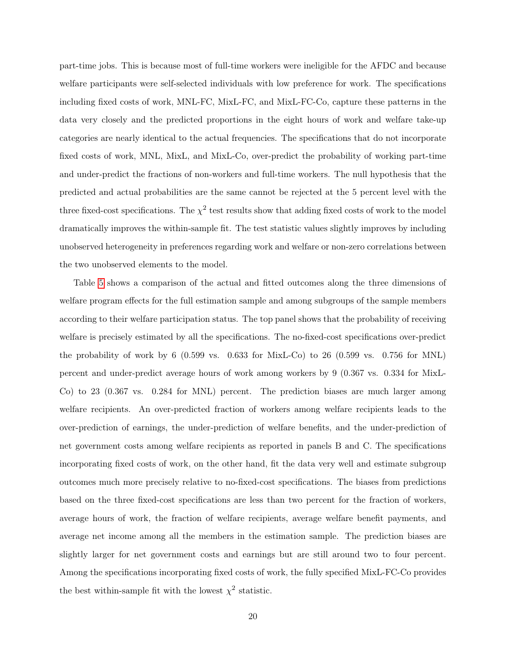part-time jobs. This is because most of full-time workers were ineligible for the AFDC and because welfare participants were self-selected individuals with low preference for work. The specifications including fixed costs of work, MNL-FC, MixL-FC, and MixL-FC-Co, capture these patterns in the data very closely and the predicted proportions in the eight hours of work and welfare take-up categories are nearly identical to the actual frequencies. The specifications that do not incorporate fixed costs of work, MNL, MixL, and MixL-Co, over-predict the probability of working part-time and under-predict the fractions of non-workers and full-time workers. The null hypothesis that the predicted and actual probabilities are the same cannot be rejected at the 5 percent level with the three fixed-cost specifications. The  $\chi^2$  test results show that adding fixed costs of work to the model dramatically improves the within-sample fit. The test statistic values slightly improves by including unobserved heterogeneity in preferences regarding work and welfare or non-zero correlations between the two unobserved elements to the model.

Table [5](#page-42-0) shows a comparison of the actual and fitted outcomes along the three dimensions of welfare program effects for the full estimation sample and among subgroups of the sample members according to their welfare participation status. The top panel shows that the probability of receiving welfare is precisely estimated by all the specifications. The no-fixed-cost specifications over-predict the probability of work by 6 (0.599 vs. 0.633 for MixL-Co) to 26 (0.599 vs. 0.756 for MNL) percent and under-predict average hours of work among workers by 9 (0.367 vs. 0.334 for MixL-Co) to 23 (0.367 vs. 0.284 for MNL) percent. The prediction biases are much larger among welfare recipients. An over-predicted fraction of workers among welfare recipients leads to the over-prediction of earnings, the under-prediction of welfare benefits, and the under-prediction of net government costs among welfare recipients as reported in panels B and C. The specifications incorporating fixed costs of work, on the other hand, fit the data very well and estimate subgroup outcomes much more precisely relative to no-fixed-cost specifications. The biases from predictions based on the three fixed-cost specifications are less than two percent for the fraction of workers, average hours of work, the fraction of welfare recipients, average welfare benefit payments, and average net income among all the members in the estimation sample. The prediction biases are slightly larger for net government costs and earnings but are still around two to four percent. Among the specifications incorporating fixed costs of work, the fully specified MixL-FC-Co provides the best within-sample fit with the lowest  $\chi^2$  statistic.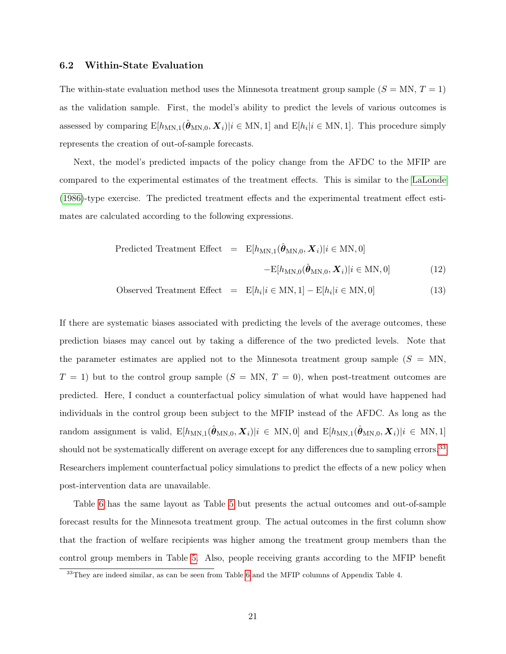#### <span id="page-21-0"></span>6.2 Within-State Evaluation

The within-state evaluation method uses the Minnesota treatment group sample  $(S = MN, T = 1)$ as the validation sample. First, the model's ability to predict the levels of various outcomes is assessed by comparing  $E[h_{MN,1}(\hat{\theta}_{MN,0}, \mathbf{X}_i)|i \in MN, 1]$  and  $E[h_i|i \in MN, 1]$ . This procedure simply represents the creation of out-of-sample forecasts.

Next, the model's predicted impacts of the policy change from the AFDC to the MFIP are compared to the experimental estimates of the treatment effects. This is similar to the [LaLonde](#page-30-0) [\(1986\)](#page-30-0)-type exercise. The predicted treatment effects and the experimental treatment effect estimates are calculated according to the following expressions.

<span id="page-21-2"></span>Predicted Treatment Effect = 
$$
E[h_{MN,1}(\hat{\boldsymbol{\theta}}_{MN,0}, \boldsymbol{X}_i)|i \in MN, 0]
$$
  
- $E[h_{MN,0}(\hat{\boldsymbol{\theta}}_{MN,0}, \boldsymbol{X}_i)|i \in MN, 0]$  (12)

Observed Treatment Effect =  $E[h_i | i \in MN, 1] - E[h_i | i \in MN, 0]$  (13)

If there are systematic biases associated with predicting the levels of the average outcomes, these prediction biases may cancel out by taking a difference of the two predicted levels. Note that the parameter estimates are applied not to the Minnesota treatment group sample  $(S = MN,$  $T = 1$ ) but to the control group sample  $(S = MN, T = 0)$ , when post-treatment outcomes are predicted. Here, I conduct a counterfactual policy simulation of what would have happened had individuals in the control group been subject to the MFIP instead of the AFDC. As long as the random assignment is valid,  $E[h_{MN,1}(\hat{\theta}_{MN,0}, \mathbf{X}_i)|i \in MN, 0]$  and  $E[h_{MN,1}(\hat{\theta}_{MN,0}, \mathbf{X}_i)|i \in MN, 1]$ should not be systematically different on average except for any differences due to sampling errors.<sup>[33](#page-21-1)</sup> Researchers implement counterfactual policy simulations to predict the effects of a new policy when post-intervention data are unavailable.

Table [6](#page-43-0) has the same layout as Table [5](#page-42-0) but presents the actual outcomes and out-of-sample forecast results for the Minnesota treatment group. The actual outcomes in the first column show that the fraction of welfare recipients was higher among the treatment group members than the control group members in Table [5.](#page-42-0) Also, people receiving grants according to the MFIP benefit

<span id="page-21-1"></span><sup>&</sup>lt;sup>33</sup>They are indeed similar, as can be seen from Table [6](#page-43-0) and the MFIP columns of Appendix Table 4.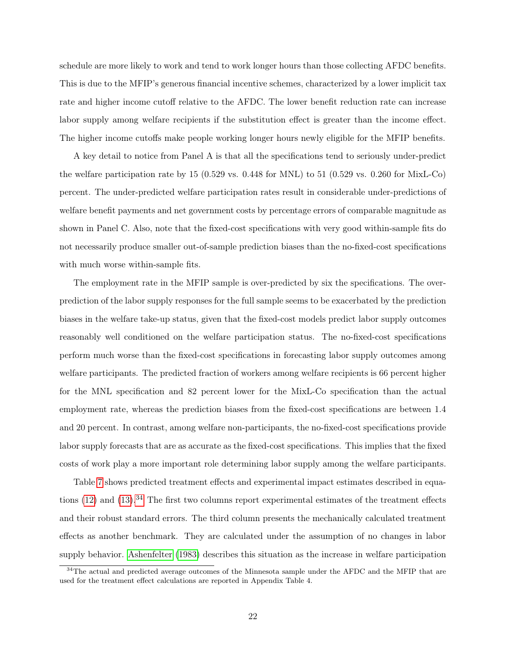schedule are more likely to work and tend to work longer hours than those collecting AFDC benefits. This is due to the MFIP's generous financial incentive schemes, characterized by a lower implicit tax rate and higher income cutoff relative to the AFDC. The lower benefit reduction rate can increase labor supply among welfare recipients if the substitution effect is greater than the income effect. The higher income cutoffs make people working longer hours newly eligible for the MFIP benefits.

A key detail to notice from Panel A is that all the specifications tend to seriously under-predict the welfare participation rate by 15 (0.529 vs. 0.448 for MNL) to 51 (0.529 vs. 0.260 for MixL-Co) percent. The under-predicted welfare participation rates result in considerable under-predictions of welfare benefit payments and net government costs by percentage errors of comparable magnitude as shown in Panel C. Also, note that the fixed-cost specifications with very good within-sample fits do not necessarily produce smaller out-of-sample prediction biases than the no-fixed-cost specifications with much worse within-sample fits.

The employment rate in the MFIP sample is over-predicted by six the specifications. The overprediction of the labor supply responses for the full sample seems to be exacerbated by the prediction biases in the welfare take-up status, given that the fixed-cost models predict labor supply outcomes reasonably well conditioned on the welfare participation status. The no-fixed-cost specifications perform much worse than the fixed-cost specifications in forecasting labor supply outcomes among welfare participants. The predicted fraction of workers among welfare recipients is 66 percent higher for the MNL specification and 82 percent lower for the MixL-Co specification than the actual employment rate, whereas the prediction biases from the fixed-cost specifications are between 1.4 and 20 percent. In contrast, among welfare non-participants, the no-fixed-cost specifications provide labor supply forecasts that are as accurate as the fixed-cost specifications. This implies that the fixed costs of work play a more important role determining labor supply among the welfare participants.

Table [7](#page-44-0) shows predicted treatment effects and experimental impact estimates described in equations  $(12)$  and  $(13)$ .<sup>[34](#page-22-0)</sup> The first two columns report experimental estimates of the treatment effects and their robust standard errors. The third column presents the mechanically calculated treatment effects as another benchmark. They are calculated under the assumption of no changes in labor supply behavior. [Ashenfelter](#page-28-13) [\(1983\)](#page-28-13) describes this situation as the increase in welfare participation

<span id="page-22-0"></span><sup>&</sup>lt;sup>34</sup>The actual and predicted average outcomes of the Minnesota sample under the AFDC and the MFIP that are used for the treatment effect calculations are reported in Appendix Table 4.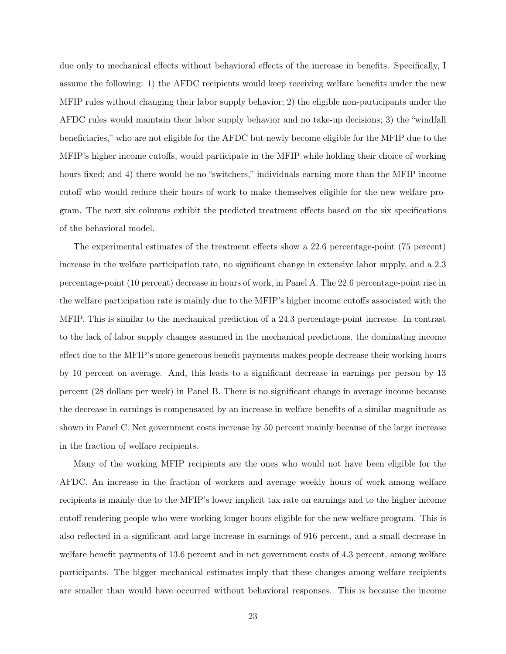due only to mechanical effects without behavioral effects of the increase in benefits. Specifically, I assume the following: 1) the AFDC recipients would keep receiving welfare benefits under the new MFIP rules without changing their labor supply behavior; 2) the eligible non-participants under the AFDC rules would maintain their labor supply behavior and no take-up decisions; 3) the "windfall beneficiaries," who are not eligible for the AFDC but newly become eligible for the MFIP due to the MFIP's higher income cutoffs, would participate in the MFIP while holding their choice of working hours fixed; and 4) there would be no "switchers," individuals earning more than the MFIP income cutoff who would reduce their hours of work to make themselves eligible for the new welfare program. The next six columns exhibit the predicted treatment effects based on the six specifications of the behavioral model.

The experimental estimates of the treatment effects show a 22.6 percentage-point (75 percent) increase in the welfare participation rate, no significant change in extensive labor supply, and a 2.3 percentage-point (10 percent) decrease in hours of work, in Panel A. The 22.6 percentage-point rise in the welfare participation rate is mainly due to the MFIP's higher income cutoffs associated with the MFIP. This is similar to the mechanical prediction of a 24.3 percentage-point increase. In contrast to the lack of labor supply changes assumed in the mechanical predictions, the dominating income effect due to the MFIP's more generous benefit payments makes people decrease their working hours by 10 percent on average. And, this leads to a significant decrease in earnings per person by 13 percent (28 dollars per week) in Panel B. There is no significant change in average income because the decrease in earnings is compensated by an increase in welfare benefits of a similar magnitude as shown in Panel C. Net government costs increase by 50 percent mainly because of the large increase in the fraction of welfare recipients.

Many of the working MFIP recipients are the ones who would not have been eligible for the AFDC. An increase in the fraction of workers and average weekly hours of work among welfare recipients is mainly due to the MFIP's lower implicit tax rate on earnings and to the higher income cutoff rendering people who were working longer hours eligible for the new welfare program. This is also reflected in a significant and large increase in earnings of 916 percent, and a small decrease in welfare benefit payments of 13.6 percent and in net government costs of 4.3 percent, among welfare participants. The bigger mechanical estimates imply that these changes among welfare recipients are smaller than would have occurred without behavioral responses. This is because the income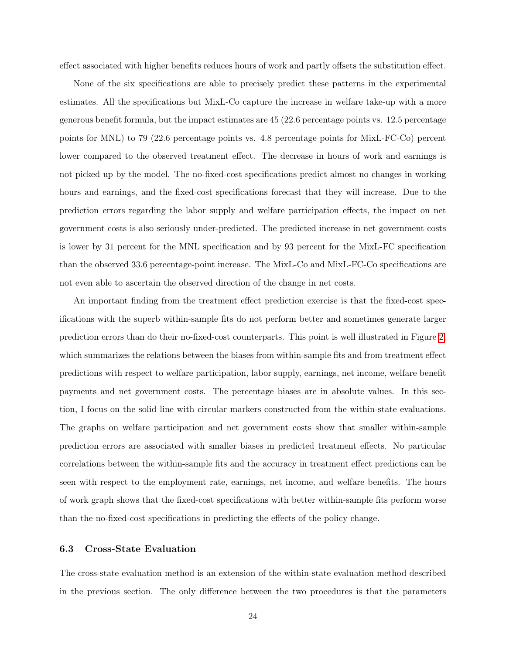effect associated with higher benefits reduces hours of work and partly offsets the substitution effect.

None of the six specifications are able to precisely predict these patterns in the experimental estimates. All the specifications but MixL-Co capture the increase in welfare take-up with a more generous benefit formula, but the impact estimates are 45 (22.6 percentage points vs. 12.5 percentage points for MNL) to 79 (22.6 percentage points vs. 4.8 percentage points for MixL-FC-Co) percent lower compared to the observed treatment effect. The decrease in hours of work and earnings is not picked up by the model. The no-fixed-cost specifications predict almost no changes in working hours and earnings, and the fixed-cost specifications forecast that they will increase. Due to the prediction errors regarding the labor supply and welfare participation effects, the impact on net government costs is also seriously under-predicted. The predicted increase in net government costs is lower by 31 percent for the MNL specification and by 93 percent for the MixL-FC specification than the observed 33.6 percentage-point increase. The MixL-Co and MixL-FC-Co specifications are not even able to ascertain the observed direction of the change in net costs.

An important finding from the treatment effect prediction exercise is that the fixed-cost specifications with the superb within-sample fits do not perform better and sometimes generate larger prediction errors than do their no-fixed-cost counterparts. This point is well illustrated in Figure [2,](#page-36-0) which summarizes the relations between the biases from within-sample fits and from treatment effect predictions with respect to welfare participation, labor supply, earnings, net income, welfare benefit payments and net government costs. The percentage biases are in absolute values. In this section, I focus on the solid line with circular markers constructed from the within-state evaluations. The graphs on welfare participation and net government costs show that smaller within-sample prediction errors are associated with smaller biases in predicted treatment effects. No particular correlations between the within-sample fits and the accuracy in treatment effect predictions can be seen with respect to the employment rate, earnings, net income, and welfare benefits. The hours of work graph shows that the fixed-cost specifications with better within-sample fits perform worse than the no-fixed-cost specifications in predicting the effects of the policy change.

### <span id="page-24-0"></span>6.3 Cross-State Evaluation

The cross-state evaluation method is an extension of the within-state evaluation method described in the previous section. The only difference between the two procedures is that the parameters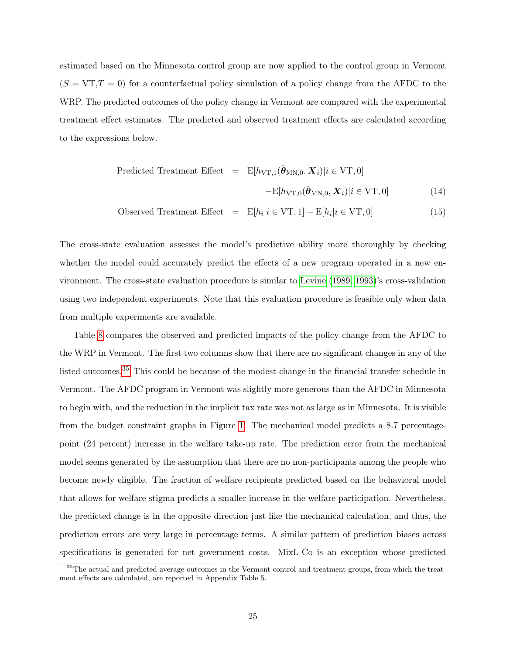estimated based on the Minnesota control group are now applied to the control group in Vermont  $(S = VT, T = 0)$  for a counterfactual policy simulation of a policy change from the AFDC to the WRP. The predicted outcomes of the policy change in Vermont are compared with the experimental treatment effect estimates. The predicted and observed treatment effects are calculated according to the expressions below.

Predicted Treatment Effect = 
$$
E[h_{\text{VT},1}(\hat{\theta}_{\text{MN},0}, \mathbf{X}_i)|i \in \text{VT}, 0]
$$
  
- $E[h_{\text{VT},0}(\hat{\theta}_{\text{MN},0}, \mathbf{X}_i)|i \in \text{VT}, 0]$  (14)

$$
Observed Treatment Effect = E[h_i | i \in VT, 1] - E[h_i | i \in VT, 0]
$$
\n(15)

The cross-state evaluation assesses the model's predictive ability more thoroughly by checking whether the model could accurately predict the effects of a new program operated in a new environment. The cross-state evaluation procedure is similar to [Levine](#page-30-6) [\(1989,](#page-30-6) [1993\)](#page-30-7)'s cross-validation using two independent experiments. Note that this evaluation procedure is feasible only when data from multiple experiments are available.

Table [8](#page-45-0) compares the observed and predicted impacts of the policy change from the AFDC to the WRP in Vermont. The first two columns show that there are no significant changes in any of the listed outcomes.<sup>[35](#page-25-0)</sup> This could be because of the modest change in the financial transfer schedule in Vermont. The AFDC program in Vermont was slightly more generous than the AFDC in Minnesota to begin with, and the reduction in the implicit tax rate was not as large as in Minnesota. It is visible from the budget constraint graphs in Figure [1.](#page-35-0) The mechanical model predicts a 8.7 percentagepoint (24 percent) increase in the welfare take-up rate. The prediction error from the mechanical model seems generated by the assumption that there are no non-participants among the people who become newly eligible. The fraction of welfare recipients predicted based on the behavioral model that allows for welfare stigma predicts a smaller increase in the welfare participation. Nevertheless, the predicted change is in the opposite direction just like the mechanical calculation, and thus, the prediction errors are very large in percentage terms. A similar pattern of prediction biases across specifications is generated for net government costs. MixL-Co is an exception whose predicted

<span id="page-25-0"></span><sup>&</sup>lt;sup>35</sup>The actual and predicted average outcomes in the Vermont control and treatment groups, from which the treatment effects are calculated, are reported in Appendix Table 5.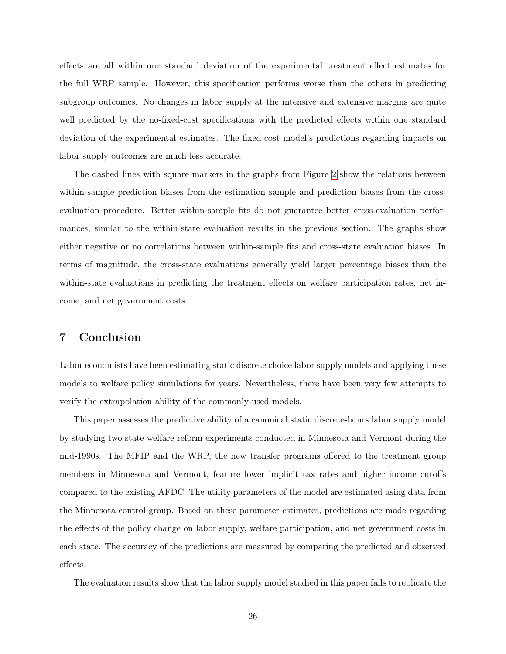effects are all within one standard deviation of the experimental treatment effect estimates for the full WRP sample. However, this specification performs worse than the others in predicting subgroup outcomes. No changes in labor supply at the intensive and extensive margins are quite well predicted by the no-fixed-cost specifications with the predicted effects within one standard deviation of the experimental estimates. The fixed-cost model's predictions regarding impacts on labor supply outcomes are much less accurate.

The dashed lines with square markers in the graphs from Figure [2](#page-36-0) show the relations between within-sample prediction biases from the estimation sample and prediction biases from the crossevaluation procedure. Better within-sample fits do not guarantee better cross-evaluation performances, similar to the within-state evaluation results in the previous section. The graphs show either negative or no correlations between within-sample fits and cross-state evaluation biases. In terms of magnitude, the cross-state evaluations generally yield larger percentage biases than the within-state evaluations in predicting the treatment effects on welfare participation rates, net income, and net government costs.

## <span id="page-26-0"></span>7 Conclusion

Labor economists have been estimating static discrete choice labor supply models and applying these models to welfare policy simulations for years. Nevertheless, there have been very few attempts to verify the extrapolation ability of the commonly-used models.

This paper assesses the predictive ability of a canonical static discrete-hours labor supply model by studying two state welfare reform experiments conducted in Minnesota and Vermont during the mid-1990s. The MFIP and the WRP, the new transfer programs offered to the treatment group members in Minnesota and Vermont, feature lower implicit tax rates and higher income cutoffs compared to the existing AFDC. The utility parameters of the model are estimated using data from the Minnesota control group. Based on these parameter estimates, predictions are made regarding the effects of the policy change on labor supply, welfare participation, and net government costs in each state. The accuracy of the predictions are measured by comparing the predicted and observed effects.

The evaluation results show that the labor supply model studied in this paper fails to replicate the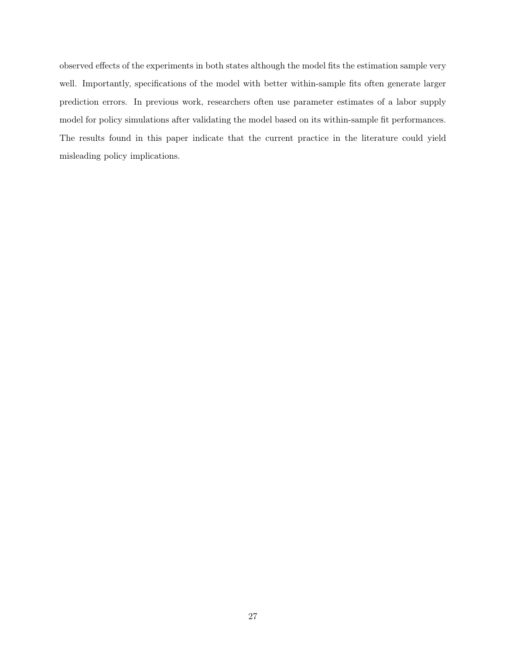observed effects of the experiments in both states although the model fits the estimation sample very well. Importantly, specifications of the model with better within-sample fits often generate larger prediction errors. In previous work, researchers often use parameter estimates of a labor supply model for policy simulations after validating the model based on its within-sample fit performances. The results found in this paper indicate that the current practice in the literature could yield misleading policy implications.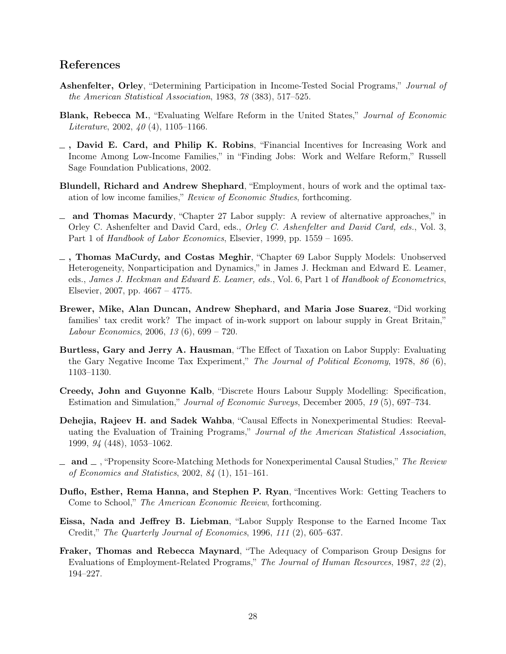### References

- <span id="page-28-13"></span>Ashenfelter, Orley, "Determining Participation in Income-Tested Social Programs," Journal of the American Statistical Association, 1983, 78 (383), 517–525.
- <span id="page-28-11"></span>Blank, Rebecca M., "Evaluating Welfare Reform in the United States," Journal of Economic Literature, 2002,  $40(4)$ , 1105-1166.
- <span id="page-28-0"></span>, David E. Card, and Philip K. Robins, "Financial Incentives for Increasing Work and Income Among Low-Income Families," in "Finding Jobs: Work and Welfare Reform," Russell Sage Foundation Publications, 2002.
- <span id="page-28-6"></span>Blundell, Richard and Andrew Shephard, "Employment, hours of work and the optimal taxation of low income families," Review of Economic Studies, forthcoming.
- <span id="page-28-8"></span>- and Thomas Macurdy, "Chapter 27 Labor supply: A review of alternative approaches," in Orley C. Ashenfelter and David Card, eds., *Orley C. Ashenfelter and David Card, eds.*, Vol. 3, Part 1 of Handbook of Labor Economics, Elsevier, 1999, pp. 1559 – 1695.
- <span id="page-28-9"></span> $_$ , Thomas MaCurdy, and Costas Meghir, "Chapter 69 Labor Supply Models: Unobserved Heterogeneity, Nonparticipation and Dynamics," in James J. Heckman and Edward E. Leamer, eds., James J. Heckman and Edward E. Leamer, eds., Vol. 6, Part 1 of Handbook of Econometrics, Elsevier, 2007, pp. 4667 – 4775.
- <span id="page-28-5"></span>Brewer, Mike, Alan Duncan, Andrew Shephard, and Maria Jose Suarez, "Did working families' tax credit work? The impact of in-work support on labour supply in Great Britain," Labour Economics, 2006, 13 (6), 699 – 720.
- <span id="page-28-10"></span>Burtless, Gary and Jerry A. Hausman, "The Effect of Taxation on Labor Supply: Evaluating the Gary Negative Income Tax Experiment," The Journal of Political Economy, 1978, 86 (6), 1103–1130.
- <span id="page-28-7"></span>Creedy, John and Guyonne Kalb, "Discrete Hours Labour Supply Modelling: Specification, Estimation and Simulation," Journal of Economic Surveys, December 2005, 19 (5), 697–734.
- <span id="page-28-3"></span>Dehejia, Rajeev H. and Sadek Wahba, "Causal Effects in Nonexperimental Studies: Reevaluating the Evaluation of Training Programs," Journal of the American Statistical Association, 1999, 94 (448), 1053–1062.
- <span id="page-28-4"></span> $\Box$  and  $\Box$ , "Propensity Score-Matching Methods for Nonexperimental Causal Studies," The Review of Economics and Statistics, 2002, 84 (1), 151–161.
- <span id="page-28-2"></span>Duflo, Esther, Rema Hanna, and Stephen P. Ryan, "Incentives Work: Getting Teachers to Come to School," The American Economic Review, forthcoming.
- <span id="page-28-12"></span>Eissa, Nada and Jeffrey B. Liebman, "Labor Supply Response to the Earned Income Tax Credit," The Quarterly Journal of Economics, 1996, 111 (2), 605–637.
- <span id="page-28-1"></span>Fraker, Thomas and Rebecca Maynard, "The Adequacy of Comparison Group Designs for Evaluations of Employment-Related Programs," The Journal of Human Resources, 1987, 22 (2), 194–227.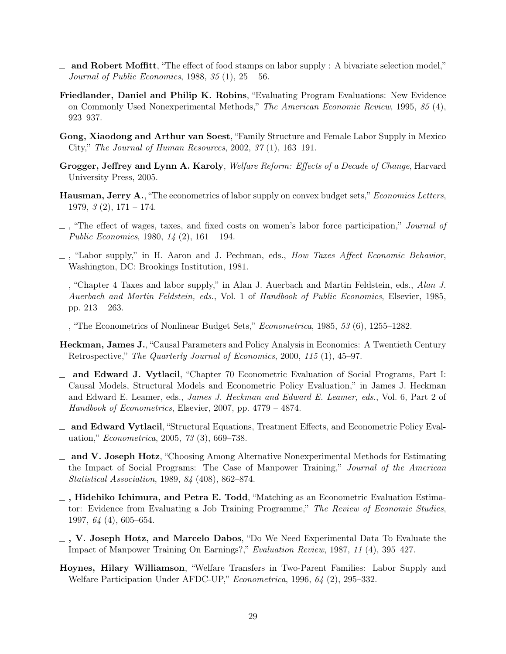- <span id="page-29-4"></span> $\Box$  and Robert Moffitt, "The effect of food stamps on labor supply : A bivariate selection model," *Journal of Public Economics*, 1988, 35  $(1)$ , 25 – 56.
- <span id="page-29-2"></span>Friedlander, Daniel and Philip K. Robins, "Evaluating Program Evaluations: New Evidence on Commonly Used Nonexperimental Methods," The American Economic Review, 1995, 85 (4), 923–937.
- <span id="page-29-6"></span>Gong, Xiaodong and Arthur van Soest, "Family Structure and Female Labor Supply in Mexico City," The Journal of Human Resources, 2002, 37 (1), 163–191.
- <span id="page-29-15"></span>Grogger, Jeffrey and Lynn A. Karoly, Welfare Reform: Effects of a Decade of Change, Harvard University Press, 2005.
- <span id="page-29-10"></span>Hausman, Jerry A., "The econometrics of labor supply on convex budget sets," Economics Letters, 1979,  $\beta$  (2),  $171 - 174$ .
- <span id="page-29-11"></span> $\Box$ , "The effect of wages, taxes, and fixed costs on women's labor force participation," *Journal of* Public Economics, 1980,  $14(2)$ , 161 – 194.
- <span id="page-29-12"></span> $\Box$ , "Labor supply," in H. Aaron and J. Pechman, eds., How Taxes Affect Economic Behavior, Washington, DC: Brookings Institution, 1981.
- <span id="page-29-13"></span>, "Chapter 4 Taxes and labor supply," in Alan J. Auerbach and Martin Feldstein, eds., Alan J. Auerbach and Martin Feldstein, eds., Vol. 1 of Handbook of Public Economics, Elsevier, 1985, pp. 213 – 263.
- <span id="page-29-14"></span>, "The Econometrics of Nonlinear Budget Sets," Econometrica, 1985, 53 (6), 1255–1282.
- <span id="page-29-7"></span>Heckman, James J., "Causal Parameters and Policy Analysis in Economics: A Twentieth Century Retrospective," The Quarterly Journal of Economics, 2000, 115 (1), 45–97.
- <span id="page-29-9"></span>and Edward J. Vytlacil, "Chapter 70 Econometric Evaluation of Social Programs, Part I: Causal Models, Structural Models and Econometric Policy Evaluation," in James J. Heckman and Edward E. Leamer, eds., James J. Heckman and Edward E. Leamer, eds., Vol. 6, Part 2 of Handbook of Econometrics, Elsevier, 2007, pp. 4779 – 4874.
- <span id="page-29-8"></span>and Edward Vytlacil, "Structural Equations, Treatment Effects, and Econometric Policy Evaluation," Econometrica, 2005, 73 (3), 669–738.
- <span id="page-29-1"></span>and V. Joseph Hotz, "Choosing Among Alternative Nonexperimental Methods for Estimating the Impact of Social Programs: The Case of Manpower Training," Journal of the American Statistical Association, 1989, 84 (408), 862–874.
- <span id="page-29-3"></span> $\overline{\phantom{a}}$ , Hidehiko Ichimura, and Petra E. Todd, "Matching as an Econometric Evaluation Estimator: Evidence from Evaluating a Job Training Programme," The Review of Economic Studies, 1997, 64 (4), 605–654.
- <span id="page-29-0"></span>, V. Joseph Hotz, and Marcelo Dabos, "Do We Need Experimental Data To Evaluate the Impact of Manpower Training On Earnings?," Evaluation Review, 1987, 11 (4), 395–427.
- <span id="page-29-5"></span>Hoynes, Hilary Williamson, "Welfare Transfers in Two-Parent Families: Labor Supply and Welfare Participation Under AFDC-UP," Econometrica, 1996, 64 (2), 295–332.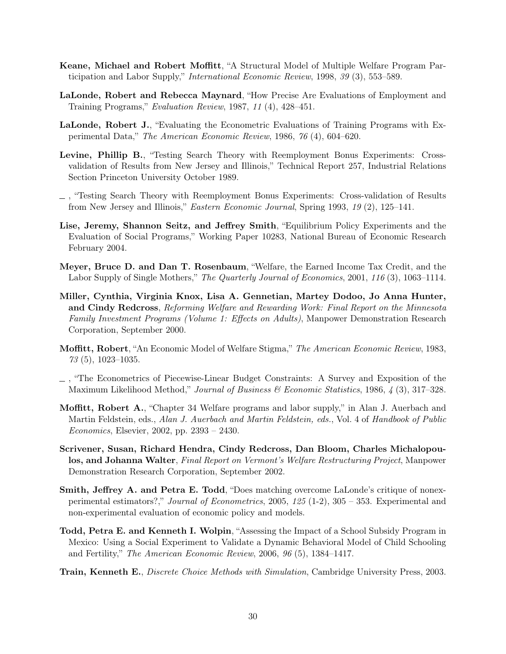- <span id="page-30-4"></span>Keane, Michael and Robert Moffitt, "A Structural Model of Multiple Welfare Program Participation and Labor Supply," International Economic Review, 1998, 39 (3), 553–589.
- <span id="page-30-1"></span>LaLonde, Robert and Rebecca Maynard, "How Precise Are Evaluations of Employment and Training Programs," Evaluation Review, 1987, 11 (4), 428–451.
- <span id="page-30-0"></span>LaLonde, Robert J., "Evaluating the Econometric Evaluations of Training Programs with Experimental Data," The American Economic Review, 1986, 76 (4), 604–620.
- <span id="page-30-6"></span>Levine, Phillip B., "Testing Search Theory with Reemployment Bonus Experiments: Crossvalidation of Results from New Jersey and Illinois," Technical Report 257, Industrial Relations Section Princeton University October 1989.
- <span id="page-30-7"></span>, "Testing Search Theory with Reemployment Bonus Experiments: Cross-validation of Results from New Jersey and Illinois," Eastern Economic Journal, Spring 1993, 19 (2), 125–141.
- <span id="page-30-2"></span>Lise, Jeremy, Shannon Seitz, and Jeffrey Smith, "Equilibrium Policy Experiments and the Evaluation of Social Programs," Working Paper 10283, National Bureau of Economic Research February 2004.
- <span id="page-30-14"></span>Meyer, Bruce D. and Dan T. Rosenbaum, "Welfare, the Earned Income Tax Credit, and the Labor Supply of Single Mothers," The Quarterly Journal of Economics, 2001, 116 (3), 1063–1114.
- <span id="page-30-12"></span>Miller, Cynthia, Virginia Knox, Lisa A. Gennetian, Martey Dodoo, Jo Anna Hunter, and Cindy Redcross, Reforming Welfare and Rewarding Work: Final Report on the Minnesota Family Investment Programs (Volume 1: Effects on Adults), Manpower Demonstration Research Corporation, September 2000.
- <span id="page-30-10"></span>Moffitt, Robert, "An Economic Model of Welfare Stigma," The American Economic Review, 1983, 73 (5), 1023–1035.
- <span id="page-30-9"></span>, "The Econometrics of Piecewise-Linear Budget Constraints: A Survey and Exposition of the Maximum Likelihood Method," Journal of Business & Economic Statistics, 1986, 4 (3), 317-328.
- <span id="page-30-8"></span>Moffitt, Robert A., "Chapter 34 Welfare programs and labor supply," in Alan J. Auerbach and Martin Feldstein, eds., Alan J. Auerbach and Martin Feldstein, eds., Vol. 4 of Handbook of Public Economics, Elsevier, 2002, pp. 2393 – 2430.
- <span id="page-30-13"></span>Scrivener, Susan, Richard Hendra, Cindy Redcross, Dan Bloom, Charles Michalopoulos, and Johanna Walter, Final Report on Vermont's Welfare Restructuring Project, Manpower Demonstration Research Corporation, September 2002.
- <span id="page-30-5"></span>Smith, Jeffrey A. and Petra E. Todd, "Does matching overcome LaLonde's critique of nonexperimental estimators?," Journal of Econometrics, 2005, 125 (1-2), 305 – 353. Experimental and non-experimental evaluation of economic policy and models.
- <span id="page-30-3"></span>Todd, Petra E. and Kenneth I. Wolpin, "Assessing the Impact of a School Subsidy Program in Mexico: Using a Social Experiment to Validate a Dynamic Behavioral Model of Child Schooling and Fertility," The American Economic Review, 2006, 96 (5), 1384–1417.
- <span id="page-30-11"></span>Train, Kenneth E., *Discrete Choice Methods with Simulation*, Cambridge University Press, 2003.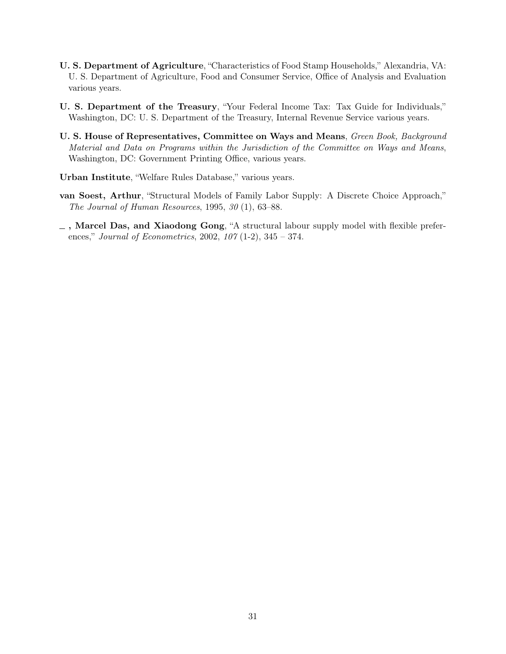- <span id="page-31-4"></span>U. S. Department of Agriculture, "Characteristics of Food Stamp Households," Alexandria, VA: U. S. Department of Agriculture, Food and Consumer Service, Office of Analysis and Evaluation various years.
- <span id="page-31-5"></span>U. S. Department of the Treasury, "Your Federal Income Tax: Tax Guide for Individuals," Washington, DC: U. S. Department of the Treasury, Internal Revenue Service various years.
- <span id="page-31-2"></span>U. S. House of Representatives, Committee on Ways and Means, Green Book, Background Material and Data on Programs within the Jurisdiction of the Committee on Ways and Means, Washington, DC: Government Printing Office, various years.
- <span id="page-31-3"></span>Urban Institute, "Welfare Rules Database," various years.
- <span id="page-31-1"></span>van Soest, Arthur, "Structural Models of Family Labor Supply: A Discrete Choice Approach," The Journal of Human Resources, 1995, 30 (1), 63–88.
- <span id="page-31-0"></span> $\Box$ , Marcel Das, and Xiaodong Gong, "A structural labour supply model with flexible preferences," Journal of Econometrics, 2002, 107 (1-2), 345 – 374.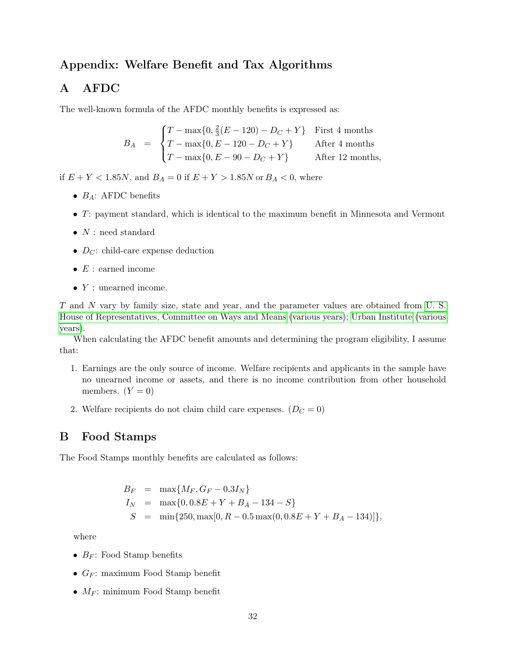## Appendix: Welfare Benefit and Tax Algorithms

## A AFDC

The well-known formula of the AFDC monthly benefits is expressed as:

$$
B_A = \begin{cases} T - \max\{0, \frac{2}{3}(E - 120) - D_C + Y\} & \text{First 4 months} \\ T - \max\{0, E - 120 - D_C + Y\} & \text{After 4 months} \\ T - \max\{0, E - 90 - D_C + Y\} & \text{After 12 months,} \end{cases}
$$

if  $E + Y < 1.85N$ , and  $B_A = 0$  if  $E + Y > 1.85N$  or  $B_A < 0$ , where

- $B_A$ : AFDC benefits
- T: payment standard, which is identical to the maximum benefit in Minnesota and Vermont
- $\bullet~$   $N$  : need standard
- $D_{\mathcal{C}}$ : child-care expense deduction
- $E$ : earned income
- $\bullet$  Y : unearned income.

T and N vary by family size, state and year, and the parameter values are obtained from [U. S.](#page-31-2) [House of Representatives, Committee on Ways and Means](#page-31-2) [\(various years\)](#page-31-2); [Urban Institute](#page-31-3) [\(various](#page-31-3) [years\)](#page-31-3).

When calculating the AFDC benefit amounts and determining the program eligibility, I assume that:

- 1. Earnings are the only source of income. Welfare recipients and applicants in the sample have no unearned income or assets, and there is no income contribution from other household members.  $(Y = 0)$
- 2. Welfare recipients do not claim child care expenses.  $(D<sub>C</sub> = 0)$

### B Food Stamps

The Food Stamps monthly benefits are calculated as follows:

$$
B_F = \max\{M_F, G_F - 0.3I_N\}
$$
  
\n
$$
I_N = \max\{0, 0.8E + Y + B_A - 134 - S\}
$$
  
\n
$$
S = \min\{250, \max[0, R - 0.5 \max(0, 0.8E + Y + B_A - 134)]\},\
$$

where

- $B_F$ : Food Stamp benefits
- $G_F$ : maximum Food Stamp benefit
- $M_F$ : minimum Food Stamp benefit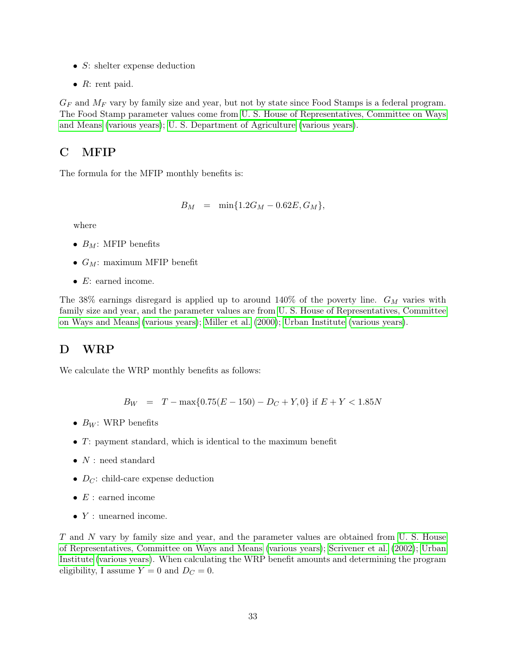- $S$ : shelter expense deduction
- $R$ : rent paid.

 $G_F$  and  $M_F$  vary by family size and year, but not by state since Food Stamps is a federal program. The Food Stamp parameter values come from [U. S. House of Representatives, Committee on Ways](#page-31-2) [and Means](#page-31-2) [\(various years\)](#page-31-2); [U. S. Department of Agriculture](#page-31-4) [\(various years\)](#page-31-4).

## C MFIP

The formula for the MFIP monthly benefits is:

$$
B_M = \min\{1.2G_M - 0.62E, G_M\},\
$$

where

- $B_M$ : MFIP benefits
- $G_M$ : maximum MFIP benefit
- $E:$  earned income.

The 38% earnings disregard is applied up to around 140% of the poverty line.  $G_M$  varies with family size and year, and the parameter values are from [U. S. House of Representatives, Committee](#page-31-2) [on Ways and Means](#page-31-2) [\(various years\)](#page-31-2); [Miller et al.](#page-30-12) [\(2000\)](#page-30-12); [Urban Institute](#page-31-3) [\(various years\)](#page-31-3).

## D WRP

We calculate the WRP monthly benefits as follows:

 $B_W = T - \max\{0.75(E - 150) - D_C + Y, 0\}$  if  $E + Y < 1.85N$ 

- $B_W$ : WRP benefits
- T: payment standard, which is identical to the maximum benefit
- $N$ : need standard
- $D_{\mathcal{C}}$ : child-care expense deduction
- $E$  : earned income
- Y : unearned income.

T and N vary by family size and year, and the parameter values are obtained from [U. S. House](#page-31-2) [of Representatives, Committee on Ways and Means](#page-31-2) [\(various years\)](#page-31-2); [Scrivener et al.](#page-30-13) [\(2002\)](#page-30-13); [Urban](#page-31-3) [Institute](#page-31-3) [\(various years\)](#page-31-3). When calculating the WRP benefit amounts and determining the program eligibility, I assume  $Y = 0$  and  $D<sub>C</sub> = 0$ .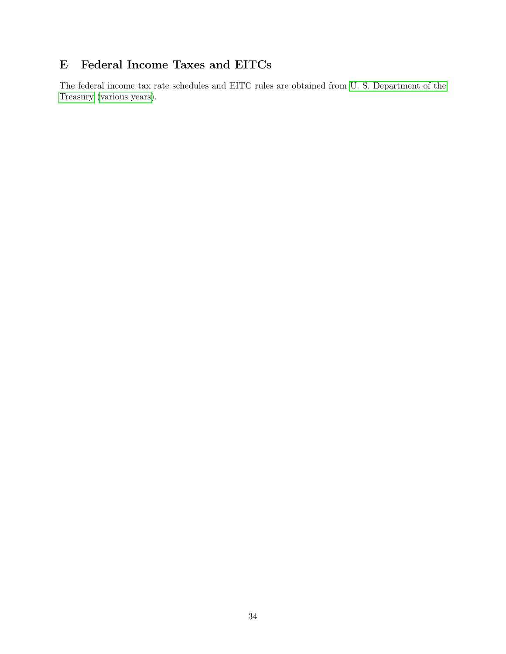# E Federal Income Taxes and EITCs

The federal income tax rate schedules and EITC rules are obtained from [U. S. Department of the](#page-31-5) [Treasury](#page-31-5) [\(various years\)](#page-31-5).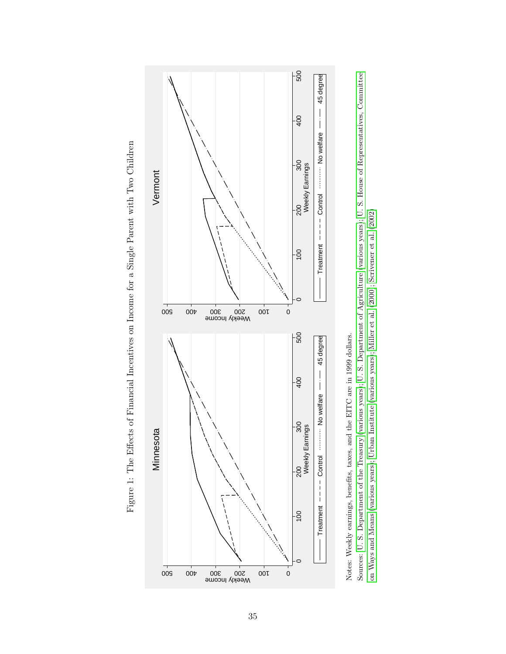<span id="page-35-0"></span>





Sources: U. S. Department of the Treasury (various years); U. S. Department of Agriculture (various years); U. S. House of Representatives, Committee Sources: U. S. [Department](#page-31-5) of the Treasury ([various](#page-31-5) years); U. S. Department of [Agriculture](#page-31-4) ([various](#page-31-4) years); U. S. House of [Representatives,](#page-31-2) Committee on Ways and Means (various years); Urban Institute (various years); Miller et al. (2000); Scrivener et al. (2002) on [Ways](#page-31-2) and Means [\(various](#page-31-2) years); Urban [Institute](#page-31-3) [\(various](#page-31-3) years); [Miller](#page-30-12) et al. [\(2000\)](#page-30-12); [Scrivener](#page-30-13) et al. [\(2002\)](#page-30-13)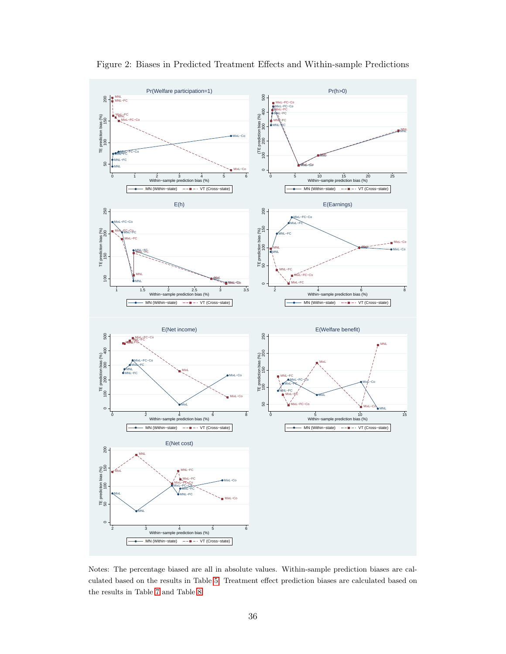<span id="page-36-0"></span>

Figure 2: Biases in Predicted Treatment Effects and Within-sample Predictions

Notes: The percentage biased are all in absolute values. Within-sample prediction biases are calculated based on the results in Table [5.](#page-42-0) Treatment effect prediction biases are calculated based on the results in Table [7](#page-44-0) and Table [8.](#page-45-0)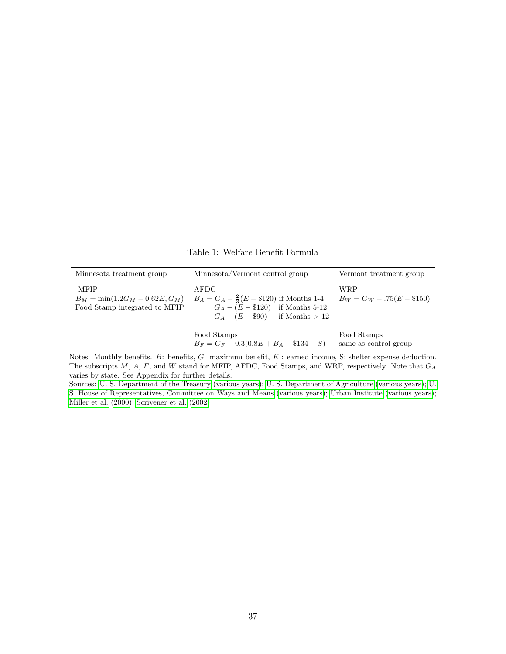Table 1: Welfare Benefit Formula

<span id="page-37-0"></span>

| Minnesota treatment group                                                         | Minnesota/Vermont control group                                                                                                     | Vermont treatment group              |
|-----------------------------------------------------------------------------------|-------------------------------------------------------------------------------------------------------------------------------------|--------------------------------------|
| <b>MFIP</b><br>$B_M = \min(1.2G_M - 0.62E, G_M)$<br>Food Stamp integrated to MFIP | AFDC<br>$B_A = G_A - \frac{2}{3}(E - \$120)$ if Months 1-4<br>$G_A - (E - $120)$ if Months 5-12<br>$G_A - (E - $90)$ if Months > 12 | WRP<br>$B_W = G_W - .75(E - $150)$   |
|                                                                                   | Food Stamps<br>$B_F = G_F - 0.3(0.8E + B_A - $134 - S)$                                                                             | Food Stamps<br>same as control group |

Notes: Monthly benefits. B: benefits, G: maximum benefit, E : earned income, S: shelter expense deduction. The subscripts  $M$ ,  $A$ ,  $F$ , and  $W$  stand for MFIP, AFDC, Food Stamps, and WRP, respectively. Note that  $G_A$ varies by state. See Appendix for further details.

Sources: [U. S. Department of the Treasury](#page-31-5) [\(various years\)](#page-31-5); [U. S. Department of Agriculture](#page-31-4) [\(various years\)](#page-31-4); [U.](#page-31-2) [S. House of Representatives, Committee on Ways and Means](#page-31-2) [\(various years\)](#page-31-2); [Urban Institute](#page-31-3) [\(various years\)](#page-31-3); [Miller et al.](#page-30-12) [\(2000\)](#page-30-12); [Scrivener et al.](#page-30-13) [\(2002\)](#page-30-13)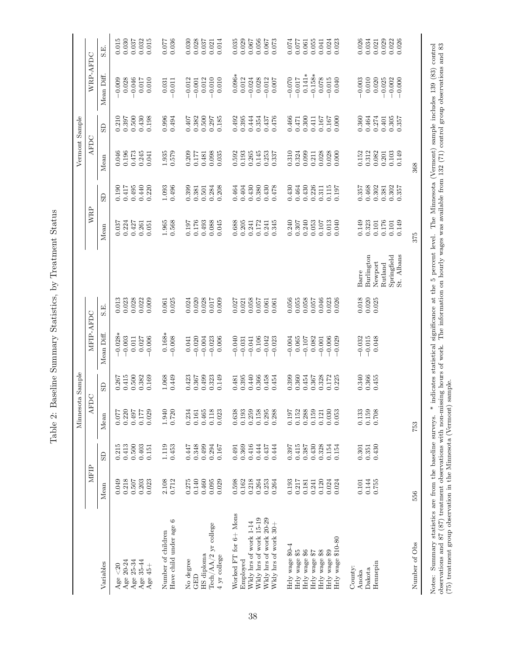| İ<br>I<br>į<br>)<br> <br>ŀ                                                                                                                                    |
|---------------------------------------------------------------------------------------------------------------------------------------------------------------|
| -<br>-<br>-                                                                                                                                                   |
| $C - T$<br>I<br>֖֖֖֖֖֖֖֖֖֖֖֖ׅ֖ׅ֖֖֖֖֖֖֧֪֪֪֪֪֪֪֪֪֪֪֪֪֪֪֪֪֪֪֪֪֪֪֪֪֪֪֪֪֪֪֪֪֪֚֚֚֚֚֚֚֚֚֚֚֚֚֚֚֚֚֚֚֚֚֚֚֚֚֬֝֓֞<br>İ                                                    |
| ś<br>ś<br>ׇ֚֓<br>֖֖֖֧ׅ֖ׅ֖֧ׅ֖֧֖֧ׅ֖֧ׅ֧ׅ֪֪֪֧֪֪ׅ֧֪֪֪֪֪֪֧֚֚֚֚֚֚֚֚֚֚֚֚֚֚֚֚֚֚֚֚֚֚֚֚֚֚֚֚֚֚֚֚֡֝֝֝֓֞֝֬֝֬֞֝<br>ׇ֚<br>֖֖֖֧֖֧ׅ֧ׅ֖֧֚֚֚֚֚֚֚֚֚֚֚֚֚֚֚֚֚֚֚֚֚֚֚֚֚֚֚֡֝֝֝֬֝֓֬<br>ľ |
| $\sim$ $\sim$ $\sim$ $\sim$<br>Ì<br>I<br>١<br>ĺ                                                                                                               |
| ;<br>;                                                                                                                                                        |
| $\frac{1}{2}$<br>į                                                                                                                                            |

<span id="page-38-0"></span>

|                                                                                                                                                                                                                                              |                |                | Minnesota Sample |                |                      |                |                                                                                                                     |                |                | Vermont Sample |                |                      |                |
|----------------------------------------------------------------------------------------------------------------------------------------------------------------------------------------------------------------------------------------------|----------------|----------------|------------------|----------------|----------------------|----------------|---------------------------------------------------------------------------------------------------------------------|----------------|----------------|----------------|----------------|----------------------|----------------|
|                                                                                                                                                                                                                                              | MFIP           |                | AFDC             |                | MFIP-AFDC            |                |                                                                                                                     | WRP            |                | AFDC           |                | WRP-AFDC             |                |
| Variables                                                                                                                                                                                                                                    | Mean           | GS             | $Mean$           | GD             | Mean Diff.           | S.E.           |                                                                                                                     | Mean           | G              | Mean           | $\overline{5}$ | Mean Diff.           | Е.<br>S        |
| $20$<br>Age                                                                                                                                                                                                                                  | 0.049          | 0.215          | 0.077            | 0.267          | $-0.028*$            | 0.013          |                                                                                                                     | 0.037          | 0.190          | 0.046          | 0.210          | $-0.009$             | 0.015          |
| Age 20-24                                                                                                                                                                                                                                    | 0.218          | 0.413          | 0.220            | 0.415          | $-0.003$             | 0.023          |                                                                                                                     | 0.224          | 0.417          | 0.196          | 0.397          | 0.028                | 0.030          |
| Age 25-34                                                                                                                                                                                                                                    | 0.507          | 0.500          | 0.497            | 0.500          | $0.011\,$            | 0.028          |                                                                                                                     | 0.427          | 0.495          | 0.473          | 0.500          | $-0.046$             | 0.037          |
| Age 35-44                                                                                                                                                                                                                                    | 0.203          | 0.403          | 0.177            | 0.382          | 0.027                | 0.022          |                                                                                                                     | 0.261          | 0.440          | 0.245          | 0.430          | 0.017                | 0.032          |
| Age $45+$                                                                                                                                                                                                                                    | 0.023          | 0.151          | 0.029            | 0.169          | $-0.006$             | 0.009          |                                                                                                                     | 0.051          | 0.220          | 0.041          | 0.198          | 0.010                | 0.015          |
| Number of children                                                                                                                                                                                                                           | 2.108          | 1.119          | 1.940            | 1.068          | $0.168*$             | 0.061          |                                                                                                                     | 1.965          | 1.093          | 1.935          | 0.996          | 0.031                | 0.077          |
| Have child under age 6                                                                                                                                                                                                                       | 0.712          | 0.453          | 0.720            | 0.449          | $-0.008$             | 0.025          |                                                                                                                     | 0.568          | 0.496          | 0.579          | 0.494          | $-0.011$             | 0.036          |
| No degree                                                                                                                                                                                                                                    | 0.275          | 0.447          | 0.234            | 0.423          | 0.041                | 0.024          |                                                                                                                     | 0.197          | 0.399          | 0.209          | 0.407          | $-0.012$             | 0.030          |
| GED                                                                                                                                                                                                                                          | 0.140          | 0.348          | 0.161            | 0.367          | $-0.020$             | 0.020          |                                                                                                                     | 0.176          | 0.381          | 0.177          | 0.382          | $-0.001$             | 0.028          |
| HS diploma                                                                                                                                                                                                                                   | 0.460          | 0.499          | 0.465            | 0.499          | $-0.004$             | 0.028          |                                                                                                                     | 0.493          | 0.501          | 0.481          | 0.500          | 0.012                | 0.037          |
| Tech/AA/2 yr college                                                                                                                                                                                                                         | 0.095          | 0.294          | 0.118            | 0.323          | $-0.023$             | 0.017          |                                                                                                                     | 0.088          | 0.284          | 0.098          | 0.297          | $-0.010$             | 0.021          |
| 4 yr college                                                                                                                                                                                                                                 | 0.029          | 0.167          | 0.023            | 0.149          | 0.006                | 0.009          |                                                                                                                     | 0.045          | 0.208          | 0.035          | 0.185          | 0.010                | 0.014          |
| Worked FT for 6+ Mons                                                                                                                                                                                                                        | 0.598          | 0.491          | 0.638            | 0.481          | $-0.040$             | 0.027          |                                                                                                                     | 0.688          | 0.464          | 0.592          | 0.492          | $0.096*$             | 0.035          |
| Employed                                                                                                                                                                                                                                     | 0.162          | 0.369          | 0.193            | 0.395          | $-0.031$             | 0.021          |                                                                                                                     | 0.205          | 0.404          | 0.193          | 0.395          | 0.012                | 0.029          |
| Wkly hrs of work 1-14                                                                                                                                                                                                                        | 0.218          | 0.416          | 0.259            | 0.440          | $-0.041$             | 0.058          |                                                                                                                     | 0.241          | 0.430          | 0.265          | 0.444          | $-0.024$             | 0.067          |
| Wkly hrs of work 15-19                                                                                                                                                                                                                       | 0.264          | 0.444          | 0.158            | 0.366          | 0.106                | 0.057          |                                                                                                                     | $0.172\,$      | 0.380          | 0.145          | 0.354          | 0.028                | 0.056          |
| Wkly hrs of work 20-29                                                                                                                                                                                                                       | 0.253          | 0.437          | 0.295            | 0.458          | $-0.042$             | 0.061          |                                                                                                                     | 0.241          | 0.430          | 0.253          | 0.437          | $-0.012$             | 0.067          |
| Wkly hrs of work 30+                                                                                                                                                                                                                         | 0.264          | 0.444          | 0.288            | 0.454          | $-0.023$             | 0.061          |                                                                                                                     | 0.345          | 0.478          | 0.337          | 0.476          | 0.007                | 0.073          |
| Hrly wage \$0-4                                                                                                                                                                                                                              | 0.193          | 0.397          | 0.197            | 0.399          | $-0.004$             | 0.056          |                                                                                                                     | 0.240          | 0.430          | 0.310          | 0.466          | $-0.070$             | 0.074          |
| Hrly wage \$5                                                                                                                                                                                                                                | 0.217          | 0.415          | 0.152            | 0.360          | 0.065                | 0.055          |                                                                                                                     | 0.307          | 0.464          | 0.324          | 0.471          | $-0.017$             | 0.077          |
| Hrly wage \$6                                                                                                                                                                                                                                | 0.181          | 0.387          | 0.288            | 0.454          | $-0.107$             | 0.058          |                                                                                                                     | 0.240          | 0.430          | 0.099          | 0.300          | $0.141*$             | 0.061          |
| Hrly wage \$7                                                                                                                                                                                                                                | 0.241          | 0.430          | 0.159            | 0.367          | 0.082                | 0.057          |                                                                                                                     | 0.053          | 0.226          | 0.211          | 0.411          | $-0.158*$            | 0.055          |
| Hrly wage \$8                                                                                                                                                                                                                                | 0.120          | 0.328          | 0.121            | 0.328          | $-0.001$             | 0.046          |                                                                                                                     | 0.107          | 0.311          | 0.028          | 0.167          | 0.078                | 0.041          |
| Hrly wage \$10-80<br>Hrly wage \$9                                                                                                                                                                                                           | 0.024<br>0.024 | 0.154<br>0.154 | 0.030<br>0.053   | 0.172<br>0.225 | $-0.006$<br>$-0.029$ | 0.023<br>0.026 |                                                                                                                     | 0.040<br>0.013 | 0.115<br>0.197 | 0.028<br>0.000 | 0.000<br>0.167 | $-0.015$<br>0.040    | 0.024<br>0.023 |
|                                                                                                                                                                                                                                              |                |                |                  |                |                      |                |                                                                                                                     |                |                |                |                |                      |                |
| County:                                                                                                                                                                                                                                      |                |                |                  |                |                      |                |                                                                                                                     |                |                |                |                |                      |                |
| Anoka                                                                                                                                                                                                                                        | 0.101          | 0.301          | 0.133            | 0.340          | $-0.032$             | 0.018          | Barre                                                                                                               | 0.149          | 0.357          | 0.152          | 0.360          | $-0.003$             | 0.026          |
| Dakota                                                                                                                                                                                                                                       | 0.144          | 0.351          | 0.159            | 0.366          | $-0.015$             | 0.020          | Burlington                                                                                                          | 0.323          | 0.468          | 0.312          | 0.464          | 0.010                | 0.034          |
| Hennepin                                                                                                                                                                                                                                     | 0.755          | 0.430          | 0.708            | 0.455          | 0.048                | 0.025          | Newport                                                                                                             | 0.101          | 0.302          | 0.082          | 0.274          | 0.020                | 0.021          |
|                                                                                                                                                                                                                                              |                |                |                  |                |                      |                | Rutland                                                                                                             | 0.176          | 0.381          | 0.201          | 0.401          | $-0.025$             | 0.029          |
|                                                                                                                                                                                                                                              |                |                |                  |                |                      |                | St. Albans<br>Springfield                                                                                           | 0.149<br>0.101 | 0.302<br>0.357 | 0.103<br>0.149 | 0.305<br>0.357 | $-0.000$<br>$-0.002$ | 0.022<br>0.026 |
|                                                                                                                                                                                                                                              |                |                |                  |                |                      |                |                                                                                                                     |                |                |                |                |                      |                |
| Number of Obs                                                                                                                                                                                                                                | 556            |                | 753              |                |                      |                |                                                                                                                     | 375            |                | 368            |                |                      |                |
| Notes: Summary statistics are from the baseline surveys. *                                                                                                                                                                                   |                |                |                  |                |                      |                | indicates statistical significance at the 5 percent level. The Minnesota (Vermont) sample includes 139 (83) control |                |                |                |                |                      |                |
| observations and 87 (87) treatment observations with non-missing hours of work. The information on hourly wages was available from 132 (71) control group observations and 83<br>(75) treatment group observation in the Minnesota (Vermont) |                |                |                  | sample.        |                      |                |                                                                                                                     |                |                |                |                |                      |                |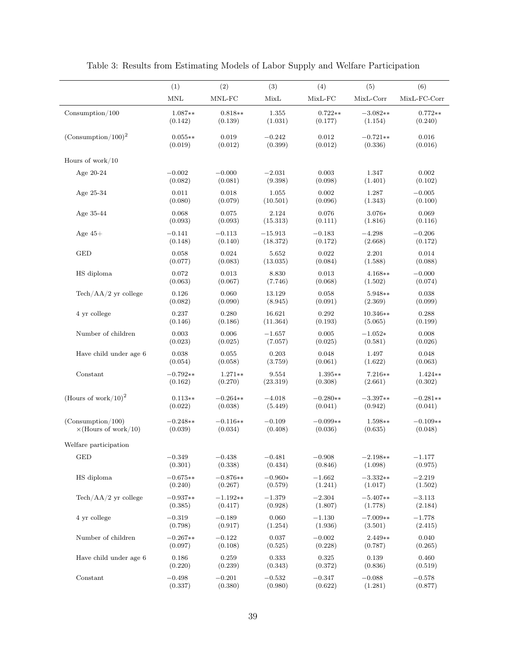<span id="page-39-0"></span>

|                                       | (1)                  | (2)        | (3)       | (4)        | (5)         | (6)          |
|---------------------------------------|----------------------|------------|-----------|------------|-------------|--------------|
|                                       | $\operatorname{MNL}$ | $MNL-FC$   | MixL      | $MixL-FC$  | $MixL-Corr$ | MixL-FC-Corr |
| $\mbox{Consumption}/100$              | $1.087**$            | $0.818**$  | 1.355     | $0.722**$  | $-3.082**$  | $0.772**$    |
|                                       | (0.142)              | (0.139)    | (1.031)   | (0.177)    | (1.154)     | (0.240)      |
| $(Consumption/100)^2$                 | $0.055**$            | 0.019      | $-0.242$  | 0.012      | $-0.721**$  | 0.016        |
|                                       | (0.019)              | (0.012)    | (0.399)   | (0.012)    | (0.336)     | (0.016)      |
| Hours of work/ $10$                   |                      |            |           |            |             |              |
| Age 20-24                             | $-0.002$             | $-0.000$   | $-2.031$  | 0.003      | 1.347       | 0.002        |
|                                       | (0.082)              | (0.081)    | (9.398)   | (0.098)    | (1.401)     | (0.102)      |
| Age 25-34                             | 0.011                | 0.018      | 1.055     | 0.002      | 1.287       | $-0.005$     |
|                                       | (0.080)              | (0.079)    | (10.501)  | (0.096)    | (1.343)     | (0.100)      |
| Age $35-44$                           | 0.068                | 0.075      | 2.124     | 0.076      | 3.076*      | 0.069        |
|                                       | (0.093)              | (0.093)    | (15.313)  | (0.111)    | (1.816)     | (0.116)      |
| Age $45+$                             | $-0.141$             | $-0.113$   | $-15.913$ | $-0.183$   | $-4.298$    | $-0.206$     |
|                                       | (0.148)              | (0.140)    | (18.372)  | (0.172)    | (2.668)     | (0.172)      |
| $\operatorname{GED}$                  | 0.058                | 0.024      | 5.652     | 0.022      | 2.201       | 0.014        |
|                                       | (0.077)              | (0.083)    | (13.035)  | (0.084)    | (1.588)     | (0.088)      |
| HS diploma                            | 0.072                | 0.013      | 8.830     | 0.013      | $4.168**$   | $-0.000$     |
|                                       | (0.063)              | (0.067)    | (7.746)   | (0.068)    | (1.502)     | (0.074)      |
| $\text{Techn}/\text{AA}/2$ yr college | 0.126                | 0.060      | 13.129    | 0.058      | 5.948**     | 0.038        |
|                                       | (0.082)              | (0.090)    | (8.945)   | (0.091)    | (2.369)     | (0.099)      |
| 4 yr college                          | 0.237                | 0.280      | 16.621    | 0.292      | 10.346**    | 0.288        |
|                                       | (0.146)              | (0.186)    | (11.364)  | (0.193)    | (5.065)     | (0.199)      |
| Number of children                    | 0.003                | 0.006      | $-1.657$  | 0.005      | $-1.052*$   | 0.008        |
|                                       | (0.023)              | (0.025)    | (7.057)   | (0.025)    | (0.581)     | (0.026)      |
| Have child under age 6                | 0.038                | 0.055      | 0.203     | 0.048      | 1.497       | 0.048        |
|                                       | (0.054)              | (0.058)    | (3.759)   | (0.061)    | (1.622)     | (0.063)      |
| Constant                              | $-0.792**$           | $1.271**$  | 9.554     | $1.395**$  | $7.216**$   | $1.424**$    |
|                                       | (0.162)              | (0.270)    | (23.319)  | (0.308)    | (2.661)     | (0.302)      |
| (Hours of work/10) <sup>2</sup>       | $0.113**$            | $-0.264**$ | $-4.018$  | $-0.280**$ | $-3.397**$  | $-0.281**$   |
|                                       | (0.022)              | (0.038)    | (5.449)   | (0.041)    | (0.942)     | (0.041)      |
| (Consumption/100)                     | $-0.248**$           | $-0.116**$ | $-0.109$  | $-0.099**$ | 1.598**     | $-0.109**$   |
| $\times$ (Hours of work/10)           | (0.039)              | (0.034)    | (0.408)   | (0.036)    | (0.635)     | (0.048)      |
| Welfare participation                 |                      |            |           |            |             |              |
| <b>GED</b>                            | $-0.349$             | $-0.438$   | $-0.481$  | $-0.908$   | $-2.198**$  | $-1.177$     |
|                                       | (0.301)              | (0.338)    | (0.434)   | (0.846)    | (1.098)     | (0.975)      |
| HS diploma                            | $-0.675**$           | $-0.876**$ | $-0.960*$ | $-1.662$   | $-3.332**$  | $-2.219$     |
|                                       | (0.240)              | (0.267)    | (0.579)   | (1.241)    | (1.017)     | (1.502)      |
| $\text{Techn}/\text{AA}/2$ yr college | $-0.937**$           | $-1.192**$ | $-1.379$  | $-2.304$   | $-5.407**$  | $-3.113$     |
|                                       | (0.385)              | (0.417)    | (0.928)   | (1.807)    | (1.778)     | (2.184)      |
| 4 yr college                          | $-0.319$             | $-0.189$   | 0.060     | $-1.130$   | $-7.009**$  | $-1.778$     |
|                                       | (0.798)              | (0.917)    | (1.254)   | (1.936)    | (3.501)     | (2.415)      |
| Number of children                    | $-0.267**$           | $-0.122$   | 0.037     | $-0.002$   | $2.449**$   | 0.040        |
|                                       | (0.097)              | (0.108)    | (0.525)   | (0.228)    | (0.787)     | (0.265)      |
| Have child under age 6                | 0.186                | 0.259      | 0.333     | 0.325      | 0.139       | 0.460        |
|                                       | (0.220)              | (0.239)    | (0.343)   | (0.372)    | (0.836)     | (0.519)      |
| Constant                              | $-0.498$             | $-0.201$   | $-0.532$  | $-0.347$   | $-0.088$    | $-0.578$     |
|                                       | (0.337)              | (0.380)    | (0.980)   | (0.622)    | (1.281)     | (0.877)      |

Table 3: Results from Estimating Models of Labor Supply and Welfare Participation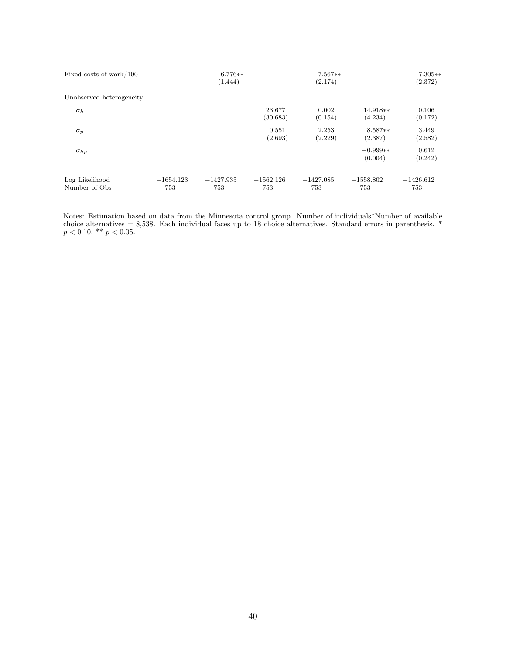| Fixed costs of work/100         |                    | $6.776**$<br>(1.444) |                    | $7.567**$<br>(2.174) |                       | $7.305**$<br>(2.372) |
|---------------------------------|--------------------|----------------------|--------------------|----------------------|-----------------------|----------------------|
| Unobserved heterogeneity        |                    |                      |                    |                      |                       |                      |
| $\sigma_h$                      |                    |                      | 23.677<br>(30.683) | 0.002<br>(0.154)     | $14.918**$<br>(4.234) | 0.106<br>(0.172)     |
| $\sigma_p$                      |                    |                      | 0.551<br>(2.693)   | 2.253<br>(2.229)     | $8.587**$<br>(2.387)  | 3.449<br>(2.582)     |
| $\sigma_{hp}$                   |                    |                      |                    |                      | $-0.999**$<br>(0.004) | 0.612<br>(0.242)     |
| Log Likelihood<br>Number of Obs | $-1654.123$<br>753 | $-1427.935$<br>753   | $-1562.126$<br>753 | $-1427.085$<br>753   | $-1558.802$<br>753    | $-1426.612$<br>753   |

Notes: Estimation based on data from the Minnesota control group. Number of individuals\*Number of available choice alternatives = 8,538. Each individual faces up to 18 choice alternatives. Standard errors in parenthesis. \*  $p < 0.10,$  \*\*  $p < 0.05$ .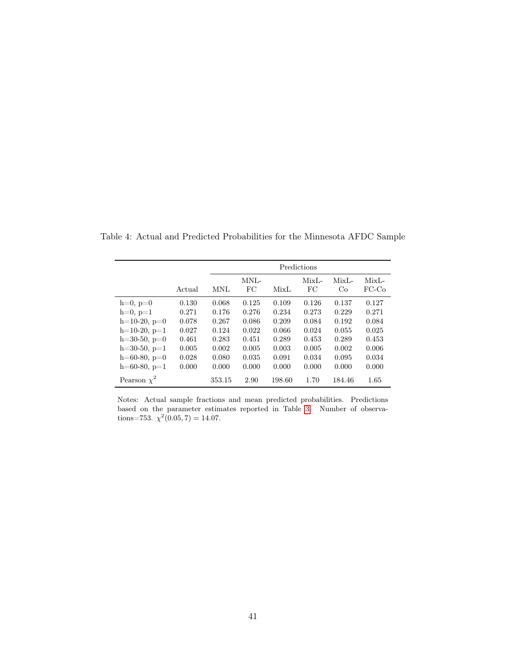|                  |        |        |            |             | Predictions   |               |                     |
|------------------|--------|--------|------------|-------------|---------------|---------------|---------------------|
|                  | Actual | MNL    | MNL-<br>FC | <b>MixL</b> | $MixL-$<br>FC | $MixL-$<br>Co | $MixL -$<br>$FC-CO$ |
| $h=0, p=0$       | 0.130  | 0.068  | 0.125      | 0.109       | 0.126         | 0.137         | 0.127               |
| $h=0, p=1$       | 0.271  | 0.176  | 0.276      | 0.234       | 0.273         | 0.229         | 0.271               |
| $h=10-20, p=0$   | 0.078  | 0.267  | 0.086      | 0.209       | 0.084         | 0.192         | 0.084               |
| $h=10-20, p=1$   | 0.027  | 0.124  | 0.022      | 0.066       | 0.024         | 0.055         | 0.025               |
| $h=30-50, p=0$   | 0.461  | 0.283  | 0.451      | 0.289       | 0.453         | 0.289         | 0.453               |
| $h=30-50, p=1$   | 0.005  | 0.002  | 0.005      | 0.003       | 0.005         | 0.002         | 0.006               |
| $h=60-80, p=0$   | 0.028  | 0.080  | 0.035      | 0.091       | 0.034         | 0.095         | 0.034               |
| $h=60-80, p=1$   | 0.000  | 0.000  | 0.000      | 0.000       | 0.000         | 0.000         | 0.000               |
| Pearson $\chi^2$ |        | 353.15 | 2.90       | 198.60      | 1.70          | 184.46        | 1.65                |

<span id="page-41-0"></span>Table 4: Actual and Predicted Probabilities for the Minnesota AFDC Sample

Notes: Actual sample fractions and mean predicted probabilities. Predictions based on the parameter estimates reported in Table [3.](#page-39-0) Number of observations=753.  $\chi^2(0.05, 7) = 14.07$ .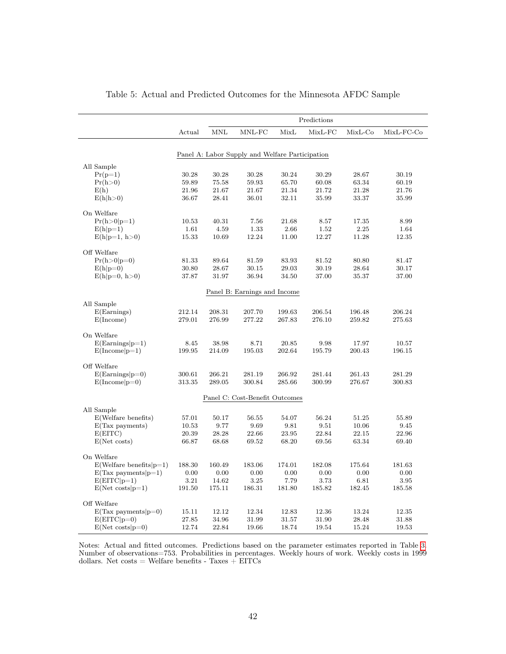<span id="page-42-0"></span>

|                                |                  |                            |                                                 |                  | Predictions      |                  |              |
|--------------------------------|------------------|----------------------------|-------------------------------------------------|------------------|------------------|------------------|--------------|
|                                | Actual           | $\mbox{M}\mbox{N}\mbox{L}$ | MNL-FC                                          | MixL             | MixL-FC          | $MixL-Co$        | $MixL-FC-Co$ |
|                                |                  |                            |                                                 |                  |                  |                  |              |
|                                |                  |                            | Panel A: Labor Supply and Welfare Participation |                  |                  |                  |              |
| All Sample                     |                  |                            |                                                 |                  |                  |                  |              |
| $Pr(p=1)$                      | 30.28            | 30.28                      | 30.28                                           | 30.24            | 30.29            | 28.67            | 30.19        |
| Pr(h>0)                        | 59.89            | 75.58                      | 59.93                                           | 65.70            | 60.08            | 63.34            | 60.19        |
| E(h)                           | 21.96            | 21.67                      | 21.67                                           | 21.34            | 21.72            | 21.28            | 21.76        |
| E(h h>0)                       | 36.67            | 28.41                      | 36.01                                           | 32.11            | 35.99            | 33.37            | 35.99        |
| On Welfare                     |                  |                            |                                                 |                  |                  |                  |              |
|                                |                  |                            |                                                 | 21.68            |                  |                  | 8.99         |
| $Pr(h>0 p=1)$                  | 10.53            | 40.31                      | 7.56                                            |                  | 8.57             | 17.35<br>2.25    |              |
| $E(h p=1)$                     | 1.61             | 4.59                       | 1.33                                            | 2.66             | 1.52             |                  | 1.64         |
| $E(h p=1, h>0)$                | 15.33            | 10.69                      | 12.24                                           | 11.00            | 12.27            | 11.28            | 12.35        |
| Off Welfare                    |                  |                            |                                                 |                  |                  |                  |              |
| $Pr(h>0 p=0)$                  | 81.33            | 89.64                      | 81.59                                           | 83.93            | 81.52            | 80.80            | 81.47        |
| $E(h p=0)$                     | 30.80            | 28.67                      | 30.15                                           | 29.03            | 30.19            | 28.64            | 30.17        |
| $E(h p=0, h>0)$                | 37.87            | 31.97                      | 36.94                                           | 34.50            | 37.00            | 35.37            | 37.00        |
|                                |                  |                            |                                                 |                  |                  |                  |              |
|                                |                  |                            | Panel B: Earnings and Income                    |                  |                  |                  |              |
|                                |                  |                            |                                                 |                  |                  |                  |              |
| All Sample                     |                  |                            |                                                 |                  |                  |                  |              |
| E(Examples)<br>E(Income)       | 212.14<br>279.01 | 208.31<br>276.99           | 207.70<br>277.22                                | 199.63<br>267.83 | 206.54<br>276.10 | 196.48<br>259.82 | 206.24       |
|                                |                  |                            |                                                 |                  |                  |                  | 275.63       |
| On Welfare                     |                  |                            |                                                 |                  |                  |                  |              |
| $E(Examples p=1)$              | 8.45             | 38.98                      | 8.71                                            | 20.85            | 9.98             | 17.97            | 10.57        |
| $E(Income p=1)$                | 199.95           | 214.09                     | 195.03                                          | 202.64           | 195.79           | 200.43           | 196.15       |
|                                |                  |                            |                                                 |                  |                  |                  |              |
| Off Welfare                    |                  |                            |                                                 |                  |                  |                  |              |
| $E(Examples p=0)$              | 300.61           | 266.21                     | 281.19                                          | 266.92           | 281.44           | 261.43           | 281.29       |
| $E(Income p=0)$                | 313.35           | 289.05                     | 300.84                                          | 285.66           | 300.99           | 276.67           | 300.83       |
|                                |                  |                            |                                                 |                  |                  |                  |              |
|                                |                  |                            | Panel C: Cost-Benefit Outcomes                  |                  |                  |                  |              |
| All Sample                     |                  |                            |                                                 |                  |                  |                  |              |
| E(Welfare benefits)            | 57.01            | 50.17                      | 56.55                                           | 54.07            | 56.24            | 51.25            | 55.89        |
| $E(Tax$ payments)              | 10.53            | 9.77                       | 9.69                                            | 9.81             | 9.51             | 10.06            | 9.45         |
| E(EITC)                        | 20.39            | 28.28                      | 22.66                                           | 23.95            | 22.84            | 22.15            | 22.96        |
| E(Net costs)                   | 66.87            | 68.68                      | 69.52                                           | 68.20            | 69.56            | 63.34            | 69.40        |
|                                |                  |                            |                                                 |                  |                  |                  |              |
| On Welfare                     |                  |                            |                                                 |                  |                  |                  |              |
| $E(Wellfare benefits   p=1)$   | 188.30           | 160.49                     | 183.06                                          | 174.01           | 182.08           | 175.64           | 181.63       |
| $E(Tax$ payments $ p=1\rangle$ | 0.00             | 0.00                       | 0.00                                            | 0.00             | 0.00             | 0.00             | 0.00         |
| $E(EITC p=1)$                  | 3.21             | 14.62                      | 3.25                                            | 7.79             | 3.73             | 6.81             | 3.95         |
| $E(Net costs p=1)$             | 191.50           | 175.11                     | 186.31                                          | 181.80           | 185.82           | 182.45           | 185.58       |
| Off Welfare                    |                  |                            |                                                 |                  |                  |                  |              |
| $E(Tax$ payments $ p=0\rangle$ | 15.11            | 12.12                      | 12.34                                           | 12.83            | 12.36            | 13.24            | 12.35        |
| $E(EITC p=0)$                  | 27.85            | 34.96                      | 31.99                                           | 31.57            | 31.90            | 28.48            | 31.88        |
| $E(Net costs p=0)$             | 12.74            | 22.84                      | 19.66                                           | 18.74            | 19.54            | 15.24            | 19.53        |

| Table 5: Actual and Predicted Outcomes for the Minnesota AFDC Sample |  |  |  |  |
|----------------------------------------------------------------------|--|--|--|--|
|----------------------------------------------------------------------|--|--|--|--|

Notes: Actual and fitted outcomes. Predictions based on the parameter estimates reported in Table [3](#page-39-0). Number of observations=753. Probabilities in percentages. Weekly hours of work. Weekly costs in 1999 dollars. Net  $costs = Welfare benefits - Taxes + EITCs$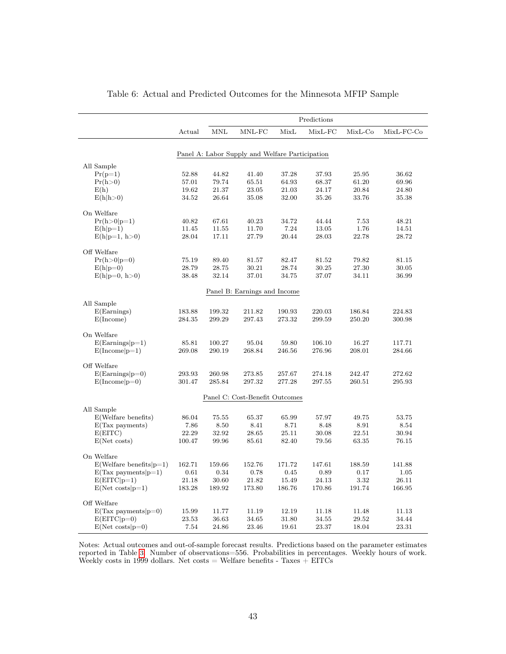<span id="page-43-0"></span>

|                                |        |            |                                                 |        | Predictions |         |            |
|--------------------------------|--------|------------|-------------------------------------------------|--------|-------------|---------|------------|
|                                | Actual | <b>MNL</b> | MNL-FC                                          | MixL   | MixL-FC     | MixL-Co | MixL-FC-Co |
|                                |        |            | Panel A: Labor Supply and Welfare Participation |        |             |         |            |
|                                |        |            |                                                 |        |             |         |            |
| All Sample                     |        |            |                                                 |        |             |         |            |
| $Pr(p=1)$                      | 52.88  | 44.82      | 41.40                                           | 37.28  | 37.93       | 25.95   | 36.62      |
| Pr(h>0)                        | 57.01  | 79.74      | 65.51                                           | 64.93  | 68.37       | 61.20   | 69.96      |
| E(h)                           | 19.62  | 21.37      | 23.05                                           | 21.03  | 24.17       | 20.84   | 24.80      |
| E(h h>0)                       | 34.52  | 26.64      | 35.08                                           | 32.00  | 35.26       | 33.76   | 35.38      |
| On Welfare                     |        |            |                                                 |        |             |         |            |
| $Pr(h>0 p=1)$                  | 40.82  | 67.61      | 40.23                                           | 34.72  | 44.44       | 7.53    | 48.21      |
| $E(h p=1)$                     | 11.45  | 11.55      | 11.70                                           | 7.24   | 13.05       | 1.76    | 14.51      |
| $E(h p=1, h>0)$                | 28.04  | 17.11      | 27.79                                           | 20.44  | 28.03       | 22.78   | 28.72      |
|                                |        |            |                                                 |        |             |         |            |
| Off Welfare                    |        |            |                                                 |        |             |         |            |
| $Pr(h>0 p=0)$                  | 75.19  | 89.40      | 81.57                                           | 82.47  | 81.52       | 79.82   | 81.15      |
| $E(h p=0)$                     | 28.79  | 28.75      | 30.21                                           | 28.74  | 30.25       | 27.30   | 30.05      |
| $E(h p=0, h>0)$                | 38.48  | 32.14      | 37.01                                           | 34.75  | 37.07       | 34.11   | 36.99      |
|                                |        |            | Panel B: Earnings and Income                    |        |             |         |            |
|                                |        |            |                                                 |        |             |         |            |
| All Sample<br>E(Examples)      | 183.88 | 199.32     | 211.82                                          | 190.93 | 220.03      | 186.84  | 224.83     |
| E(Income)                      | 284.35 | 299.29     | 297.43                                          | 273.32 | 299.59      | 250.20  | 300.98     |
|                                |        |            |                                                 |        |             |         |            |
| On Welfare                     |        |            |                                                 |        |             |         |            |
| $E(Examples p=1)$              | 85.81  | 100.27     | 95.04                                           | 59.80  | 106.10      | 16.27   | 117.71     |
| $E(Income p=1)$                | 269.08 | 290.19     | 268.84                                          | 246.56 | 276.96      | 208.01  | 284.66     |
|                                |        |            |                                                 |        |             |         |            |
| Off Welfare                    | 293.93 | 260.98     | 273.85                                          | 257.67 | 274.18      | 242.47  | 272.62     |
| $E(Examples p=0)$              | 301.47 | 285.84     | 297.32                                          | 277.28 | 297.55      | 260.51  | 295.93     |
| $E(Income p=0)$                |        |            |                                                 |        |             |         |            |
|                                |        |            | Panel C: Cost-Benefit Outcomes                  |        |             |         |            |
| All Sample                     |        |            |                                                 |        |             |         |            |
| E(Welfare benefits)            | 86.04  | 75.55      | 65.37                                           | 65.99  | 57.97       | 49.75   | 53.75      |
| $E(Tax$ payments)              | 7.86   | 8.50       | 8.41                                            | 8.71   | 8.48        | 8.91    | 8.54       |
| E(EITC)                        | 22.29  | 32.92      | 28.65                                           | 25.11  | 30.08       | 22.51   | 30.94      |
| $E(Net \; costs)$              | 100.47 | 99.96      | 85.61                                           | 82.40  | 79.56       | 63.35   | $76.15\,$  |
| On Welfare                     |        |            |                                                 |        |             |         |            |
| $E(Wellfare benefits   p=1)$   | 162.71 | 159.66     | 152.76                                          | 171.72 | 147.61      | 188.59  | 141.88     |
| $E(Tax payments p=1)$          | 0.61   | 0.34       | 0.78                                            | 0.45   | 0.89        | 0.17    | 1.05       |
| $E(EITC p=1)$                  | 21.18  | 30.60      | 21.82                                           | 15.49  | 24.13       | 3.32    | 26.11      |
| $E(Net costs p=1)$             | 183.28 | 189.92     | 173.80                                          | 186.76 | 170.86      | 191.74  | 166.95     |
|                                |        |            |                                                 |        |             |         |            |
| Off Welfare                    |        |            |                                                 |        |             |         |            |
| $E(Tax$ payments $ p=0\rangle$ | 15.99  | 11.77      | 11.19                                           | 12.19  | 11.18       | 11.48   | 11.13      |
| $E(EITC p=0)$                  | 23.53  | 36.63      | 34.65                                           | 31.80  | 34.55       | 29.52   | 34.44      |
| $E(Net costs p=0)$             | 7.54   | 24.86      | 23.46                                           | 19.61  | 23.37       | 18.04   | 23.31      |

| Table 6: Actual and Predicted Outcomes for the Minnesota MFIP Sample |
|----------------------------------------------------------------------|
|----------------------------------------------------------------------|

Notes: Actual outcomes and out-of-sample forecast results. Predictions based on the parameter estimates reported in Table [3](#page-39-0). Number of observations=556. Probabilities in percentages. Weekly hours of work. Weekly costs in 1999 dollars. Net costs  $=$  Welfare benefits - Taxes  $+$  EITCs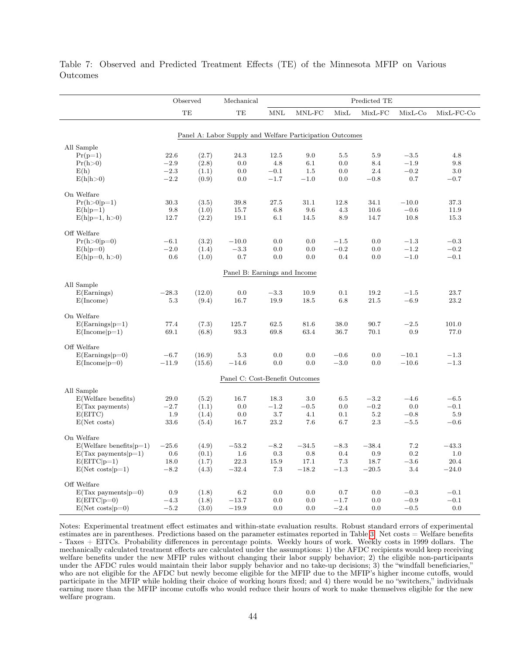|                                     |               | Observed       | Mechanical                                               |            |            |               | Predicted TE |                  |                  |
|-------------------------------------|---------------|----------------|----------------------------------------------------------|------------|------------|---------------|--------------|------------------|------------------|
|                                     |               | TE             | TE                                                       | <b>MNL</b> | MNL-FC     | MixL          | $MixL-FC$    | $MixL-Co$        | MixL-FC-Co       |
|                                     |               |                |                                                          |            |            |               |              |                  |                  |
|                                     |               |                | Panel A: Labor Supply and Welfare Participation Outcomes |            |            |               |              |                  |                  |
| All Sample                          |               |                |                                                          |            |            |               |              |                  |                  |
| $Pr(p=1)$                           | 22.6          | (2.7)          | 24.3                                                     | 12.5       | 9.0        | 5.5           | 5.9          | $-3.5$           | 4.8              |
| Pr(h>0)                             | $-2.9$        | (2.8)          | 0.0                                                      | 4.8        | 6.1        | 0.0           | 8.4          | $-1.9$           | 9.8              |
| E(h)                                | $-2.3\,$      | (1.1)          | 0.0                                                      | $-0.1$     | $1.5\,$    | 0.0           | 2.4          | $-0.2$           | 3.0              |
| E(h h>0)                            | $-2.2$        | (0.9)          | 0.0                                                      | $-1.7$     | $-1.0$     | 0.0           | $-0.8$       | 0.7              | $-0.7$           |
| On Welfare                          |               |                |                                                          |            |            |               |              |                  |                  |
| $Pr(h>0 p=1)$                       | 30.3          | (3.5)          | 39.8                                                     | 27.5       | 31.1       | 12.8          | 34.1         | $-10.0$          | 37.3             |
| $E(h p=1)$                          | 9.8           | (1.0)          | 15.7                                                     | 6.8        | 9.6        | 4.3           | 10.6         | $-0.6$           | 11.9             |
| $E(h p=1, h>0)$                     | 12.7          | (2.2)          | 19.1                                                     | 6.1        | 14.5       | 8.9           | 14.7         | 10.8             | 15.3             |
| Off Welfare                         |               |                |                                                          |            |            |               |              |                  |                  |
| $Pr(h>0 p=0)$                       | $-6.1$        | (3.2)          | $-10.0$                                                  | 0.0        | 0.0        | $-1.5$        | 0.0          | $-1.3$           | $-0.3$           |
| $E(h p=0)$                          | $-2.0$        | (1.4)          | $-3.3$                                                   | 0.0        | 0.0        | $-0.2$        | 0.0          | $-1.2$           | $-0.2$           |
| $E(h p=0, h>0)$                     | 0.6           | (1.0)          | 0.7                                                      | 0.0        | 0.0        | 0.4           | 0.0          | $-1.0$           | $-0.1$           |
|                                     |               |                |                                                          |            |            |               |              |                  |                  |
|                                     |               |                | Panel B: Earnings and Income                             |            |            |               |              |                  |                  |
| All Sample                          |               |                |                                                          |            |            |               |              |                  |                  |
| E(Examples)                         | $-28.3$       | (12.0)         | 0.0                                                      | $-3.3$     | 10.9       | 0.1           | 19.2         | $-1.5$           | 23.7             |
| E(Income)                           | $5.3\,$       | (9.4)          | 16.7                                                     | 19.9       | 18.5       | 6.8           | 21.5         | $-6.9$           | 23.2             |
| On Welfare                          |               |                |                                                          |            |            |               |              |                  |                  |
| $E(Examples p=1)$                   | 77.4          | (7.3)          | 125.7                                                    | 62.5       | 81.6       | 38.0          | 90.7         | $-2.5$           | 101.0            |
| $E(Income p=1)$                     | 69.1          | (6.8)          | 93.3                                                     | 69.8       | 63.4       | 36.7          | 70.1         | 0.9              | 77.0             |
|                                     |               |                |                                                          |            |            |               |              |                  |                  |
| Off Welfare                         |               |                |                                                          |            |            |               |              |                  |                  |
| $E(Examples p=0)$                   | $-6.7$        | (16.9)         | 5.3                                                      | 0.0        | 0.0        | $-0.6$        | 0.0          | $-10.1$          | $-1.3$           |
| $E(Income p=0)$                     | $-11.9$       | (15.6)         | $-14.6$                                                  | 0.0        | 0.0        | $-3.0\,$      | 0.0          | $-10.6$          | $-1.3$           |
|                                     |               |                | Panel C: Cost-Benefit Outcomes                           |            |            |               |              |                  |                  |
| All Sample                          |               |                |                                                          |            |            |               |              |                  |                  |
| E(Welfare benefits)                 | 29.0          | (5.2)          | 16.7                                                     | 18.3       | $3.0\,$    | 6.5           | $-3.2$       | $-4.6$           | $-6.5$           |
| $E(Tax$ payments)                   | $-2.7$        | (1.1)          | 0.0                                                      | $-1.2$     | $-0.5$     | 0.0           | $-0.2$       | 0.0              | $-0.1$           |
| E(EITC)                             | 1.9           | (1.4)          | 0.0                                                      | $3.7\,$    | 4.1        | 0.1           | $5.2\,$      | $-0.8$           | $5.9\,$          |
| E(Net costs)                        | 33.6          | (5.4)          | 16.7                                                     | 23.2       | 7.6        | 6.7           | 2.3          | $-5.5$           | $-0.6$           |
| On Welfare                          |               |                |                                                          |            |            |               |              |                  |                  |
| $E(Wellfare benefits   p=1)$        | $-25.6$       | (4.9)          | $-53.2$                                                  | $-8.2$     | $-34.5$    | $-8.3$        | $-38.4$      | 7.2              | $-43.3$          |
| $E(Tax$ payments $ p=1\rangle$      | 0.6           | (0.1)          | 1.6                                                      | 0.3        | 0.8        | $0.4\,$       | 0.9          | $0.2\,$          | 1.0              |
| $E(EITC p=1)$                       | 18.0          | (1.7)          | 22.3                                                     | 15.9       | 17.1       | 7.3           | 18.7         | $-3.6$           | 20.4             |
| $E(Net costs p=1)$                  | $-8.2$        | (4.3)          | $-32.4$                                                  | 7.3        | $-18.2$    | $-1.3$        | $-20.5$      | 3.4              | $-24.0$          |
|                                     |               |                |                                                          |            |            |               |              |                  |                  |
| Off Welfare                         |               |                |                                                          |            |            |               |              |                  |                  |
| $E(Tax$ payments $ p=0\rangle$      | 0.9<br>$-4.3$ | (1.8)          | 6.2<br>$-13.7$                                           | 0.0<br>0.0 | 0.0<br>0.0 | 0.7<br>$-1.7$ | 0.0          | $-0.3$<br>$-0.9$ | $-0.1$<br>$-0.1$ |
| $E(EITC p=0)$<br>$E(Net costs p=0)$ | $-5.2$        | (1.8)<br>(3.0) | $-19.9$                                                  | 0.0        | 0.0        | $-2.4$        | 0.0<br>0.0   | $-0.5$           | 0.0              |
|                                     |               |                |                                                          |            |            |               |              |                  |                  |

<span id="page-44-0"></span>Table 7: Observed and Predicted Treatment Effects (TE) of the Minnesota MFIP on Various Outcomes

Notes: Experimental treatment effect estimates and within-state evaluation results. Robust standard errors of experimental estimates are in parentheses. Predictions based on the parameter estimates reported in Table [3](#page-39-0). Net costs = Welfare benefits - Taxes + EITCs. Probability differences in percentage points. Weekly hours of work. Weekly costs in 1999 dollars. The mechanically calculated treatment effects are calculated under the assumptions: 1) the AFDC recipients would keep receiving welfare benefits under the new MFIP rules without changing their labor supply behavior; 2) the eligible non-participants under the AFDC rules would maintain their labor supply behavior and no take-up decisions; 3) the "windfall beneficiaries," who are not eligible for the AFDC but newly become eligible for the MFIP due to the MFIP's higher income cutoffs, would participate in the MFIP while holding their choice of working hours fixed; and 4) there would be no "switchers," individuals earning more than the MFIP income cutoffs who would reduce their hours of work to make themselves eligible for the new welfare program.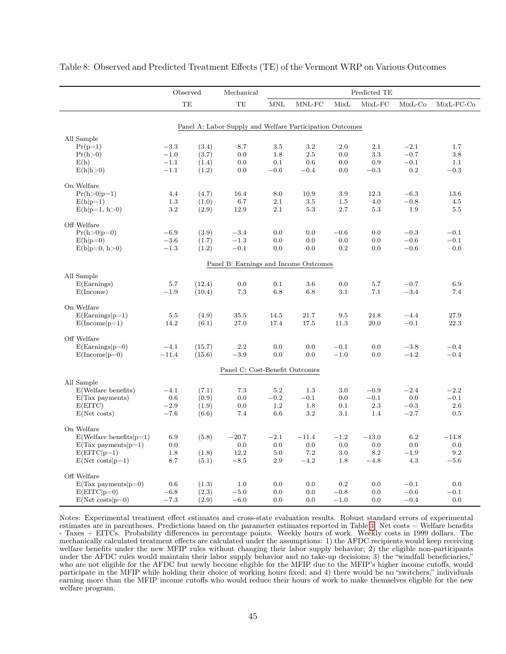|                                |         | Observed | Mechanical                                               |         |         |         | Predicted TE |           |            |
|--------------------------------|---------|----------|----------------------------------------------------------|---------|---------|---------|--------------|-----------|------------|
|                                |         | TE       | TE                                                       | MNL     | MNL-FC  | MixL    | $MixL-FC$    | $MixL-Co$ | MixL-FC-Co |
|                                |         |          |                                                          |         |         |         |              |           |            |
|                                |         |          | Panel A: Labor Supply and Welfare Participation Outcomes |         |         |         |              |           |            |
| All Sample                     |         |          |                                                          |         |         |         |              |           |            |
| $Pr(p=1)$                      | $-3.3$  | (3.4)    | 8.7                                                      | 3.5     | 3.2     | 2.0     | 2.1          | $-2.1$    | 1.7        |
| Pr(h>0)                        | $-1.0$  | (3.7)    | 0.0                                                      | 1.8     | 2.5     | 0.0     | 3.3          | $-0.7$    | 3.8        |
| E(h)                           | $-1.1$  | (1.4)    | 0.0                                                      | 0.1     | 0.6     | 0.0     | 0.9          | $-0.1$    | 1.1        |
| E(h h>0)                       | $-1.1$  | (1.2)    | 0.0                                                      | $-0.6$  | $-0.4$  | 0.0     | $-0.3$       | 0.2       | $-0.3$     |
| On Welfare                     |         |          |                                                          |         |         |         |              |           |            |
| $Pr(h > 0 p=1)$                | 4.4     | (4.7)    | 16.4                                                     | 8.0     | 10.9    | 3.9     | 12.3         | $-6.3$    | 13.6       |
| $E(h p=1)$                     | 1.3     | (1.0)    | 6.7                                                      | 2.1     | 3.5     | 1.5     | 4.0          | $-0.8$    | 4.5        |
| $E(h p=1, h>0)$                | 3.2     | (2.9)    | 12.9                                                     | 2.1     | 5.3     | 2.7     | 5.3          | 1.9       | 5.5        |
| Off Welfare                    |         |          |                                                          |         |         |         |              |           |            |
| $Pr(h>0 p=0)$                  | $-6.9$  | (3.9)    | $-3.4$                                                   | 0.0     | 0.0     | $-0.6$  | 0.0          | $-0.3$    | $-0.1$     |
| $E(h p=0)$                     | $-3.6$  | (1.7)    | $-1.3$                                                   | 0.0     | 0.0     | 0.0     | 0.0          | $-0.6$    | $-0.1$     |
| $E(h p=0, h>0)$                | $-1.3$  | (1.2)    | $-0.1$                                                   | 0.0     | 0.0     | $0.2\,$ | 0.0          | $-0.6$    | 0.0        |
|                                |         |          |                                                          |         |         |         |              |           |            |
|                                |         |          | Panel B: Earnings and Income Outcomes                    |         |         |         |              |           |            |
| All Sample                     |         |          |                                                          |         |         |         |              |           |            |
| $E(\text{Earnings})$           | 5.7     | (12.4)   | 0.0                                                      | 0.1     | 3.6     | 0.0     | 5.7          | $-0.7$    | 6.9        |
| E(Income)                      | $-1.9$  | (10.4)   | 7.3                                                      | 6.8     | 6.8     | 3.1     | 7.1          | $-3.4$    | 7.4        |
| On Welfare                     |         |          |                                                          |         |         |         |              |           |            |
| $E(Examples p=1)$              | 5.5     | (4.9)    | 35.5                                                     | 14.5    | 21.7    | 9.5     | 24.8         | $-4.4$    | 27.9       |
| $E(Income p=1)$                | 14.2    | (6.1)    | 27.0                                                     | 17.4    | 17.5    | 11.3    | 20.0         | $-0.1$    | 22.3       |
| Off Welfare                    |         |          |                                                          |         |         |         |              |           |            |
| $E(Examples p=0)$              | $-4.1$  | (15.7)   | 2.2                                                      | 0.0     | 0.0     | $-0.1$  | 0.0          | $-3.8$    | $-0.4$     |
| $E(Income p=0)$                | $-11.4$ | (15.6)   | $-3.9$                                                   | $0.0\,$ | 0.0     | $-1.0$  | 0.0          | $-4.2$    | $-0.4$     |
|                                |         |          |                                                          |         |         |         |              |           |            |
|                                |         |          | Panel C: Cost-Benefit Outcomes                           |         |         |         |              |           |            |
| All Sample                     |         |          |                                                          |         |         |         |              |           |            |
| E(Welfare benefits)            | $-4.1$  | (7.1)    | $7.3\,$                                                  | $5.2\,$ | 1.3     | 3.0     | $-0.9$       | $-2.4$    | $-2.2$     |
| $E(Tax$ payments)              | 0.6     | (0.9)    | 0.0                                                      | $-0.2$  | $-0.1$  | 0.0     | $-0.1$       | 0.0       | $-0.1$     |
| E(EITC)                        | $-2.9$  | (1.9)    | 0.0                                                      | 1.2     | 1.8     | 0.1     | 2.3          | $-0.3$    | 2.6        |
| $E(Net \; costs)$              | $-7.6$  | (6.6)    | 7.4                                                      | 6.6     | 3.2     | 3.1     | 1.4          | $-2.7$    | 0.5        |
| On Welfare                     |         |          |                                                          |         |         |         |              |           |            |
| $E(Welfare benefits p=1)$      | 6.9     | (5.8)    | $-20.7$                                                  | $-2.1$  | $-11.4$ | $-1.2$  | $-13.0$      | 6.2       | $-14.8$    |
| $E(Tax$ payments $ p=1\rangle$ | 0.0     |          | 0.0                                                      | 0.0     | 0.0     | 0.0     | 0.0          | 0.0       | 0.0        |
| $E(EITC p=1)$                  | 1.8     | (1.8)    | 12.2                                                     | 5.0     | 7.2     | 3.0     | 8.2          | $-1.9$    | 9.2        |
| $E(Net costs p=1)$             | 8.7     | (5.1)    | $-8.5$                                                   | 2.9     | $-4.2$  | 1.8     | $-4.8$       | 4.3       | $-5.6$     |
| Off Welfare                    |         |          |                                                          |         |         |         |              |           |            |
| $E(Tax payments p=0)$          | 0.6     | (1.3)    | 1.0                                                      | 0.0     | 0.0     | 0.2     | 0.0          | $-0.1$    | 0.0        |
| $E(EITC p=0)$                  | $-6.8$  | (2.3)    | $-5.0$                                                   | 0.0     | 0.0     | $-0.8$  | 0.0          | $-0.6$    | $-0.1$     |
| $E(Net costs p=0)$             | $-7.3$  | (2.9)    | $-6.0$                                                   | 0.0     | 0.0     | $-1.0$  | 0.0          | $-0.4$    | 0.0        |

<span id="page-45-0"></span>Table 8: Observed and Predicted Treatment Effects (TE) of the Vermont WRP on Various Outcomes

Notes: Experimental treatment effect estimates and cross-state evaluation results. Robust standard errors of experimental estimates are in parentheses. Predictions based on the parameter estimates reported in Table [3](#page-39-0). Net costs = Welfare benefits - Taxes + EITCs. Probability differences in percentage points. Weekly hours of work. Weekly costs in 1999 dollars. The mechanically calculated treatment effects are calculated under the assumptions: 1) the AFDC recipients would keep receiving welfare benefits under the new MFIP rules without changing their labor supply behavior; 2) the eligible non-participants under the AFDC rules would maintain their labor supply behavior and no take-up decisions; 3) the "windfall beneficiaries," who are not eligible for the AFDC but newly become eligible for the MFIP due to the MFIP's higher income cutoffs, would participate in the MFIP while holding their choice of working hours fixed; and 4) there would be no "switchers," individuals earning more than the MFIP income cutoffs who would reduce their hours of work to make themselves eligible for the new welfare program.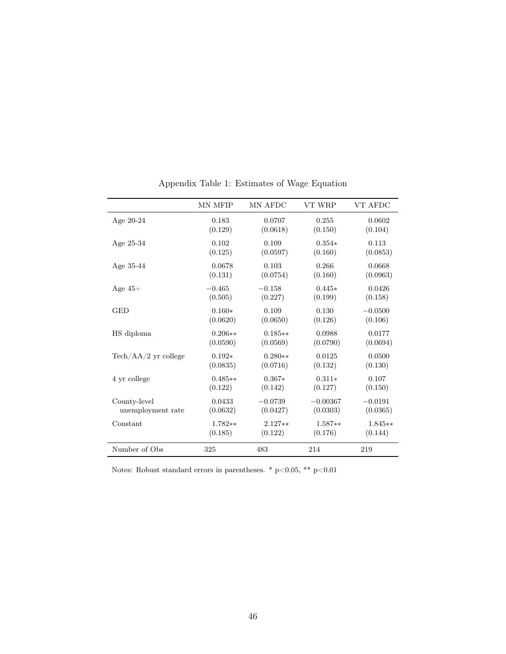|                                       | MN MFIP   | MN AFDC   | VT WRP     | VT AFDC   |
|---------------------------------------|-----------|-----------|------------|-----------|
| Age $20-24$                           | 0.183     | 0.0707    | 0.255      | 0.0602    |
|                                       | (0.129)   | (0.0618)  | (0.150)    | (0.104)   |
| Age $25-34$                           | 0.102     | 0.109     | $0.354*$   | 0.113     |
|                                       | (0.125)   | (0.0597)  | (0.160)    | (0.0853)  |
| Age $35-44$                           | 0.0678    | 0.103     | 0.266      | 0.0668    |
|                                       | (0.131)   | (0.0754)  | (0.160)    | (0.0963)  |
| Age $45+$                             | $-0.465$  | $-0.158$  | $0.445*$   | 0.0426    |
|                                       | (0.505)   | (0.227)   | (0.199)    | (0.158)   |
| <b>GED</b>                            | $0.160*$  | 0.109     | 0.130      | $-0.0500$ |
|                                       | (0.0620)  | (0.0650)  | (0.126)    | (0.106)   |
| HS diploma                            | $0.206**$ | $0.185**$ | 0.0988     | 0.0177    |
|                                       | (0.0590)  | (0.0569)  | (0.0790)   | (0.0694)  |
| $\text{Techn}/\text{AA}/2$ yr college | $0.192*$  | $0.280**$ | 0.0125     | 0.0500    |
|                                       | (0.0835)  | (0.0716)  | (0.132)    | (0.130)   |
| 4 yr college                          | $0.485**$ | $0.367*$  | $0.311*$   | 0.107     |
|                                       | (0.122)   | (0.142)   | (0.127)    | (0.150)   |
| County-level                          | 0.0433    | $-0.0739$ | $-0.00367$ | $-0.0191$ |
| unemployment rate                     | (0.0632)  | (0.0427)  | (0.0303)   | (0.0365)  |
| Constant                              | $1.782**$ | $2.127**$ | $1.587**$  | $1.845**$ |
|                                       | (0.185)   | (0.122)   | (0.176)    | (0.144)   |
| Number of Obs                         | 325       | 483       | 214        | 219       |

Appendix Table 1: Estimates of Wage Equation

Notes: Robust standard errors in parentheses. \* p<0.05, \*\* p<0.01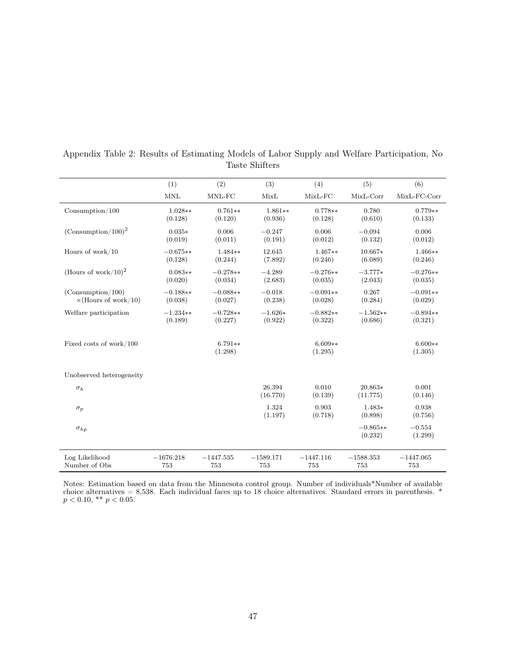|                                 | (1)         | (2)                  | (3)                | (4)                  | (5)                   | (6)                  |
|---------------------------------|-------------|----------------------|--------------------|----------------------|-----------------------|----------------------|
|                                 | <b>MNL</b>  | MNL-FC               | MixL               | $MixL-FC$            | MixL-Corr             | MixL-FC-Corr         |
| $\text{Consumption}/100$        | $1.028**$   | $0.761**$            | $1.861**$          | $0.778**$            | 0.780                 | $0.779**$            |
|                                 | (0.128)     | (0.120)              | (0.936)            | (0.128)              | (0.610)               | (0.133)              |
| $(Consumption/100)^2$           | $0.035*$    | 0.006                | $-0.247$           | 0.006                | $-0.094$              | 0.006                |
|                                 | (0.019)     | (0.011)              | (0.191)            | (0.012)              | (0.132)               | (0.012)              |
| Hours of work/ $10$             | $-0.675**$  | 1.484**              | 12.645             | $1.467**$            | 10.667*               | $1.466**$            |
|                                 | (0.128)     | (0.244)              | (7.892)            | (0.246)              | (6.089)               | (0.246)              |
| (Hours of work/10) <sup>2</sup> | $0.083**$   | $-0.278**$           | $-4.289$           | $-0.276**$           | $-3.777*$             | $-0.276**$           |
|                                 | (0.020)     | (0.034)              | (2.683)            | (0.035)              | (2.043)               | (0.035)              |
| (Consumption/100)               | $-0.188**$  | $-0.088**$           | $-0.018$           | $-0.091**$           | 0.267                 | $-0.091**$           |
| $\times$ (Hours of work/10)     | (0.038)     | (0.027)              | (0.238)            | (0.028)              | (0.284)               | (0.029)              |
| Welfare participation           | $-1.234**$  | $-0.728**$           | $-1.626*$          | $-0.882**$           | $-1.562**$            | $-0.894**$           |
|                                 | (0.189)     | (0.227)              | (0.922)            | (0.322)              | (0.686)               | (0.321)              |
| Fixed costs of work/100         |             | $6.791**$<br>(1.298) |                    | $6.609**$<br>(1.295) |                       | $6.600**$<br>(1.305) |
| Unobserved heterogeneity        |             |                      |                    |                      |                       |                      |
| $\sigma_h$                      |             |                      | 26.394<br>(16.770) | 0.010<br>(0.139)     | 20.863*<br>(11.775)   | 0.001<br>(0.146)     |
| $\sigma_p$                      |             |                      | 1.324<br>(1.197)   | 0.903<br>(0.718)     | $1.483*$<br>(0.898)   | 0.938<br>(0.756)     |
| $\sigma_{hp}$                   |             |                      |                    |                      | $-0.865**$<br>(0.232) | $-0.554$<br>(1.299)  |
| Log Likelihood                  | $-1676.218$ | $-1447.535$          | $-1589.171$        | $-1447.116$          | $-1588.353$           | $-1447.065$          |
| Number of Obs                   | 753         | 753                  | 753                | 753                  | 753                   | 753                  |

Appendix Table 2: Results of Estimating Models of Labor Supply and Welfare Participation, No Taste Shifters

Notes: Estimation based on data from the Minnesota control group. Number of individuals\*Number of available choice alternatives = 8,538. Each individual faces up to 18 choice alternatives. Standard errors in parenthesis. \*  $p < 0.10, \; ^{\ast\ast}$   $p < 0.05.$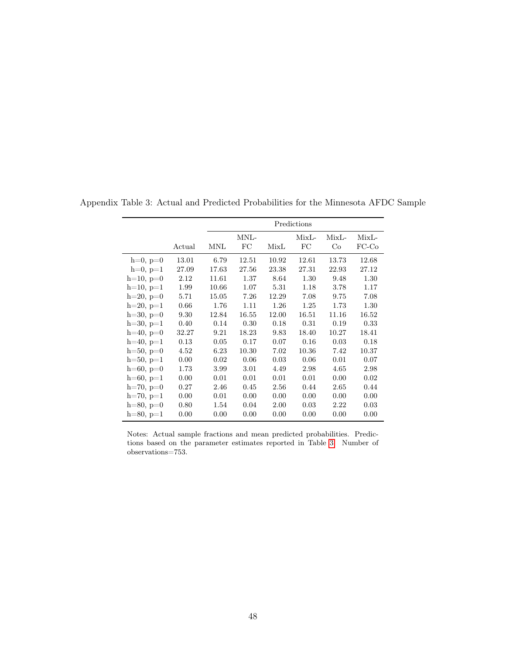|             |        |            |       |       | Predictions |         |         |
|-------------|--------|------------|-------|-------|-------------|---------|---------|
|             |        |            | MNL-  |       | $MixL-$     | $MixL-$ | $MixL-$ |
|             | Actual | <b>MNL</b> | FC    | MixL  | FC          | Co      | $FC-CO$ |
| $h=0, p=0$  | 13.01  | 6.79       | 12.51 | 10.92 | 12.61       | 13.73   | 12.68   |
| $h=0, p=1$  | 27.09  | 17.63      | 27.56 | 23.38 | 27.31       | 22.93   | 27.12   |
| $h=10, p=0$ | 2.12   | 11.61      | 1.37  | 8.64  | 1.30        | 9.48    | 1.30    |
| $h=10, p=1$ | 1.99   | 10.66      | 1.07  | 5.31  | 1.18        | 3.78    | 1.17    |
| $h=20, p=0$ | 5.71   | 15.05      | 7.26  | 12.29 | 7.08        | 9.75    | 7.08    |
| $h=20, p=1$ | 0.66   | 1.76       | 1.11  | 1.26  | 1.25        | 1.73    | 1.30    |
| $h=30, p=0$ | 9.30   | 12.84      | 16.55 | 12.00 | 16.51       | 11.16   | 16.52   |
| $h=30, p=1$ | 0.40   | 0.14       | 0.30  | 0.18  | 0.31        | 0.19    | 0.33    |
| $h=40, p=0$ | 32.27  | 9.21       | 18.23 | 9.83  | 18.40       | 10.27   | 18.41   |
| $h=40, p=1$ | 0.13   | 0.05       | 0.17  | 0.07  | 0.16        | 0.03    | 0.18    |
| $h=50, p=0$ | 4.52   | 6.23       | 10.30 | 7.02  | 10.36       | 7.42    | 10.37   |
| $h=50, p=1$ | 0.00   | 0.02       | 0.06  | 0.03  | 0.06        | 0.01    | 0.07    |
| $h=60, p=0$ | 1.73   | 3.99       | 3.01  | 4.49  | 2.98        | 4.65    | 2.98    |
| $h=60, p=1$ | 0.00   | 0.01       | 0.01  | 0.01  | 0.01        | 0.00    | 0.02    |
| $h=70, p=0$ | 0.27   | 2.46       | 0.45  | 2.56  | 0.44        | 2.65    | 0.44    |
| $h=70, p=1$ | 0.00   | 0.01       | 0.00  | 0.00  | 0.00        | 0.00    | 0.00    |
| $h=80, p=0$ | 0.80   | 1.54       | 0.04  | 2.00  | 0.03        | 2.22    | 0.03    |
| $h=80, p=1$ | 0.00   | 0.00       | 0.00  | 0.00  | 0.00        | 0.00    | 0.00    |

Appendix Table 3: Actual and Predicted Probabilities for the Minnesota AFDC Sample

Notes: Actual sample fractions and mean predicted probabilities. Predictions based on the parameter estimates reported in Table [3.](#page-39-0) Number of observations=753.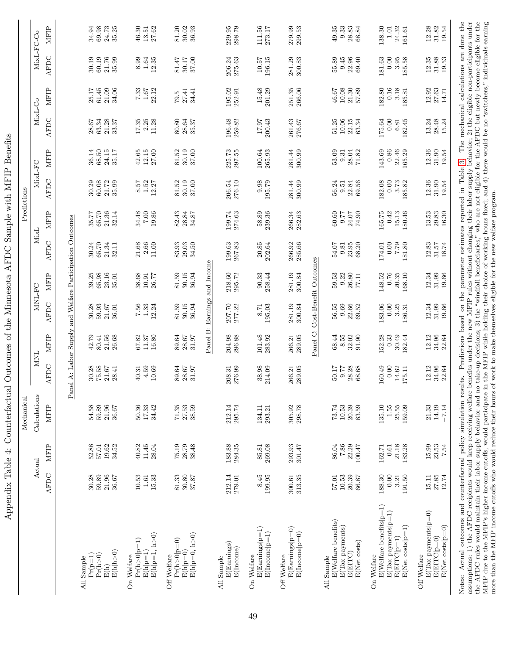| Therman                                                                                                                                                                                                                                                                                                                                                                                                                                                                                                                                                                                                                                                                                                                 | 1001                                 | ŕ                                     | WULLIVELLOVUU<br>Mechanical         |                                  |                                   |                                    |                                                                                                                                       |                                        | DELITION                          | Predictions                          |                                      |                                  |                                      |                                          |                                   |
|-------------------------------------------------------------------------------------------------------------------------------------------------------------------------------------------------------------------------------------------------------------------------------------------------------------------------------------------------------------------------------------------------------------------------------------------------------------------------------------------------------------------------------------------------------------------------------------------------------------------------------------------------------------------------------------------------------------------------|--------------------------------------|---------------------------------------|-------------------------------------|----------------------------------|-----------------------------------|------------------------------------|---------------------------------------------------------------------------------------------------------------------------------------|----------------------------------------|-----------------------------------|--------------------------------------|--------------------------------------|----------------------------------|--------------------------------------|------------------------------------------|-----------------------------------|
|                                                                                                                                                                                                                                                                                                                                                                                                                                                                                                                                                                                                                                                                                                                         |                                      | Actual                                | Calculations                        | NINI                             |                                   | MNL-FC                             |                                                                                                                                       | MixL                                   |                                   | MixL-FC                              |                                      | MixL-Co                          |                                      | MixL-FC-Co                               |                                   |
|                                                                                                                                                                                                                                                                                                                                                                                                                                                                                                                                                                                                                                                                                                                         | AFDC                                 | MFIP                                  | <b>MFIP</b>                         | AFDC                             | <b>MFIP</b>                       | AFDC                               | <b>MFIP</b>                                                                                                                           | AFDC                                   | MFIP                              | AFDC                                 | <b>MFIP</b>                          | AFDC                             | <b>MFIP</b>                          | AFDC                                     | MFIP                              |
|                                                                                                                                                                                                                                                                                                                                                                                                                                                                                                                                                                                                                                                                                                                         |                                      |                                       | $_{\rm Pa}$                         |                                  |                                   |                                    | el A: Labor Supply and Welfare Participation Outcomes                                                                                 |                                        |                                   |                                      |                                      |                                  |                                      |                                          |                                   |
| E(h h>0)<br>$Pr(p=1)$<br>$\Pr({\tt h}\!>\!0)$<br>All Sample<br>$\mathrm{E}(\mathrm{h})$                                                                                                                                                                                                                                                                                                                                                                                                                                                                                                                                                                                                                                 | 30.28<br>59.89<br>21.96<br>36.67     | 19.62<br>52.88<br>57.01<br>34.52      | 59.89<br>21.96<br>54.58<br>36.67    | 30.28<br>75.58<br>21.67<br>28.41 | 42.79<br>21.56<br>80.41<br>26.68  | 30.28<br>59.93<br>21.67<br>36.01   | 39.25<br>65.98<br>23.16<br>35.01                                                                                                      | 65.70<br>30.24<br>21.34<br>32.11       | 65.70<br>35.77<br>21.36<br>32.14  | 30.29<br>60.08<br>21.72<br>35.99     | 36.14<br>68.50<br>$24.15\,$<br>35.17 | 63.34<br>21.28<br>28.67<br>33.37 | 25.17<br>$61.45\,$<br>21.09<br>34.06 | 30.19<br>60.19<br>21.76<br>35.99         | 69.98<br>24.73<br>34.94<br>35.25  |
| $E(h p=1, h>0)$<br>$Pr(h>0 p=1)$<br>$E(h p=1)$<br>Welfare<br>$\delta$                                                                                                                                                                                                                                                                                                                                                                                                                                                                                                                                                                                                                                                   | 10.53<br>15.33<br>$1.61\,$           | 40.82<br>11.45<br>28.04               | 50.36<br>17.33<br>34.42             | 4.59<br>10.69<br>40.31           | 67.82<br>$11.37\,$<br>16.80       | 7.56<br>$1.33\,$<br>12.24          | 38.68<br>10.91<br>26.77                                                                                                               | $2.66\,$<br>11.00<br>21.68             | 34.48<br>$7.00\,$<br>19.86        | 1.52<br>8.57<br>12.27                | 12.15<br>42.65<br>27.00              | 17.35<br>2.25<br>11.28           | 7.33<br>$1.67\,$<br>22.12            | $1.64\,$<br>8.99<br>12.35                | 46.30<br>27.62<br>13.51           |
| $E(h p=0, h>0)$<br>$Pr(h > 0 p=0)$<br>$E(h p=0)$<br>Off Welfare                                                                                                                                                                                                                                                                                                                                                                                                                                                                                                                                                                                                                                                         | 81.33<br>30.80<br>37.87              | 75.19<br>28.79<br>38.48               | 71.35<br>27.53<br>38.59             | 89.64<br>28.67<br>31.97          | 89.64<br>28.67<br>31.97           | 81.59<br>30.15<br>36.94            | 81.59<br>30.15<br>36.94                                                                                                               | 83.93<br>34.50<br>29.03                | 82.43<br>28.84<br>34.87           | 30.19<br>81.52<br>37.00              | 30.19<br>37.00<br>81.52              | 80.80<br>28.64<br>35.37          | 34.41<br>27.41<br>79.5               | 81.47<br>37.00<br>$30.17$                | 30.02<br>81.20<br>36.93           |
|                                                                                                                                                                                                                                                                                                                                                                                                                                                                                                                                                                                                                                                                                                                         |                                      |                                       |                                     |                                  |                                   |                                    | Panel B: Earnings and Income                                                                                                          |                                        |                                   |                                      |                                      |                                  |                                      |                                          |                                   |
| E(Earnings)<br>$E(\text{Income})$<br>All Sample                                                                                                                                                                                                                                                                                                                                                                                                                                                                                                                                                                                                                                                                         | 212.14<br>279.01                     | 183.88<br>284.35                      | 212.14<br>295.74                    | 276.99<br>208.31                 | 204.98<br>296.88                  | 207.70<br>277.22                   | 218.60<br>295.72                                                                                                                      | 199.63<br>267.83                       | 199.74<br>274.63                  | 276.10<br>206.54                     | 225.73<br>297.55                     | 196.48<br>259.82                 | 195.02<br>252.91                     | 206.24<br>275.63                         | 229.95<br>298.79                  |
| $E($ Earnings $ p=1)$<br>$E(Incone p=1)$<br>On Welfare                                                                                                                                                                                                                                                                                                                                                                                                                                                                                                                                                                                                                                                                  | $8.45$<br>199.95                     | 269.08<br>85.81                       | 134.11<br>293.21                    | 38.98<br>214.09                  | 101.48<br>283.92                  | 195.03<br>8.71                     | 90.33<br>258.44                                                                                                                       | $20.85\,$<br>202.64                    | 58.89<br>239.36                   | 9.98<br>195.79                       | 100.64<br>265.93                     | $\frac{17.97}{200.43}$           | 15.48<br>201.29                      | 10.57<br>196.15                          | 111.56<br>273.17                  |
| $E(Examples p=0)$<br>$E(\text{Income} p=0)$<br>Off Welfare                                                                                                                                                                                                                                                                                                                                                                                                                                                                                                                                                                                                                                                              | 313.35<br>300.61                     | 293.93<br>301.47                      | 305.92<br>298.78                    | 289.05<br>266.21                 | 289.05<br>266.21                  | 281.19<br>300.84                   | 281.19<br>300.84                                                                                                                      | 285.66<br>266.92                       | 266.34<br>282.63                  | 300.99<br>281.44                     | 300.99<br>281.44                     | 261.43<br>276.67                 | 266.06<br>251.35                     | 281.29<br>300.83                         | 279.99<br>299.53                  |
|                                                                                                                                                                                                                                                                                                                                                                                                                                                                                                                                                                                                                                                                                                                         |                                      |                                       |                                     |                                  | Panel C:                          |                                    | Cost-Benefit Outcomes                                                                                                                 |                                        |                                   |                                      |                                      |                                  |                                      |                                          |                                   |
| $\mathrm{E}(\mathrm{Weltare~benchts})$<br>$E(Tax$ payments)<br>E(Net costs)<br>E(EITC)<br>All Sample                                                                                                                                                                                                                                                                                                                                                                                                                                                                                                                                                                                                                    | 20.39<br>10.53<br>$66.87\,$<br>57.01 | 86.04<br>7.86<br>22.29<br>$100.47\,$  | 10.53<br>20.39<br>73.74<br>83.59    | 50.17<br>28.28<br>68.68<br>9.77  | 68.44<br>8.55<br>32.02<br>91.90   | 56.55<br>9.69<br>22.66<br>69.52    | 26.80<br>59.53<br>9.22<br>77.11                                                                                                       | 23.95<br>68.20<br>54.07<br>9.81        | 60.60<br>9.77<br>$24.07$<br>74.90 | 22.84<br>69.56<br>56.24<br>9.51      | 53.09<br>28.04<br>71.82<br>9.31      | 10.06<br>51.25<br>22.15<br>63.34 | 46.67<br>10.08<br>21.30<br>$57.89\,$ | 55.89<br>9.45<br>22.96<br>69.40          | 9.33<br>28.83<br>49.35<br>68.84   |
| $E(Welfare benefits p=1)$<br>$E(Tax$ payments $ p=1)$<br>$E(Net costs p=1)$<br>$E(ETTC p=1)$<br>On Welfare                                                                                                                                                                                                                                                                                                                                                                                                                                                                                                                                                                                                              | 188.30<br>0.00<br>191.50<br>3.21     | 21.18<br>$0.61\,$<br>183.28<br>162.71 | $1.55$<br>135.10<br>25.55<br>159.09 | 0.00<br>160.49<br>14.62<br>75.11 | 152.28<br>0.33<br>30.49<br>182.44 | 183.06<br>0.00<br>$3.25$<br>186.31 | 0.76<br>148.52<br>20.35<br>168.10                                                                                                     | 0.00<br>$\sqrt{6}$<br>181.80<br>174.01 | 165.75<br>0.42<br>15.13<br>180.46 | 182.08<br>0.00<br>$3.73\,$<br>185.82 | 143.69<br>0.86<br>22.46<br>165.29    | 0.00<br>175.64<br>182.45<br>6.81 | 182.80<br>0.16<br>3.18<br>185.81     | 0.00<br>181.63<br>3.95<br>185.58         | 138.30<br>24.32<br>1.01<br>161.61 |
| $E(Tax$ payments $ p=0)$<br>E(Net costs p=0)<br>$E(ETTC p=0)$<br>Off Welfare                                                                                                                                                                                                                                                                                                                                                                                                                                                                                                                                                                                                                                            | $27.85$<br>12.74<br>15.11            | 15.99<br>23.53<br>7.54                | 14.19<br>21.33<br>$-7.14$           | 34.96<br>12.12<br>22.84          | 12.12<br>34.96<br>22.84           | 12.34<br>31.99<br>19.66            | 12.34<br>31.99<br>19.66                                                                                                               | 12.83<br>$31.57\,$<br>18.74            | 13.53<br>16.30<br>29.83           | 12.36<br>31.90<br>19.54              | $\! 31.90\!$<br>12.36<br>19.54       | 28.48<br>13.24<br>15.24          | 27.63<br>12.92<br>14.71              | 12.35<br>$31.88$<br>$19.53$              | 12.28<br>31.82<br>19.54           |
| assumptions: 1) the AFDC recipients would keep receiving welfare benefits under the new MFIP rules without changing their labor supply behavior; 2) the eligible non-participants under<br>the AFDC rules would maintain their labor supply behavior and no take-up decisions; 3) the "windfall beneficiaries," who are not eligible for the AFDC but newly become eligible for the<br>MFIP due to the MFIP's higher income cutoffs, would participate in the MFIP while holding their choice of working hours fixed; and 4) there would be no "switchers," individuals earning<br>Actual outcomes and counterfactual policy simulation res<br>more than the MFIP income cutoffs who would reduce their hours<br>Notes: |                                      |                                       |                                     | ults.                            |                                   |                                    | Predictions based on the parameter estimates reported in Table 3.<br>of work to make themselves eligible for the new welfare program. |                                        |                                   |                                      |                                      |                                  |                                      | The mechanical calculations are done the |                                   |

Appendix Table 4: Counterfactual Outcomes of the Minnesota AFDC Sample with MFIP Benefits Appendix Table 4: Counterfactual Outcomes of the Minnesota AFDC Sample with MFIP Benefits